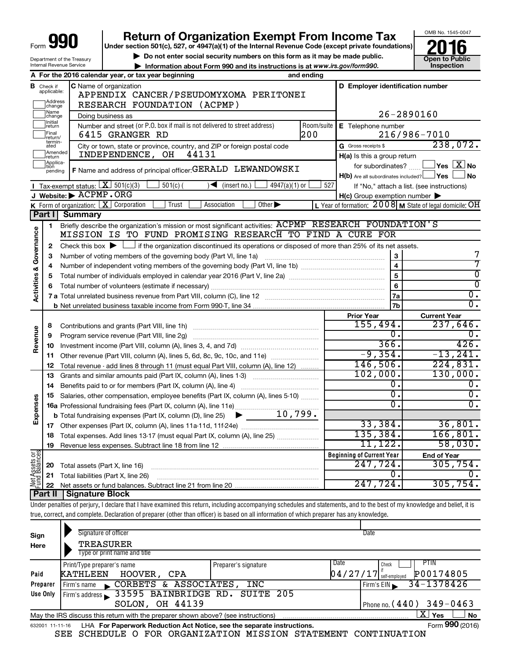|                         |                             |                                                        | <b>Return of Organization Exempt From Income Tax</b>                                                                                                                       |            |                                                           | OMB No. 1545-0047                                  |
|-------------------------|-----------------------------|--------------------------------------------------------|----------------------------------------------------------------------------------------------------------------------------------------------------------------------------|------------|-----------------------------------------------------------|----------------------------------------------------|
| Form                    | 99                          |                                                        | Under section 501(c), 527, or 4947(a)(1) of the Internal Revenue Code (except private foundations)                                                                         |            |                                                           |                                                    |
|                         |                             |                                                        | Do not enter social security numbers on this form as it may be made public.                                                                                                |            |                                                           | <b>Open to Public</b>                              |
|                         |                             | Department of the Treasury<br>Internal Revenue Service | Information about Form 990 and its instructions is at www.irs.gov/form990.                                                                                                 |            |                                                           | Inspection                                         |
|                         |                             |                                                        | A For the 2016 calendar year, or tax year beginning                                                                                                                        | and ending |                                                           |                                                    |
| в                       | Check if                    |                                                        | C Name of organization                                                                                                                                                     |            | D Employer identification number                          |                                                    |
|                         | applicable:                 |                                                        | APPENDIX CANCER/PSEUDOMYXOMA PERITONEI                                                                                                                                     |            |                                                           |                                                    |
|                         | Address<br>change           |                                                        | RESEARCH FOUNDATION (ACPMP)                                                                                                                                                |            |                                                           |                                                    |
|                         | Name<br>change              |                                                        | Doing business as                                                                                                                                                          |            | $26 - 2890160$                                            |                                                    |
|                         | Initial<br>return           |                                                        | Number and street (or P.O. box if mail is not delivered to street address)                                                                                                 | Room/suite | E Telephone number                                        |                                                    |
|                         | Final<br>return/            |                                                        | 6415 GRANGER RD                                                                                                                                                            | 200        |                                                           | 216/986-7010                                       |
|                         | termin-<br>ated             |                                                        | City or town, state or province, country, and ZIP or foreign postal code                                                                                                   |            | G Gross receipts \$                                       | 238,072.                                           |
|                         | Amended<br>return           |                                                        | INDEPENDENCE, OH<br>44131                                                                                                                                                  |            | H(a) Is this a group return                               |                                                    |
|                         | Applica-<br>tion<br>pending |                                                        | F Name and address of principal officer: GERALD LEWANDOWSKI                                                                                                                |            | for subordinates? $\ldots$                                | $\blacksquare$ Yes $\;$ $\overline{\mathrm{X}}$ No |
|                         |                             |                                                        |                                                                                                                                                                            |            | H(b) Are all subordinates included? Ves                   | ∣ No                                               |
|                         |                             | <b>I</b> Tax-exempt status: $X \mid 501(c)(3)$         | $501(c)$ (<br>$\sqrt{\frac{1}{1}}$ (insert no.)<br>4947(a)(1) or                                                                                                           | 527        | If "No," attach a list. (see instructions)                |                                                    |
|                         |                             | J Website: > ACPMP.ORG                                 |                                                                                                                                                                            |            | $H(c)$ Group exemption number $\blacktriangleright$       |                                                    |
|                         |                             |                                                        | <b>K</b> Form of organization: $\boxed{\mathbf{X}}$ Corporation<br>Other $\blacktriangleright$<br>Trust<br>Association                                                     |            | L Year of formation: $2008$ M State of legal domicile: OH |                                                    |
|                         | <b>Part II</b>              | <b>Summary</b>                                         |                                                                                                                                                                            |            |                                                           |                                                    |
|                         | 1                           |                                                        | Briefly describe the organization's mission or most significant activities: ACPMP RESEARCH FOUNDATION'S                                                                    |            |                                                           |                                                    |
|                         |                             |                                                        | MISSION IS TO FUND PROMISING RESEARCH TO FIND A CURE FOR                                                                                                                   |            |                                                           |                                                    |
|                         | 2                           |                                                        | Check this box $\blacktriangleright$ $\Box$ if the organization discontinued its operations or disposed of more than 25% of its net assets.                                |            |                                                           |                                                    |
|                         | З                           |                                                        | Number of voting members of the governing body (Part VI, line 1a)                                                                                                          |            | 3                                                         |                                                    |
|                         | 4                           |                                                        |                                                                                                                                                                            |            | $\overline{\mathbf{4}}$<br>$\overline{5}$                 | $\Omega$                                           |
|                         | 5                           |                                                        |                                                                                                                                                                            |            | 6                                                         | $\Omega$                                           |
| Activities & Governance | 6                           |                                                        |                                                                                                                                                                            |            | 7a                                                        | $\overline{0}$ .                                   |
|                         |                             |                                                        |                                                                                                                                                                            |            | 7b                                                        | $\overline{0}$ .                                   |
|                         |                             |                                                        |                                                                                                                                                                            |            | <b>Prior Year</b>                                         | <b>Current Year</b>                                |
|                         | 8                           |                                                        | Contributions and grants (Part VIII, line 1h)                                                                                                                              |            | 155,494.                                                  | 237,646.                                           |
| Revenue                 | 9                           |                                                        | Program service revenue (Part VIII, line 2g)                                                                                                                               |            | 0                                                         | 0.                                                 |
|                         | 10                          |                                                        |                                                                                                                                                                            |            | 366.                                                      | 426.                                               |
|                         | 11                          |                                                        | Other revenue (Part VIII, column (A), lines 5, 6d, 8c, 9c, 10c, and 11e)                                                                                                   |            | $-9,354.$                                                 | $-13, 241.$                                        |
|                         | 12                          |                                                        | Total revenue - add lines 8 through 11 (must equal Part VIII, column (A), line 12)                                                                                         |            | 146,506.                                                  | 224,831.                                           |
|                         | 13                          |                                                        | Grants and similar amounts paid (Part IX, column (A), lines 1-3)                                                                                                           |            | 102,000.                                                  | 130,000.                                           |
|                         | 14                          |                                                        | Benefits paid to or for members (Part IX, column (A), line 4)                                                                                                              |            | Ο.                                                        | 0.                                                 |
| 8                       |                             |                                                        | 15 Salaries, other compensation, employee benefits (Part IX, column (A), lines 5-10)                                                                                       |            | σ.                                                        | $\overline{0}$ .                                   |
|                         |                             |                                                        |                                                                                                                                                                            |            | О.                                                        | $0 \cdot$                                          |
| Expense                 |                             |                                                        |                                                                                                                                                                            |            |                                                           |                                                    |
|                         | 17                          |                                                        |                                                                                                                                                                            |            | 33,384.                                                   | 36,801.                                            |
|                         | 18                          |                                                        | Total expenses. Add lines 13-17 (must equal Part IX, column (A), line 25)                                                                                                  |            | 135,384.                                                  | 166, 801.                                          |
|                         | 19                          |                                                        |                                                                                                                                                                            |            | 11,122.                                                   | 58,030.                                            |
|                         |                             |                                                        |                                                                                                                                                                            |            | <b>Beginning of Current Year</b>                          | <b>End of Year</b>                                 |
| t Assets or             | 20                          | Total assets (Part X, line 16)                         |                                                                                                                                                                            |            | 247,724.                                                  | 305,754.                                           |
|                         | 21                          |                                                        | Total liabilities (Part X, line 26)                                                                                                                                        |            | 0.                                                        | О.                                                 |
| 薨                       | 22                          |                                                        |                                                                                                                                                                            |            | 247,724.                                                  | 305,754.                                           |
|                         |                             | <b>Part II   Signature Block</b>                       |                                                                                                                                                                            |            |                                                           |                                                    |
|                         |                             |                                                        | Under penalties of perjury, I declare that I have examined this return, including accompanying schedules and statements, and to the best of my knowledge and belief, it is |            |                                                           |                                                    |
|                         |                             |                                                        | true, correct, and complete. Declaration of preparer (other than officer) is based on all information of which preparer has any knowledge.                                 |            |                                                           |                                                    |
|                         |                             |                                                        | Signature of officer                                                                                                                                                       |            | Date                                                      |                                                    |
| Sign                    |                             |                                                        | <b>TREASURER</b>                                                                                                                                                           |            |                                                           |                                                    |
| Here                    |                             |                                                        | Type or print name and title                                                                                                                                               |            |                                                           |                                                    |
|                         |                             |                                                        |                                                                                                                                                                            |            |                                                           |                                                    |

|                                                                                                              | Type of printenante and the                   |                      |      |                                                                        |  |
|--------------------------------------------------------------------------------------------------------------|-----------------------------------------------|----------------------|------|------------------------------------------------------------------------|--|
|                                                                                                              | Print/Type preparer's name                    | Preparer's signature | Date | PTIN<br>Check                                                          |  |
| Paid                                                                                                         | KATHLEEN<br>HOOVER, CPA                       |                      |      | P00174805<br>$\vert 0\,4$ / $2\,7$ / $1\,7\vert$ $\vert$ self-employed |  |
| 34-1378426<br>CORBETS & ASSOCIATES,<br>INC<br>Preparer<br>Firm's EIN<br>Firm's name<br>$\mathbf{r}$          |                                               |                      |      |                                                                        |  |
| Use Only                                                                                                     | Firm's address 33595 BAINBRIDGE RD. SUITE 205 |                      |      |                                                                        |  |
|                                                                                                              | SOLON, OH 44139                               |                      |      | Phone no. $(440)$ 349-0463                                             |  |
| Yes<br>May the IRS discuss this return with the preparer shown above? (see instructions)                     |                                               |                      |      |                                                                        |  |
| Form 990 (2016)<br>LHA For Paperwork Reduction Act Notice, see the separate instructions.<br>632001 11-11-16 |                                               |                      |      |                                                                        |  |

SEE SCHEDULE O FOR ORGANIZATION MISSION STATEMENT CONTINUATION

Form **990** (2016)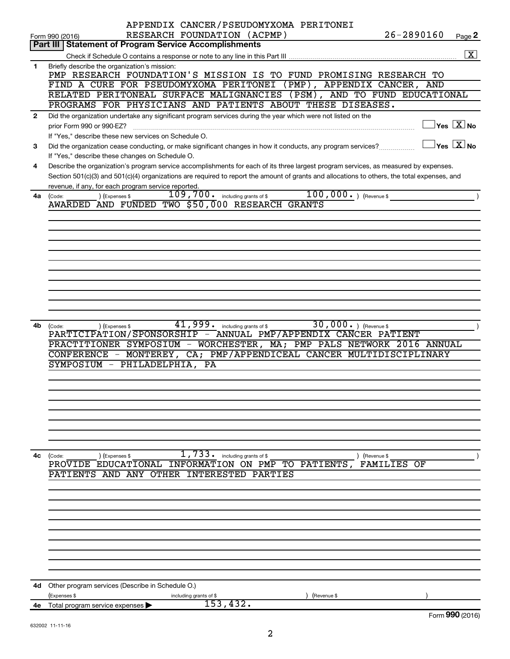|              | APPENDIX CANCER/PSEUDOMYXOMA PERITONEI                                                                                                                |
|--------------|-------------------------------------------------------------------------------------------------------------------------------------------------------|
|              | $26 - 2890160$<br>RESEARCH FOUNDATION (ACPMP)<br>Page 2<br>Form 990 (2016)                                                                            |
|              | <b>Statement of Program Service Accomplishments</b><br>Part III                                                                                       |
|              | $\boxed{\text{X}}$                                                                                                                                    |
| 1            | Briefly describe the organization's mission:                                                                                                          |
|              | PMP RESEARCH FOUNDATION'S MISSION IS TO FUND PROMISING RESEARCH TO                                                                                    |
|              | FIND A CURE FOR PSEUDOMYXOMA PERITONEI (PMP), APPENDIX CANCER, AND                                                                                    |
|              | RELATED PERITONEAL SURFACE MALIGNANCIES (PSM), AND TO FUND EDUCATIONAL                                                                                |
|              | PROGRAMS FOR PHYSICIANS AND PATIENTS ABOUT THESE DISEASES.                                                                                            |
| $\mathbf{2}$ | Did the organization undertake any significant program services during the year which were not listed on the                                          |
|              | $\Box$ Yes $[\overline{X}]$ No<br>prior Form 990 or 990-EZ?                                                                                           |
|              | If "Yes," describe these new services on Schedule O.                                                                                                  |
| 3            | $\Box$ Yes $[\overline{X}]$ No<br>Did the organization cease conducting, or make significant changes in how it conducts, any program services?        |
|              | If "Yes," describe these changes on Schedule O.                                                                                                       |
| 4            | Describe the organization's program service accomplishments for each of its three largest program services, as measured by expenses.                  |
|              | Section 501(c)(3) and 501(c)(4) organizations are required to report the amount of grants and allocations to others, the total expenses, and          |
|              | revenue, if any, for each program service reported.                                                                                                   |
| 4a           | $100,000$ . ) (Revenue \$<br>$109,700$ $\cdot$ including grants of \$<br>) (Expenses \$<br>(Code:                                                     |
|              | AWARDED AND FUNDED TWO \$50,000 RESEARCH GRANTS                                                                                                       |
|              |                                                                                                                                                       |
|              |                                                                                                                                                       |
|              |                                                                                                                                                       |
|              |                                                                                                                                                       |
|              |                                                                                                                                                       |
|              |                                                                                                                                                       |
|              |                                                                                                                                                       |
|              |                                                                                                                                                       |
|              |                                                                                                                                                       |
|              |                                                                                                                                                       |
|              |                                                                                                                                                       |
| 4b           | $41,999$ $\cdot$ including grants of \$<br>$30,000.$ (Revenue \$)<br>) (Expenses \$<br>(Code:                                                         |
|              | PARTICIPATION/SPONSORSHIP - ANNUAL PMP/APPENDIX CANCER PATIENT                                                                                        |
|              | PRACTITIONER SYMPOSIUM - WORCHESTER, MA; PMP PALS NETWORK 2016 ANNUAL                                                                                 |
|              | CONFERENCE - MONTEREY, CA; PMP/APPENDICEAL CANCER MULTIDISCIPLINARY                                                                                   |
|              | SYMPOSIUM - PHILADELPHIA, PA                                                                                                                          |
|              |                                                                                                                                                       |
|              |                                                                                                                                                       |
|              |                                                                                                                                                       |
|              |                                                                                                                                                       |
|              |                                                                                                                                                       |
|              |                                                                                                                                                       |
|              |                                                                                                                                                       |
|              |                                                                                                                                                       |
| 4c           | 1,733.<br>including grants of \$<br>(Expenses \$<br>(Code:<br>(Revenue \$<br>INFORMATION ON PMP TO PATIENTS,<br>PROVIDE EDUCATIONAL<br>FAMILIES<br>OF |
|              | PATIENTS AND ANY OTHER INTERESTED<br>PARTIES                                                                                                          |
|              |                                                                                                                                                       |
|              |                                                                                                                                                       |
|              |                                                                                                                                                       |
|              |                                                                                                                                                       |
|              |                                                                                                                                                       |
|              |                                                                                                                                                       |
|              |                                                                                                                                                       |
|              |                                                                                                                                                       |
|              |                                                                                                                                                       |
|              |                                                                                                                                                       |
|              |                                                                                                                                                       |
| 4d           | Other program services (Describe in Schedule O.)                                                                                                      |
|              | (Expenses \$<br>(Revenue \$<br>including grants of \$                                                                                                 |
| 4е           | 153,432.<br>Total program service expenses                                                                                                            |
|              | Form 990 (2016)                                                                                                                                       |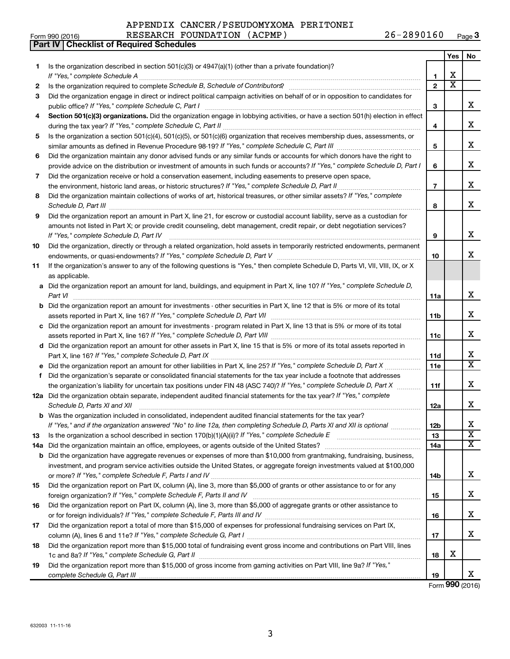| APPENDIX CANCER/PSEUDOMYXOMA PERITONEI |  |            |
|----------------------------------------|--|------------|
| RESEARCH FOUNDATION (ACPMP)            |  | 26-2890160 |

|    | Part IV   Checklist of Required Schedules                                                                                                                                                                                            |                |                       |                         |
|----|--------------------------------------------------------------------------------------------------------------------------------------------------------------------------------------------------------------------------------------|----------------|-----------------------|-------------------------|
|    |                                                                                                                                                                                                                                      |                | Yes                   | No                      |
| 1  | Is the organization described in section 501(c)(3) or $4947(a)(1)$ (other than a private foundation)?                                                                                                                                |                |                       |                         |
|    |                                                                                                                                                                                                                                      | 1              | х                     |                         |
| 2  | Is the organization required to complete Schedule B, Schedule of Contributors? [11] [12] the organization required to complete Schedule B, Schedule of Contributors? [11] [12] [12] the organization required to complete Sche       | $\mathbf{2}$   | $\overline{\text{x}}$ |                         |
| 3  | Did the organization engage in direct or indirect political campaign activities on behalf of or in opposition to candidates for                                                                                                      |                |                       |                         |
|    |                                                                                                                                                                                                                                      | 3              |                       | X                       |
| 4  | Section 501(c)(3) organizations. Did the organization engage in lobbying activities, or have a section 501(h) election in effect                                                                                                     |                |                       |                         |
|    |                                                                                                                                                                                                                                      | 4              |                       | X                       |
| 5  | Is the organization a section 501(c)(4), 501(c)(5), or 501(c)(6) organization that receives membership dues, assessments, or                                                                                                         |                |                       |                         |
|    |                                                                                                                                                                                                                                      | 5              |                       | X                       |
|    |                                                                                                                                                                                                                                      |                |                       |                         |
| 6  | Did the organization maintain any donor advised funds or any similar funds or accounts for which donors have the right to                                                                                                            |                |                       | X                       |
|    | provide advice on the distribution or investment of amounts in such funds or accounts? If "Yes," complete Schedule D, Part I                                                                                                         | 6              |                       |                         |
| 7  | Did the organization receive or hold a conservation easement, including easements to preserve open space,                                                                                                                            |                |                       |                         |
|    |                                                                                                                                                                                                                                      | $\overline{7}$ |                       | X                       |
| 8  | Did the organization maintain collections of works of art, historical treasures, or other similar assets? If "Yes," complete                                                                                                         |                |                       |                         |
|    | Schedule D, Part III <b>Marting Community Contract Contract Contract Contract Contract Contract Contract Contract Contract Contract Contract Contract Contract Contract Contract Contract Contract Contract Contract Contract Co</b> | 8              |                       | х                       |
| 9  | Did the organization report an amount in Part X, line 21, for escrow or custodial account liability, serve as a custodian for                                                                                                        |                |                       |                         |
|    | amounts not listed in Part X; or provide credit counseling, debt management, credit repair, or debt negotiation services?                                                                                                            |                |                       |                         |
|    | If "Yes," complete Schedule D, Part IV                                                                                                                                                                                               | 9              |                       | X                       |
| 10 | Did the organization, directly or through a related organization, hold assets in temporarily restricted endowments, permanent                                                                                                        |                |                       |                         |
|    |                                                                                                                                                                                                                                      | 10             |                       | x                       |
| 11 | If the organization's answer to any of the following questions is "Yes," then complete Schedule D, Parts VI, VII, VIII, IX, or X                                                                                                     |                |                       |                         |
|    | as applicable.                                                                                                                                                                                                                       |                |                       |                         |
|    | a Did the organization report an amount for land, buildings, and equipment in Part X, line 10? If "Yes," complete Schedule D,                                                                                                        |                |                       |                         |
|    | Part VI                                                                                                                                                                                                                              | 11a            |                       | X                       |
|    | <b>b</b> Did the organization report an amount for investments - other securities in Part X, line 12 that is 5% or more of its total                                                                                                 |                |                       |                         |
|    |                                                                                                                                                                                                                                      | 11b            |                       | X                       |
|    | c Did the organization report an amount for investments - program related in Part X, line 13 that is 5% or more of its total                                                                                                         |                |                       |                         |
|    |                                                                                                                                                                                                                                      | 11c            |                       | X                       |
|    | d Did the organization report an amount for other assets in Part X, line 15 that is 5% or more of its total assets reported in                                                                                                       |                |                       |                         |
|    |                                                                                                                                                                                                                                      | 11d            |                       | X                       |
|    | e Did the organization report an amount for other liabilities in Part X, line 25? If "Yes," complete Schedule D, Part X                                                                                                              | 11e            |                       | $\overline{\texttt{x}}$ |
| f. | Did the organization's separate or consolidated financial statements for the tax year include a footnote that addresses                                                                                                              |                |                       |                         |
|    | the organization's liability for uncertain tax positions under FIN 48 (ASC 740)? If "Yes," complete Schedule D, Part X                                                                                                               | 11f            |                       | X                       |
|    | 12a Did the organization obtain separate, independent audited financial statements for the tax year? If "Yes," complete                                                                                                              |                |                       |                         |
|    | Schedule D, Parts XI and XII                                                                                                                                                                                                         | 12a            |                       | X                       |
|    | b Was the organization included in consolidated, independent audited financial statements for the tax year?                                                                                                                          |                |                       |                         |
|    | If "Yes," and if the organization answered "No" to line 12a, then completing Schedule D, Parts XI and XII is optional                                                                                                                | 12b            |                       | х                       |
| 13 |                                                                                                                                                                                                                                      | 13             |                       | $\overline{\textbf{X}}$ |
|    |                                                                                                                                                                                                                                      | 14a            |                       | $\overline{\text{X}}$   |
|    | <b>b</b> Did the organization have aggregate revenues or expenses of more than \$10,000 from grantmaking, fundraising, business,                                                                                                     |                |                       |                         |
|    |                                                                                                                                                                                                                                      |                |                       |                         |
|    | investment, and program service activities outside the United States, or aggregate foreign investments valued at \$100,000                                                                                                           |                |                       | х                       |
|    |                                                                                                                                                                                                                                      | 14b            |                       |                         |
| 15 | Did the organization report on Part IX, column (A), line 3, more than \$5,000 of grants or other assistance to or for any                                                                                                            |                |                       |                         |
|    |                                                                                                                                                                                                                                      | 15             |                       | х                       |
| 16 | Did the organization report on Part IX, column (A), line 3, more than \$5,000 of aggregate grants or other assistance to                                                                                                             |                |                       |                         |
|    |                                                                                                                                                                                                                                      | 16             |                       | х                       |
| 17 | Did the organization report a total of more than \$15,000 of expenses for professional fundraising services on Part IX,                                                                                                              |                |                       |                         |
|    |                                                                                                                                                                                                                                      | 17             |                       | х                       |
| 18 | Did the organization report more than \$15,000 total of fundraising event gross income and contributions on Part VIII, lines                                                                                                         |                |                       |                         |
|    |                                                                                                                                                                                                                                      | 18             | х                     |                         |
| 19 | Did the organization report more than \$15,000 of gross income from gaming activities on Part VIII, line 9a? If "Yes,"                                                                                                               |                |                       |                         |

Form (2016) **990**

X

**19**

*complete Schedule G, Part III*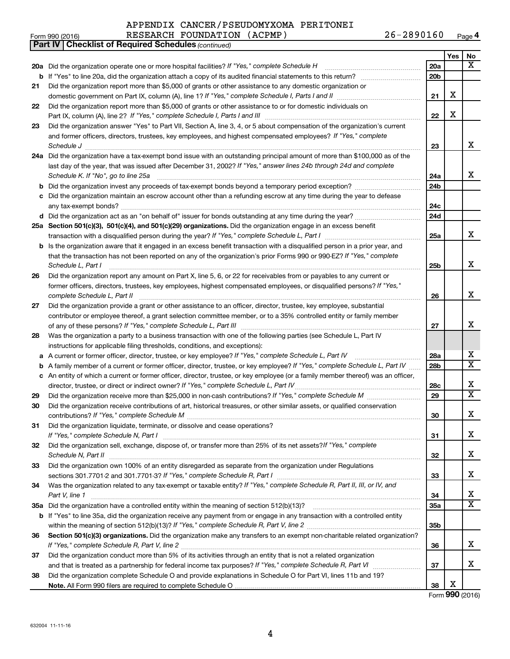#### APPENDIX CANCER/PSEUDOMYXOMA PERITONEI RESEARCH FOUNDATION (ACPMP) 26-2890160

Form 990 (2016) Page

**4**

| Yes<br>No<br>x<br>20a Did the organization operate one or more hospital facilities? If "Yes," complete Schedule H<br>20a<br>20 <sub>b</sub><br>Did the organization report more than \$5,000 of grants or other assistance to any domestic organization or<br>21<br>X<br>21<br>Did the organization report more than \$5,000 of grants or other assistance to or for domestic individuals on<br>22<br>X<br>22<br>Did the organization answer "Yes" to Part VII, Section A, line 3, 4, or 5 about compensation of the organization's current<br>23<br>and former officers, directors, trustees, key employees, and highest compensated employees? If "Yes," complete<br>х<br>23<br>24a Did the organization have a tax-exempt bond issue with an outstanding principal amount of more than \$100,000 as of the<br>last day of the year, that was issued after December 31, 2002? If "Yes," answer lines 24b through 24d and complete<br>x<br>Schedule K. If "No", go to line 25a<br>24a<br>24 <sub>b</sub><br>b<br>Did the organization maintain an escrow account other than a refunding escrow at any time during the year to defease<br>24c<br>24d<br>25a Section 501(c)(3), 501(c)(4), and 501(c)(29) organizations. Did the organization engage in an excess benefit<br>x<br>25a<br>Is the organization aware that it engaged in an excess benefit transaction with a disqualified person in a prior year, and<br>b<br>that the transaction has not been reported on any of the organization's prior Forms 990 or 990-EZ? If "Yes," complete<br>х<br>Schedule L, Part I<br>25b<br>Did the organization report any amount on Part X, line 5, 6, or 22 for receivables from or payables to any current or<br>26<br>former officers, directors, trustees, key employees, highest compensated employees, or disqualified persons? If "Yes,"<br>х<br>complete Schedule L, Part II<br>26<br>Did the organization provide a grant or other assistance to an officer, director, trustee, key employee, substantial<br>27<br>contributor or employee thereof, a grant selection committee member, or to a 35% controlled entity or family member<br>x<br>27<br>Was the organization a party to a business transaction with one of the following parties (see Schedule L, Part IV<br>28<br>instructions for applicable filing thresholds, conditions, and exceptions):<br>х<br>A current or former officer, director, trustee, or key employee? If "Yes," complete Schedule L, Part IV<br>28a<br>а<br>$\overline{\textbf{X}}$<br>28 <sub>b</sub><br>A family member of a current or former officer, director, trustee, or key employee? If "Yes," complete Schedule L, Part IV<br>b<br>c An entity of which a current or former officer, director, trustee, or key employee (or a family member thereof) was an officer,<br>X<br>director, trustee, or direct or indirect owner? If "Yes," complete Schedule L, Part IV<br>28c<br>$\overline{\textbf{X}}$<br>29<br>29<br>Did the organization receive contributions of art, historical treasures, or other similar assets, or qualified conservation<br>30<br>Χ<br>30<br>Did the organization liquidate, terminate, or dissolve and cease operations?<br>31<br>x<br>31<br>Did the organization sell, exchange, dispose of, or transfer more than 25% of its net assets?/f "Yes," complete<br>32<br>x<br>32<br>Did the organization own 100% of an entity disregarded as separate from the organization under Regulations<br>33<br>x<br>33<br>Was the organization related to any tax-exempt or taxable entity? If "Yes," complete Schedule R, Part II, III, or IV, and<br>34<br>х<br>34<br>Part V, line 1<br>X<br>35a<br>b If "Yes" to line 35a, did the organization receive any payment from or engage in any transaction with a controlled entity<br>35 <sub>b</sub><br>Section 501(c)(3) organizations. Did the organization make any transfers to an exempt non-charitable related organization?<br>36<br>x<br>36<br>Did the organization conduct more than 5% of its activities through an entity that is not a related organization<br>37<br>х<br>37<br>Did the organization complete Schedule O and provide explanations in Schedule O for Part VI, lines 11b and 19?<br>38<br>х<br>38<br>Form 990 (2016) | <b>Part IV   Checklist of Required Schedules (continued)</b> |  |  |
|-------------------------------------------------------------------------------------------------------------------------------------------------------------------------------------------------------------------------------------------------------------------------------------------------------------------------------------------------------------------------------------------------------------------------------------------------------------------------------------------------------------------------------------------------------------------------------------------------------------------------------------------------------------------------------------------------------------------------------------------------------------------------------------------------------------------------------------------------------------------------------------------------------------------------------------------------------------------------------------------------------------------------------------------------------------------------------------------------------------------------------------------------------------------------------------------------------------------------------------------------------------------------------------------------------------------------------------------------------------------------------------------------------------------------------------------------------------------------------------------------------------------------------------------------------------------------------------------------------------------------------------------------------------------------------------------------------------------------------------------------------------------------------------------------------------------------------------------------------------------------------------------------------------------------------------------------------------------------------------------------------------------------------------------------------------------------------------------------------------------------------------------------------------------------------------------------------------------------------------------------------------------------------------------------------------------------------------------------------------------------------------------------------------------------------------------------------------------------------------------------------------------------------------------------------------------------------------------------------------------------------------------------------------------------------------------------------------------------------------------------------------------------------------------------------------------------------------------------------------------------------------------------------------------------------------------------------------------------------------------------------------------------------------------------------------------------------------------------------------------------------------------------------------------------------------------------------------------------------------------------------------------------------------------------------------------------------------------------------------------------------------------------------------------------------------------------------------------------------------------------------------------------------------------------------------------------------------------------------------------------------------------------------------------------------------------------------------------------------------------------------------------------------------------------------------------------------------------------------------------------------------------------------------------------------------------------------------------------------------------------------------------------------------------------------------------------------------------------------------------------------------------------------------------------------------------------------------------------------------------------------------|--------------------------------------------------------------|--|--|
|                                                                                                                                                                                                                                                                                                                                                                                                                                                                                                                                                                                                                                                                                                                                                                                                                                                                                                                                                                                                                                                                                                                                                                                                                                                                                                                                                                                                                                                                                                                                                                                                                                                                                                                                                                                                                                                                                                                                                                                                                                                                                                                                                                                                                                                                                                                                                                                                                                                                                                                                                                                                                                                                                                                                                                                                                                                                                                                                                                                                                                                                                                                                                                                                                                                                                                                                                                                                                                                                                                                                                                                                                                                                                                                                                                                                                                                                                                                                                                                                                                                                                                                                                                                                                                                             |                                                              |  |  |
|                                                                                                                                                                                                                                                                                                                                                                                                                                                                                                                                                                                                                                                                                                                                                                                                                                                                                                                                                                                                                                                                                                                                                                                                                                                                                                                                                                                                                                                                                                                                                                                                                                                                                                                                                                                                                                                                                                                                                                                                                                                                                                                                                                                                                                                                                                                                                                                                                                                                                                                                                                                                                                                                                                                                                                                                                                                                                                                                                                                                                                                                                                                                                                                                                                                                                                                                                                                                                                                                                                                                                                                                                                                                                                                                                                                                                                                                                                                                                                                                                                                                                                                                                                                                                                                             |                                                              |  |  |
|                                                                                                                                                                                                                                                                                                                                                                                                                                                                                                                                                                                                                                                                                                                                                                                                                                                                                                                                                                                                                                                                                                                                                                                                                                                                                                                                                                                                                                                                                                                                                                                                                                                                                                                                                                                                                                                                                                                                                                                                                                                                                                                                                                                                                                                                                                                                                                                                                                                                                                                                                                                                                                                                                                                                                                                                                                                                                                                                                                                                                                                                                                                                                                                                                                                                                                                                                                                                                                                                                                                                                                                                                                                                                                                                                                                                                                                                                                                                                                                                                                                                                                                                                                                                                                                             |                                                              |  |  |
|                                                                                                                                                                                                                                                                                                                                                                                                                                                                                                                                                                                                                                                                                                                                                                                                                                                                                                                                                                                                                                                                                                                                                                                                                                                                                                                                                                                                                                                                                                                                                                                                                                                                                                                                                                                                                                                                                                                                                                                                                                                                                                                                                                                                                                                                                                                                                                                                                                                                                                                                                                                                                                                                                                                                                                                                                                                                                                                                                                                                                                                                                                                                                                                                                                                                                                                                                                                                                                                                                                                                                                                                                                                                                                                                                                                                                                                                                                                                                                                                                                                                                                                                                                                                                                                             |                                                              |  |  |
|                                                                                                                                                                                                                                                                                                                                                                                                                                                                                                                                                                                                                                                                                                                                                                                                                                                                                                                                                                                                                                                                                                                                                                                                                                                                                                                                                                                                                                                                                                                                                                                                                                                                                                                                                                                                                                                                                                                                                                                                                                                                                                                                                                                                                                                                                                                                                                                                                                                                                                                                                                                                                                                                                                                                                                                                                                                                                                                                                                                                                                                                                                                                                                                                                                                                                                                                                                                                                                                                                                                                                                                                                                                                                                                                                                                                                                                                                                                                                                                                                                                                                                                                                                                                                                                             |                                                              |  |  |
|                                                                                                                                                                                                                                                                                                                                                                                                                                                                                                                                                                                                                                                                                                                                                                                                                                                                                                                                                                                                                                                                                                                                                                                                                                                                                                                                                                                                                                                                                                                                                                                                                                                                                                                                                                                                                                                                                                                                                                                                                                                                                                                                                                                                                                                                                                                                                                                                                                                                                                                                                                                                                                                                                                                                                                                                                                                                                                                                                                                                                                                                                                                                                                                                                                                                                                                                                                                                                                                                                                                                                                                                                                                                                                                                                                                                                                                                                                                                                                                                                                                                                                                                                                                                                                                             |                                                              |  |  |
|                                                                                                                                                                                                                                                                                                                                                                                                                                                                                                                                                                                                                                                                                                                                                                                                                                                                                                                                                                                                                                                                                                                                                                                                                                                                                                                                                                                                                                                                                                                                                                                                                                                                                                                                                                                                                                                                                                                                                                                                                                                                                                                                                                                                                                                                                                                                                                                                                                                                                                                                                                                                                                                                                                                                                                                                                                                                                                                                                                                                                                                                                                                                                                                                                                                                                                                                                                                                                                                                                                                                                                                                                                                                                                                                                                                                                                                                                                                                                                                                                                                                                                                                                                                                                                                             |                                                              |  |  |
|                                                                                                                                                                                                                                                                                                                                                                                                                                                                                                                                                                                                                                                                                                                                                                                                                                                                                                                                                                                                                                                                                                                                                                                                                                                                                                                                                                                                                                                                                                                                                                                                                                                                                                                                                                                                                                                                                                                                                                                                                                                                                                                                                                                                                                                                                                                                                                                                                                                                                                                                                                                                                                                                                                                                                                                                                                                                                                                                                                                                                                                                                                                                                                                                                                                                                                                                                                                                                                                                                                                                                                                                                                                                                                                                                                                                                                                                                                                                                                                                                                                                                                                                                                                                                                                             |                                                              |  |  |
|                                                                                                                                                                                                                                                                                                                                                                                                                                                                                                                                                                                                                                                                                                                                                                                                                                                                                                                                                                                                                                                                                                                                                                                                                                                                                                                                                                                                                                                                                                                                                                                                                                                                                                                                                                                                                                                                                                                                                                                                                                                                                                                                                                                                                                                                                                                                                                                                                                                                                                                                                                                                                                                                                                                                                                                                                                                                                                                                                                                                                                                                                                                                                                                                                                                                                                                                                                                                                                                                                                                                                                                                                                                                                                                                                                                                                                                                                                                                                                                                                                                                                                                                                                                                                                                             |                                                              |  |  |
|                                                                                                                                                                                                                                                                                                                                                                                                                                                                                                                                                                                                                                                                                                                                                                                                                                                                                                                                                                                                                                                                                                                                                                                                                                                                                                                                                                                                                                                                                                                                                                                                                                                                                                                                                                                                                                                                                                                                                                                                                                                                                                                                                                                                                                                                                                                                                                                                                                                                                                                                                                                                                                                                                                                                                                                                                                                                                                                                                                                                                                                                                                                                                                                                                                                                                                                                                                                                                                                                                                                                                                                                                                                                                                                                                                                                                                                                                                                                                                                                                                                                                                                                                                                                                                                             |                                                              |  |  |
|                                                                                                                                                                                                                                                                                                                                                                                                                                                                                                                                                                                                                                                                                                                                                                                                                                                                                                                                                                                                                                                                                                                                                                                                                                                                                                                                                                                                                                                                                                                                                                                                                                                                                                                                                                                                                                                                                                                                                                                                                                                                                                                                                                                                                                                                                                                                                                                                                                                                                                                                                                                                                                                                                                                                                                                                                                                                                                                                                                                                                                                                                                                                                                                                                                                                                                                                                                                                                                                                                                                                                                                                                                                                                                                                                                                                                                                                                                                                                                                                                                                                                                                                                                                                                                                             |                                                              |  |  |
|                                                                                                                                                                                                                                                                                                                                                                                                                                                                                                                                                                                                                                                                                                                                                                                                                                                                                                                                                                                                                                                                                                                                                                                                                                                                                                                                                                                                                                                                                                                                                                                                                                                                                                                                                                                                                                                                                                                                                                                                                                                                                                                                                                                                                                                                                                                                                                                                                                                                                                                                                                                                                                                                                                                                                                                                                                                                                                                                                                                                                                                                                                                                                                                                                                                                                                                                                                                                                                                                                                                                                                                                                                                                                                                                                                                                                                                                                                                                                                                                                                                                                                                                                                                                                                                             |                                                              |  |  |
|                                                                                                                                                                                                                                                                                                                                                                                                                                                                                                                                                                                                                                                                                                                                                                                                                                                                                                                                                                                                                                                                                                                                                                                                                                                                                                                                                                                                                                                                                                                                                                                                                                                                                                                                                                                                                                                                                                                                                                                                                                                                                                                                                                                                                                                                                                                                                                                                                                                                                                                                                                                                                                                                                                                                                                                                                                                                                                                                                                                                                                                                                                                                                                                                                                                                                                                                                                                                                                                                                                                                                                                                                                                                                                                                                                                                                                                                                                                                                                                                                                                                                                                                                                                                                                                             |                                                              |  |  |
|                                                                                                                                                                                                                                                                                                                                                                                                                                                                                                                                                                                                                                                                                                                                                                                                                                                                                                                                                                                                                                                                                                                                                                                                                                                                                                                                                                                                                                                                                                                                                                                                                                                                                                                                                                                                                                                                                                                                                                                                                                                                                                                                                                                                                                                                                                                                                                                                                                                                                                                                                                                                                                                                                                                                                                                                                                                                                                                                                                                                                                                                                                                                                                                                                                                                                                                                                                                                                                                                                                                                                                                                                                                                                                                                                                                                                                                                                                                                                                                                                                                                                                                                                                                                                                                             |                                                              |  |  |
|                                                                                                                                                                                                                                                                                                                                                                                                                                                                                                                                                                                                                                                                                                                                                                                                                                                                                                                                                                                                                                                                                                                                                                                                                                                                                                                                                                                                                                                                                                                                                                                                                                                                                                                                                                                                                                                                                                                                                                                                                                                                                                                                                                                                                                                                                                                                                                                                                                                                                                                                                                                                                                                                                                                                                                                                                                                                                                                                                                                                                                                                                                                                                                                                                                                                                                                                                                                                                                                                                                                                                                                                                                                                                                                                                                                                                                                                                                                                                                                                                                                                                                                                                                                                                                                             |                                                              |  |  |
|                                                                                                                                                                                                                                                                                                                                                                                                                                                                                                                                                                                                                                                                                                                                                                                                                                                                                                                                                                                                                                                                                                                                                                                                                                                                                                                                                                                                                                                                                                                                                                                                                                                                                                                                                                                                                                                                                                                                                                                                                                                                                                                                                                                                                                                                                                                                                                                                                                                                                                                                                                                                                                                                                                                                                                                                                                                                                                                                                                                                                                                                                                                                                                                                                                                                                                                                                                                                                                                                                                                                                                                                                                                                                                                                                                                                                                                                                                                                                                                                                                                                                                                                                                                                                                                             |                                                              |  |  |
|                                                                                                                                                                                                                                                                                                                                                                                                                                                                                                                                                                                                                                                                                                                                                                                                                                                                                                                                                                                                                                                                                                                                                                                                                                                                                                                                                                                                                                                                                                                                                                                                                                                                                                                                                                                                                                                                                                                                                                                                                                                                                                                                                                                                                                                                                                                                                                                                                                                                                                                                                                                                                                                                                                                                                                                                                                                                                                                                                                                                                                                                                                                                                                                                                                                                                                                                                                                                                                                                                                                                                                                                                                                                                                                                                                                                                                                                                                                                                                                                                                                                                                                                                                                                                                                             |                                                              |  |  |
|                                                                                                                                                                                                                                                                                                                                                                                                                                                                                                                                                                                                                                                                                                                                                                                                                                                                                                                                                                                                                                                                                                                                                                                                                                                                                                                                                                                                                                                                                                                                                                                                                                                                                                                                                                                                                                                                                                                                                                                                                                                                                                                                                                                                                                                                                                                                                                                                                                                                                                                                                                                                                                                                                                                                                                                                                                                                                                                                                                                                                                                                                                                                                                                                                                                                                                                                                                                                                                                                                                                                                                                                                                                                                                                                                                                                                                                                                                                                                                                                                                                                                                                                                                                                                                                             |                                                              |  |  |
|                                                                                                                                                                                                                                                                                                                                                                                                                                                                                                                                                                                                                                                                                                                                                                                                                                                                                                                                                                                                                                                                                                                                                                                                                                                                                                                                                                                                                                                                                                                                                                                                                                                                                                                                                                                                                                                                                                                                                                                                                                                                                                                                                                                                                                                                                                                                                                                                                                                                                                                                                                                                                                                                                                                                                                                                                                                                                                                                                                                                                                                                                                                                                                                                                                                                                                                                                                                                                                                                                                                                                                                                                                                                                                                                                                                                                                                                                                                                                                                                                                                                                                                                                                                                                                                             |                                                              |  |  |
|                                                                                                                                                                                                                                                                                                                                                                                                                                                                                                                                                                                                                                                                                                                                                                                                                                                                                                                                                                                                                                                                                                                                                                                                                                                                                                                                                                                                                                                                                                                                                                                                                                                                                                                                                                                                                                                                                                                                                                                                                                                                                                                                                                                                                                                                                                                                                                                                                                                                                                                                                                                                                                                                                                                                                                                                                                                                                                                                                                                                                                                                                                                                                                                                                                                                                                                                                                                                                                                                                                                                                                                                                                                                                                                                                                                                                                                                                                                                                                                                                                                                                                                                                                                                                                                             |                                                              |  |  |
|                                                                                                                                                                                                                                                                                                                                                                                                                                                                                                                                                                                                                                                                                                                                                                                                                                                                                                                                                                                                                                                                                                                                                                                                                                                                                                                                                                                                                                                                                                                                                                                                                                                                                                                                                                                                                                                                                                                                                                                                                                                                                                                                                                                                                                                                                                                                                                                                                                                                                                                                                                                                                                                                                                                                                                                                                                                                                                                                                                                                                                                                                                                                                                                                                                                                                                                                                                                                                                                                                                                                                                                                                                                                                                                                                                                                                                                                                                                                                                                                                                                                                                                                                                                                                                                             |                                                              |  |  |
|                                                                                                                                                                                                                                                                                                                                                                                                                                                                                                                                                                                                                                                                                                                                                                                                                                                                                                                                                                                                                                                                                                                                                                                                                                                                                                                                                                                                                                                                                                                                                                                                                                                                                                                                                                                                                                                                                                                                                                                                                                                                                                                                                                                                                                                                                                                                                                                                                                                                                                                                                                                                                                                                                                                                                                                                                                                                                                                                                                                                                                                                                                                                                                                                                                                                                                                                                                                                                                                                                                                                                                                                                                                                                                                                                                                                                                                                                                                                                                                                                                                                                                                                                                                                                                                             |                                                              |  |  |
|                                                                                                                                                                                                                                                                                                                                                                                                                                                                                                                                                                                                                                                                                                                                                                                                                                                                                                                                                                                                                                                                                                                                                                                                                                                                                                                                                                                                                                                                                                                                                                                                                                                                                                                                                                                                                                                                                                                                                                                                                                                                                                                                                                                                                                                                                                                                                                                                                                                                                                                                                                                                                                                                                                                                                                                                                                                                                                                                                                                                                                                                                                                                                                                                                                                                                                                                                                                                                                                                                                                                                                                                                                                                                                                                                                                                                                                                                                                                                                                                                                                                                                                                                                                                                                                             |                                                              |  |  |
|                                                                                                                                                                                                                                                                                                                                                                                                                                                                                                                                                                                                                                                                                                                                                                                                                                                                                                                                                                                                                                                                                                                                                                                                                                                                                                                                                                                                                                                                                                                                                                                                                                                                                                                                                                                                                                                                                                                                                                                                                                                                                                                                                                                                                                                                                                                                                                                                                                                                                                                                                                                                                                                                                                                                                                                                                                                                                                                                                                                                                                                                                                                                                                                                                                                                                                                                                                                                                                                                                                                                                                                                                                                                                                                                                                                                                                                                                                                                                                                                                                                                                                                                                                                                                                                             |                                                              |  |  |
|                                                                                                                                                                                                                                                                                                                                                                                                                                                                                                                                                                                                                                                                                                                                                                                                                                                                                                                                                                                                                                                                                                                                                                                                                                                                                                                                                                                                                                                                                                                                                                                                                                                                                                                                                                                                                                                                                                                                                                                                                                                                                                                                                                                                                                                                                                                                                                                                                                                                                                                                                                                                                                                                                                                                                                                                                                                                                                                                                                                                                                                                                                                                                                                                                                                                                                                                                                                                                                                                                                                                                                                                                                                                                                                                                                                                                                                                                                                                                                                                                                                                                                                                                                                                                                                             |                                                              |  |  |
|                                                                                                                                                                                                                                                                                                                                                                                                                                                                                                                                                                                                                                                                                                                                                                                                                                                                                                                                                                                                                                                                                                                                                                                                                                                                                                                                                                                                                                                                                                                                                                                                                                                                                                                                                                                                                                                                                                                                                                                                                                                                                                                                                                                                                                                                                                                                                                                                                                                                                                                                                                                                                                                                                                                                                                                                                                                                                                                                                                                                                                                                                                                                                                                                                                                                                                                                                                                                                                                                                                                                                                                                                                                                                                                                                                                                                                                                                                                                                                                                                                                                                                                                                                                                                                                             |                                                              |  |  |
|                                                                                                                                                                                                                                                                                                                                                                                                                                                                                                                                                                                                                                                                                                                                                                                                                                                                                                                                                                                                                                                                                                                                                                                                                                                                                                                                                                                                                                                                                                                                                                                                                                                                                                                                                                                                                                                                                                                                                                                                                                                                                                                                                                                                                                                                                                                                                                                                                                                                                                                                                                                                                                                                                                                                                                                                                                                                                                                                                                                                                                                                                                                                                                                                                                                                                                                                                                                                                                                                                                                                                                                                                                                                                                                                                                                                                                                                                                                                                                                                                                                                                                                                                                                                                                                             |                                                              |  |  |
|                                                                                                                                                                                                                                                                                                                                                                                                                                                                                                                                                                                                                                                                                                                                                                                                                                                                                                                                                                                                                                                                                                                                                                                                                                                                                                                                                                                                                                                                                                                                                                                                                                                                                                                                                                                                                                                                                                                                                                                                                                                                                                                                                                                                                                                                                                                                                                                                                                                                                                                                                                                                                                                                                                                                                                                                                                                                                                                                                                                                                                                                                                                                                                                                                                                                                                                                                                                                                                                                                                                                                                                                                                                                                                                                                                                                                                                                                                                                                                                                                                                                                                                                                                                                                                                             |                                                              |  |  |
|                                                                                                                                                                                                                                                                                                                                                                                                                                                                                                                                                                                                                                                                                                                                                                                                                                                                                                                                                                                                                                                                                                                                                                                                                                                                                                                                                                                                                                                                                                                                                                                                                                                                                                                                                                                                                                                                                                                                                                                                                                                                                                                                                                                                                                                                                                                                                                                                                                                                                                                                                                                                                                                                                                                                                                                                                                                                                                                                                                                                                                                                                                                                                                                                                                                                                                                                                                                                                                                                                                                                                                                                                                                                                                                                                                                                                                                                                                                                                                                                                                                                                                                                                                                                                                                             |                                                              |  |  |
|                                                                                                                                                                                                                                                                                                                                                                                                                                                                                                                                                                                                                                                                                                                                                                                                                                                                                                                                                                                                                                                                                                                                                                                                                                                                                                                                                                                                                                                                                                                                                                                                                                                                                                                                                                                                                                                                                                                                                                                                                                                                                                                                                                                                                                                                                                                                                                                                                                                                                                                                                                                                                                                                                                                                                                                                                                                                                                                                                                                                                                                                                                                                                                                                                                                                                                                                                                                                                                                                                                                                                                                                                                                                                                                                                                                                                                                                                                                                                                                                                                                                                                                                                                                                                                                             |                                                              |  |  |
|                                                                                                                                                                                                                                                                                                                                                                                                                                                                                                                                                                                                                                                                                                                                                                                                                                                                                                                                                                                                                                                                                                                                                                                                                                                                                                                                                                                                                                                                                                                                                                                                                                                                                                                                                                                                                                                                                                                                                                                                                                                                                                                                                                                                                                                                                                                                                                                                                                                                                                                                                                                                                                                                                                                                                                                                                                                                                                                                                                                                                                                                                                                                                                                                                                                                                                                                                                                                                                                                                                                                                                                                                                                                                                                                                                                                                                                                                                                                                                                                                                                                                                                                                                                                                                                             |                                                              |  |  |
|                                                                                                                                                                                                                                                                                                                                                                                                                                                                                                                                                                                                                                                                                                                                                                                                                                                                                                                                                                                                                                                                                                                                                                                                                                                                                                                                                                                                                                                                                                                                                                                                                                                                                                                                                                                                                                                                                                                                                                                                                                                                                                                                                                                                                                                                                                                                                                                                                                                                                                                                                                                                                                                                                                                                                                                                                                                                                                                                                                                                                                                                                                                                                                                                                                                                                                                                                                                                                                                                                                                                                                                                                                                                                                                                                                                                                                                                                                                                                                                                                                                                                                                                                                                                                                                             |                                                              |  |  |
|                                                                                                                                                                                                                                                                                                                                                                                                                                                                                                                                                                                                                                                                                                                                                                                                                                                                                                                                                                                                                                                                                                                                                                                                                                                                                                                                                                                                                                                                                                                                                                                                                                                                                                                                                                                                                                                                                                                                                                                                                                                                                                                                                                                                                                                                                                                                                                                                                                                                                                                                                                                                                                                                                                                                                                                                                                                                                                                                                                                                                                                                                                                                                                                                                                                                                                                                                                                                                                                                                                                                                                                                                                                                                                                                                                                                                                                                                                                                                                                                                                                                                                                                                                                                                                                             |                                                              |  |  |
|                                                                                                                                                                                                                                                                                                                                                                                                                                                                                                                                                                                                                                                                                                                                                                                                                                                                                                                                                                                                                                                                                                                                                                                                                                                                                                                                                                                                                                                                                                                                                                                                                                                                                                                                                                                                                                                                                                                                                                                                                                                                                                                                                                                                                                                                                                                                                                                                                                                                                                                                                                                                                                                                                                                                                                                                                                                                                                                                                                                                                                                                                                                                                                                                                                                                                                                                                                                                                                                                                                                                                                                                                                                                                                                                                                                                                                                                                                                                                                                                                                                                                                                                                                                                                                                             |                                                              |  |  |
|                                                                                                                                                                                                                                                                                                                                                                                                                                                                                                                                                                                                                                                                                                                                                                                                                                                                                                                                                                                                                                                                                                                                                                                                                                                                                                                                                                                                                                                                                                                                                                                                                                                                                                                                                                                                                                                                                                                                                                                                                                                                                                                                                                                                                                                                                                                                                                                                                                                                                                                                                                                                                                                                                                                                                                                                                                                                                                                                                                                                                                                                                                                                                                                                                                                                                                                                                                                                                                                                                                                                                                                                                                                                                                                                                                                                                                                                                                                                                                                                                                                                                                                                                                                                                                                             |                                                              |  |  |
|                                                                                                                                                                                                                                                                                                                                                                                                                                                                                                                                                                                                                                                                                                                                                                                                                                                                                                                                                                                                                                                                                                                                                                                                                                                                                                                                                                                                                                                                                                                                                                                                                                                                                                                                                                                                                                                                                                                                                                                                                                                                                                                                                                                                                                                                                                                                                                                                                                                                                                                                                                                                                                                                                                                                                                                                                                                                                                                                                                                                                                                                                                                                                                                                                                                                                                                                                                                                                                                                                                                                                                                                                                                                                                                                                                                                                                                                                                                                                                                                                                                                                                                                                                                                                                                             |                                                              |  |  |
|                                                                                                                                                                                                                                                                                                                                                                                                                                                                                                                                                                                                                                                                                                                                                                                                                                                                                                                                                                                                                                                                                                                                                                                                                                                                                                                                                                                                                                                                                                                                                                                                                                                                                                                                                                                                                                                                                                                                                                                                                                                                                                                                                                                                                                                                                                                                                                                                                                                                                                                                                                                                                                                                                                                                                                                                                                                                                                                                                                                                                                                                                                                                                                                                                                                                                                                                                                                                                                                                                                                                                                                                                                                                                                                                                                                                                                                                                                                                                                                                                                                                                                                                                                                                                                                             |                                                              |  |  |
|                                                                                                                                                                                                                                                                                                                                                                                                                                                                                                                                                                                                                                                                                                                                                                                                                                                                                                                                                                                                                                                                                                                                                                                                                                                                                                                                                                                                                                                                                                                                                                                                                                                                                                                                                                                                                                                                                                                                                                                                                                                                                                                                                                                                                                                                                                                                                                                                                                                                                                                                                                                                                                                                                                                                                                                                                                                                                                                                                                                                                                                                                                                                                                                                                                                                                                                                                                                                                                                                                                                                                                                                                                                                                                                                                                                                                                                                                                                                                                                                                                                                                                                                                                                                                                                             |                                                              |  |  |
|                                                                                                                                                                                                                                                                                                                                                                                                                                                                                                                                                                                                                                                                                                                                                                                                                                                                                                                                                                                                                                                                                                                                                                                                                                                                                                                                                                                                                                                                                                                                                                                                                                                                                                                                                                                                                                                                                                                                                                                                                                                                                                                                                                                                                                                                                                                                                                                                                                                                                                                                                                                                                                                                                                                                                                                                                                                                                                                                                                                                                                                                                                                                                                                                                                                                                                                                                                                                                                                                                                                                                                                                                                                                                                                                                                                                                                                                                                                                                                                                                                                                                                                                                                                                                                                             |                                                              |  |  |
|                                                                                                                                                                                                                                                                                                                                                                                                                                                                                                                                                                                                                                                                                                                                                                                                                                                                                                                                                                                                                                                                                                                                                                                                                                                                                                                                                                                                                                                                                                                                                                                                                                                                                                                                                                                                                                                                                                                                                                                                                                                                                                                                                                                                                                                                                                                                                                                                                                                                                                                                                                                                                                                                                                                                                                                                                                                                                                                                                                                                                                                                                                                                                                                                                                                                                                                                                                                                                                                                                                                                                                                                                                                                                                                                                                                                                                                                                                                                                                                                                                                                                                                                                                                                                                                             |                                                              |  |  |
|                                                                                                                                                                                                                                                                                                                                                                                                                                                                                                                                                                                                                                                                                                                                                                                                                                                                                                                                                                                                                                                                                                                                                                                                                                                                                                                                                                                                                                                                                                                                                                                                                                                                                                                                                                                                                                                                                                                                                                                                                                                                                                                                                                                                                                                                                                                                                                                                                                                                                                                                                                                                                                                                                                                                                                                                                                                                                                                                                                                                                                                                                                                                                                                                                                                                                                                                                                                                                                                                                                                                                                                                                                                                                                                                                                                                                                                                                                                                                                                                                                                                                                                                                                                                                                                             |                                                              |  |  |
|                                                                                                                                                                                                                                                                                                                                                                                                                                                                                                                                                                                                                                                                                                                                                                                                                                                                                                                                                                                                                                                                                                                                                                                                                                                                                                                                                                                                                                                                                                                                                                                                                                                                                                                                                                                                                                                                                                                                                                                                                                                                                                                                                                                                                                                                                                                                                                                                                                                                                                                                                                                                                                                                                                                                                                                                                                                                                                                                                                                                                                                                                                                                                                                                                                                                                                                                                                                                                                                                                                                                                                                                                                                                                                                                                                                                                                                                                                                                                                                                                                                                                                                                                                                                                                                             |                                                              |  |  |
|                                                                                                                                                                                                                                                                                                                                                                                                                                                                                                                                                                                                                                                                                                                                                                                                                                                                                                                                                                                                                                                                                                                                                                                                                                                                                                                                                                                                                                                                                                                                                                                                                                                                                                                                                                                                                                                                                                                                                                                                                                                                                                                                                                                                                                                                                                                                                                                                                                                                                                                                                                                                                                                                                                                                                                                                                                                                                                                                                                                                                                                                                                                                                                                                                                                                                                                                                                                                                                                                                                                                                                                                                                                                                                                                                                                                                                                                                                                                                                                                                                                                                                                                                                                                                                                             |                                                              |  |  |
|                                                                                                                                                                                                                                                                                                                                                                                                                                                                                                                                                                                                                                                                                                                                                                                                                                                                                                                                                                                                                                                                                                                                                                                                                                                                                                                                                                                                                                                                                                                                                                                                                                                                                                                                                                                                                                                                                                                                                                                                                                                                                                                                                                                                                                                                                                                                                                                                                                                                                                                                                                                                                                                                                                                                                                                                                                                                                                                                                                                                                                                                                                                                                                                                                                                                                                                                                                                                                                                                                                                                                                                                                                                                                                                                                                                                                                                                                                                                                                                                                                                                                                                                                                                                                                                             |                                                              |  |  |
|                                                                                                                                                                                                                                                                                                                                                                                                                                                                                                                                                                                                                                                                                                                                                                                                                                                                                                                                                                                                                                                                                                                                                                                                                                                                                                                                                                                                                                                                                                                                                                                                                                                                                                                                                                                                                                                                                                                                                                                                                                                                                                                                                                                                                                                                                                                                                                                                                                                                                                                                                                                                                                                                                                                                                                                                                                                                                                                                                                                                                                                                                                                                                                                                                                                                                                                                                                                                                                                                                                                                                                                                                                                                                                                                                                                                                                                                                                                                                                                                                                                                                                                                                                                                                                                             |                                                              |  |  |
|                                                                                                                                                                                                                                                                                                                                                                                                                                                                                                                                                                                                                                                                                                                                                                                                                                                                                                                                                                                                                                                                                                                                                                                                                                                                                                                                                                                                                                                                                                                                                                                                                                                                                                                                                                                                                                                                                                                                                                                                                                                                                                                                                                                                                                                                                                                                                                                                                                                                                                                                                                                                                                                                                                                                                                                                                                                                                                                                                                                                                                                                                                                                                                                                                                                                                                                                                                                                                                                                                                                                                                                                                                                                                                                                                                                                                                                                                                                                                                                                                                                                                                                                                                                                                                                             |                                                              |  |  |
|                                                                                                                                                                                                                                                                                                                                                                                                                                                                                                                                                                                                                                                                                                                                                                                                                                                                                                                                                                                                                                                                                                                                                                                                                                                                                                                                                                                                                                                                                                                                                                                                                                                                                                                                                                                                                                                                                                                                                                                                                                                                                                                                                                                                                                                                                                                                                                                                                                                                                                                                                                                                                                                                                                                                                                                                                                                                                                                                                                                                                                                                                                                                                                                                                                                                                                                                                                                                                                                                                                                                                                                                                                                                                                                                                                                                                                                                                                                                                                                                                                                                                                                                                                                                                                                             |                                                              |  |  |
|                                                                                                                                                                                                                                                                                                                                                                                                                                                                                                                                                                                                                                                                                                                                                                                                                                                                                                                                                                                                                                                                                                                                                                                                                                                                                                                                                                                                                                                                                                                                                                                                                                                                                                                                                                                                                                                                                                                                                                                                                                                                                                                                                                                                                                                                                                                                                                                                                                                                                                                                                                                                                                                                                                                                                                                                                                                                                                                                                                                                                                                                                                                                                                                                                                                                                                                                                                                                                                                                                                                                                                                                                                                                                                                                                                                                                                                                                                                                                                                                                                                                                                                                                                                                                                                             |                                                              |  |  |
|                                                                                                                                                                                                                                                                                                                                                                                                                                                                                                                                                                                                                                                                                                                                                                                                                                                                                                                                                                                                                                                                                                                                                                                                                                                                                                                                                                                                                                                                                                                                                                                                                                                                                                                                                                                                                                                                                                                                                                                                                                                                                                                                                                                                                                                                                                                                                                                                                                                                                                                                                                                                                                                                                                                                                                                                                                                                                                                                                                                                                                                                                                                                                                                                                                                                                                                                                                                                                                                                                                                                                                                                                                                                                                                                                                                                                                                                                                                                                                                                                                                                                                                                                                                                                                                             |                                                              |  |  |
|                                                                                                                                                                                                                                                                                                                                                                                                                                                                                                                                                                                                                                                                                                                                                                                                                                                                                                                                                                                                                                                                                                                                                                                                                                                                                                                                                                                                                                                                                                                                                                                                                                                                                                                                                                                                                                                                                                                                                                                                                                                                                                                                                                                                                                                                                                                                                                                                                                                                                                                                                                                                                                                                                                                                                                                                                                                                                                                                                                                                                                                                                                                                                                                                                                                                                                                                                                                                                                                                                                                                                                                                                                                                                                                                                                                                                                                                                                                                                                                                                                                                                                                                                                                                                                                             |                                                              |  |  |
|                                                                                                                                                                                                                                                                                                                                                                                                                                                                                                                                                                                                                                                                                                                                                                                                                                                                                                                                                                                                                                                                                                                                                                                                                                                                                                                                                                                                                                                                                                                                                                                                                                                                                                                                                                                                                                                                                                                                                                                                                                                                                                                                                                                                                                                                                                                                                                                                                                                                                                                                                                                                                                                                                                                                                                                                                                                                                                                                                                                                                                                                                                                                                                                                                                                                                                                                                                                                                                                                                                                                                                                                                                                                                                                                                                                                                                                                                                                                                                                                                                                                                                                                                                                                                                                             |                                                              |  |  |
|                                                                                                                                                                                                                                                                                                                                                                                                                                                                                                                                                                                                                                                                                                                                                                                                                                                                                                                                                                                                                                                                                                                                                                                                                                                                                                                                                                                                                                                                                                                                                                                                                                                                                                                                                                                                                                                                                                                                                                                                                                                                                                                                                                                                                                                                                                                                                                                                                                                                                                                                                                                                                                                                                                                                                                                                                                                                                                                                                                                                                                                                                                                                                                                                                                                                                                                                                                                                                                                                                                                                                                                                                                                                                                                                                                                                                                                                                                                                                                                                                                                                                                                                                                                                                                                             |                                                              |  |  |
|                                                                                                                                                                                                                                                                                                                                                                                                                                                                                                                                                                                                                                                                                                                                                                                                                                                                                                                                                                                                                                                                                                                                                                                                                                                                                                                                                                                                                                                                                                                                                                                                                                                                                                                                                                                                                                                                                                                                                                                                                                                                                                                                                                                                                                                                                                                                                                                                                                                                                                                                                                                                                                                                                                                                                                                                                                                                                                                                                                                                                                                                                                                                                                                                                                                                                                                                                                                                                                                                                                                                                                                                                                                                                                                                                                                                                                                                                                                                                                                                                                                                                                                                                                                                                                                             |                                                              |  |  |
|                                                                                                                                                                                                                                                                                                                                                                                                                                                                                                                                                                                                                                                                                                                                                                                                                                                                                                                                                                                                                                                                                                                                                                                                                                                                                                                                                                                                                                                                                                                                                                                                                                                                                                                                                                                                                                                                                                                                                                                                                                                                                                                                                                                                                                                                                                                                                                                                                                                                                                                                                                                                                                                                                                                                                                                                                                                                                                                                                                                                                                                                                                                                                                                                                                                                                                                                                                                                                                                                                                                                                                                                                                                                                                                                                                                                                                                                                                                                                                                                                                                                                                                                                                                                                                                             |                                                              |  |  |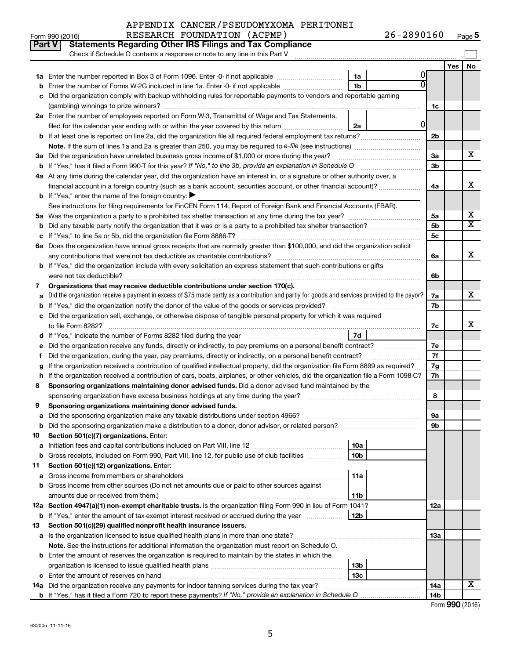|        | Part V<br><b>Statements Regarding Other IRS Filings and Tax Compliance</b>                                                                      |                |                |                |     |           |
|--------|-------------------------------------------------------------------------------------------------------------------------------------------------|----------------|----------------|----------------|-----|-----------|
|        | Check if Schedule O contains a response or note to any line in this Part V                                                                      |                |                |                |     |           |
|        |                                                                                                                                                 | 1a             | Ü              |                | Yes | <b>No</b> |
|        | Enter the number of Forms W-2G included in line 1a. Enter -0- if not applicable                                                                 | 1 <sub>b</sub> |                |                |     |           |
|        | Did the organization comply with backup withholding rules for reportable payments to vendors and reportable gaming                              |                |                |                |     |           |
|        |                                                                                                                                                 |                |                | 1c             |     |           |
|        | 2a Enter the number of employees reported on Form W-3, Transmittal of Wage and Tax Statements,                                                  |                |                |                |     |           |
|        | filed for the calendar year ending with or within the year covered by this return <i>[[[[[[[[[[[[[[]]]]</i> ]]                                  | 2a             | $\overline{0}$ |                |     |           |
|        | <b>b</b> If at least one is reported on line 2a, did the organization file all required federal employment tax returns?                         |                |                | 2 <sub>b</sub> |     |           |
|        |                                                                                                                                                 |                |                |                |     |           |
|        | 3a Did the organization have unrelated business gross income of \$1,000 or more during the year?                                                |                |                | За             |     | х         |
|        |                                                                                                                                                 |                |                | 3b             |     |           |
|        | 4a At any time during the calendar year, did the organization have an interest in, or a signature or other authority over, a                    |                |                |                |     |           |
|        | financial account in a foreign country (such as a bank account, securities account, or other financial account)?                                |                |                | 4a             |     | х         |
|        | <b>b</b> If "Yes," enter the name of the foreign country: $\blacktriangleright$                                                                 |                |                |                |     |           |
|        | See instructions for filing requirements for FinCEN Form 114, Report of Foreign Bank and Financial Accounts (FBAR).                             |                |                |                |     |           |
|        |                                                                                                                                                 |                |                | 5a             |     | х         |
| b      |                                                                                                                                                 |                |                | 5 <sub>b</sub> |     | х         |
|        |                                                                                                                                                 |                |                | <b>5c</b>      |     |           |
|        | 6a Does the organization have annual gross receipts that are normally greater than \$100,000, and did the organization solicit                  |                |                |                |     |           |
|        |                                                                                                                                                 |                |                | 6a             |     | х         |
|        | <b>b</b> If "Yes," did the organization include with every solicitation an express statement that such contributions or gifts                   |                |                |                |     |           |
|        |                                                                                                                                                 |                |                | 6b             |     |           |
| 7      | Organizations that may receive deductible contributions under section 170(c).                                                                   |                |                |                |     |           |
| a      | Did the organization receive a payment in excess of \$75 made partly as a contribution and partly for goods and services provided to the payor? |                |                | 7a             |     | х         |
|        |                                                                                                                                                 |                |                | 7b             |     |           |
|        | c Did the organization sell, exchange, or otherwise dispose of tangible personal property for which it was required                             |                |                |                |     | x         |
|        |                                                                                                                                                 | 7d             |                | 7c             |     |           |
|        |                                                                                                                                                 |                |                |                |     |           |
| е<br>f |                                                                                                                                                 |                |                | 7е<br>7f       |     |           |
| g      | If the organization received a contribution of qualified intellectual property, did the organization file Form 8899 as required?                |                |                | 7g             |     |           |
|        | h If the organization received a contribution of cars, boats, airplanes, or other vehicles, did the organization file a Form 1098-C?            |                |                | 7h             |     |           |
| 8      | Sponsoring organizations maintaining donor advised funds. Did a donor advised fund maintained by the                                            |                |                |                |     |           |
|        |                                                                                                                                                 |                |                | 8              |     |           |
| 9      | Sponsoring organizations maintaining donor advised funds.                                                                                       |                |                |                |     |           |
|        |                                                                                                                                                 |                |                | эа             |     |           |
|        |                                                                                                                                                 |                |                | 9b             |     |           |
| 10     | Section 501(c)(7) organizations. Enter:                                                                                                         |                |                |                |     |           |
| а      |                                                                                                                                                 | 10a            |                |                |     |           |
| b      | Gross receipts, included on Form 990, Part VIII, line 12, for public use of club facilities                                                     | 10b            |                |                |     |           |
| 11     | Section 501(c)(12) organizations. Enter:                                                                                                        |                |                |                |     |           |
| a      |                                                                                                                                                 | 11a            |                |                |     |           |
|        | b Gross income from other sources (Do not net amounts due or paid to other sources against                                                      |                |                |                |     |           |
|        |                                                                                                                                                 | 11b            |                |                |     |           |
|        | 12a Section 4947(a)(1) non-exempt charitable trusts. Is the organization filing Form 990 in lieu of Form 1041?                                  |                |                | 12a            |     |           |
|        | <b>b</b> If "Yes," enter the amount of tax-exempt interest received or accrued during the year                                                  | 12b            |                |                |     |           |
| 13     | Section 501(c)(29) qualified nonprofit health insurance issuers.                                                                                |                |                |                |     |           |
|        | a Is the organization licensed to issue qualified health plans in more than one state?                                                          |                |                | 13a            |     |           |
|        | Note. See the instructions for additional information the organization must report on Schedule O.                                               |                |                |                |     |           |
|        | <b>b</b> Enter the amount of reserves the organization is required to maintain by the states in which the                                       |                |                |                |     |           |
|        |                                                                                                                                                 | 13b<br>13c     |                |                |     |           |
|        | 14a Did the organization receive any payments for indoor tanning services during the tax year?                                                  |                |                | 14a            |     | х         |
|        |                                                                                                                                                 |                |                | 14b            |     |           |

Form (2016) **990**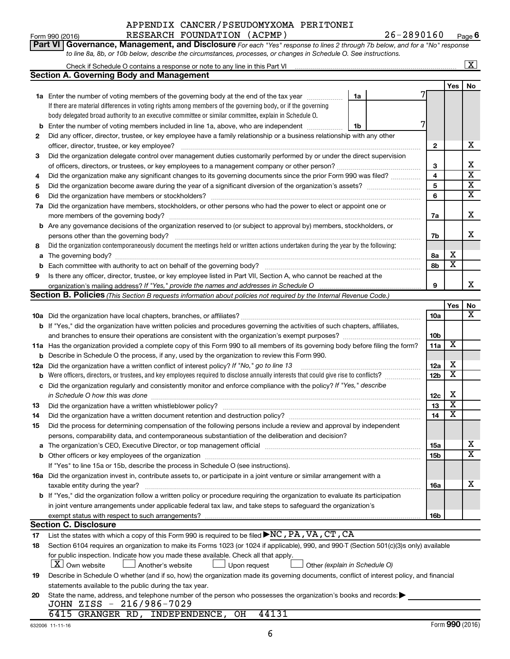## Form 990 (2016) RESEARCH FOUNDATION ( ACPMP ) 26-2890160 Page APPENDIX CANCER/PSEUDOMYXOMA PERITONEI

**6**

| Form 990 (2016) |                                                                                                                  | RESEARCH FOUNDATION (ACPMP) | 26-2890160                                                                                                                         | Pag |
|-----------------|------------------------------------------------------------------------------------------------------------------|-----------------------------|------------------------------------------------------------------------------------------------------------------------------------|-----|
|                 |                                                                                                                  |                             | <b>Part VI Governance, Management, and Disclosure</b> For each "Yes" response to lines 2 through 7b below, and for a "No" response |     |
|                 | to line 8a, 8b, or 10b below, describe the circumstances, processes, or changes in Schedule O. See instructions. |                             |                                                                                                                                    |     |

|     |                                                                                                                                                                                                                                |                 |                              | X                       |
|-----|--------------------------------------------------------------------------------------------------------------------------------------------------------------------------------------------------------------------------------|-----------------|------------------------------|-------------------------|
|     | Section A. Governing Body and Management                                                                                                                                                                                       |                 |                              |                         |
|     |                                                                                                                                                                                                                                |                 | Yes                          | No                      |
|     | <b>1a</b> Enter the number of voting members of the governing body at the end of the tax year<br>1a                                                                                                                            |                 |                              |                         |
|     | If there are material differences in voting rights among members of the governing body, or if the governing                                                                                                                    |                 |                              |                         |
|     | body delegated broad authority to an executive committee or similar committee, explain in Schedule O.                                                                                                                          |                 |                              |                         |
| b   | Enter the number of voting members included in line 1a, above, who are independent<br>1b                                                                                                                                       |                 |                              |                         |
| 2   | Did any officer, director, trustee, or key employee have a family relationship or a business relationship with any other                                                                                                       |                 |                              |                         |
|     | officer, director, trustee, or key employee?                                                                                                                                                                                   | 2               |                              | x                       |
| 3   | Did the organization delegate control over management duties customarily performed by or under the direct supervision                                                                                                          |                 |                              |                         |
|     |                                                                                                                                                                                                                                | 3               |                              | х                       |
| 4   | Did the organization make any significant changes to its governing documents since the prior Form 990 was filed?                                                                                                               | 4               |                              | $\overline{\textbf{x}}$ |
| 5   |                                                                                                                                                                                                                                | 5               |                              | $\overline{\textbf{x}}$ |
| 6   | Did the organization have members or stockholders?                                                                                                                                                                             | 6               |                              | $\overline{\mathtt{x}}$ |
| 7a  | Did the organization have members, stockholders, or other persons who had the power to elect or appoint one or                                                                                                                 |                 |                              |                         |
|     | more members of the governing body?                                                                                                                                                                                            | 7a              |                              | х                       |
|     | <b>b</b> Are any governance decisions of the organization reserved to (or subject to approval by) members, stockholders, or                                                                                                    |                 |                              |                         |
|     | persons other than the governing body?                                                                                                                                                                                         | 7b              |                              | х                       |
| 8   | Did the organization contemporaneously document the meetings held or written actions undertaken during the year by the following:                                                                                              |                 |                              |                         |
| a   | The governing body?                                                                                                                                                                                                            | 8а              | х<br>$\overline{\textbf{x}}$ |                         |
| b   |                                                                                                                                                                                                                                | 8b              |                              |                         |
| 9   | Is there any officer, director, trustee, or key employee listed in Part VII, Section A, who cannot be reached at the                                                                                                           |                 |                              | x                       |
|     | Section B. Policies (This Section B requests information about policies not required by the Internal Revenue Code.)                                                                                                            | 9               |                              |                         |
|     |                                                                                                                                                                                                                                |                 | Yes                          | No                      |
|     |                                                                                                                                                                                                                                | 10a             |                              | $\overline{\mathbf{X}}$ |
|     | <b>b</b> If "Yes," did the organization have written policies and procedures governing the activities of such chapters, affiliates,                                                                                            |                 |                              |                         |
|     |                                                                                                                                                                                                                                | 10 <sub>b</sub> |                              |                         |
|     | 11a Has the organization provided a complete copy of this Form 990 to all members of its governing body before filing the form?                                                                                                | 11a             | X                            |                         |
| b   | Describe in Schedule O the process, if any, used by the organization to review this Form 990.                                                                                                                                  |                 |                              |                         |
| 12a | Did the organization have a written conflict of interest policy? If "No," go to line 13                                                                                                                                        | 12a             | х                            |                         |
| b   | Were officers, directors, or trustees, and key employees required to disclose annually interests that could give rise to conflicts?                                                                                            | 12 <sub>b</sub> | $\overline{\textbf{x}}$      |                         |
| с   | Did the organization regularly and consistently monitor and enforce compliance with the policy? If "Yes," describe                                                                                                             |                 |                              |                         |
|     | in Schedule O how this was done                                                                                                                                                                                                | 12c             | х                            |                         |
| 13  | Did the organization have a written whistleblower policy?                                                                                                                                                                      | 13              | $\overline{\texttt{x}}$      |                         |
| 14  | Did the organization have a written document retention and destruction policy? [11] manuscription materials and destruction policy? [11] manuscription materials and the organization have a written document retention and de | 14              | $\overline{\texttt{x}}$      |                         |
| 15  | Did the process for determining compensation of the following persons include a review and approval by independent                                                                                                             |                 |                              |                         |
|     | persons, comparability data, and contemporaneous substantiation of the deliberation and decision?                                                                                                                              |                 |                              |                         |
| a   |                                                                                                                                                                                                                                | 15a             |                              | х                       |
|     | <b>b</b> Other officers or key employees of the organization                                                                                                                                                                   | 15 <sub>b</sub> |                              | $\overline{\mathtt{x}}$ |
|     | If "Yes" to line 15a or 15b, describe the process in Schedule O (see instructions).                                                                                                                                            |                 |                              |                         |
|     | 16a Did the organization invest in, contribute assets to, or participate in a joint venture or similar arrangement with a                                                                                                      |                 |                              |                         |
|     | taxable entity during the year?                                                                                                                                                                                                | 16a             |                              | х                       |
|     | <b>b</b> If "Yes," did the organization follow a written policy or procedure requiring the organization to evaluate its participation                                                                                          |                 |                              |                         |
|     | in joint venture arrangements under applicable federal tax law, and take steps to safeguard the organization's                                                                                                                 |                 |                              |                         |
|     | exempt status with respect to such arrangements?                                                                                                                                                                               | 16b             |                              |                         |
|     | <b>Section C. Disclosure</b><br>List the states with which a copy of this Form 990 is required to be filed NC, PA, VA, CT, CA                                                                                                  |                 |                              |                         |
| 17  |                                                                                                                                                                                                                                |                 |                              |                         |
| 18  | Section 6104 requires an organization to make its Forms 1023 (or 1024 if applicable), 990, and 990-T (Section 501(c)(3)s only) available                                                                                       |                 |                              |                         |
|     | for public inspection. Indicate how you made these available. Check all that apply.<br>$ \mathbf{X} $ Own website<br>Another's website<br>Upon request<br>Other (explain in Schedule O)                                        |                 |                              |                         |
| 19  | Describe in Schedule O whether (and if so, how) the organization made its governing documents, conflict of interest policy, and financial                                                                                      |                 |                              |                         |
|     | statements available to the public during the tax year.                                                                                                                                                                        |                 |                              |                         |
| 20  | State the name, address, and telephone number of the person who possesses the organization's books and records:                                                                                                                |                 |                              |                         |
|     | JOHN ZISS - 216/986-7029                                                                                                                                                                                                       |                 |                              |                         |

## 6415 GRANGER RD, INDEPENDENCE, OH 44131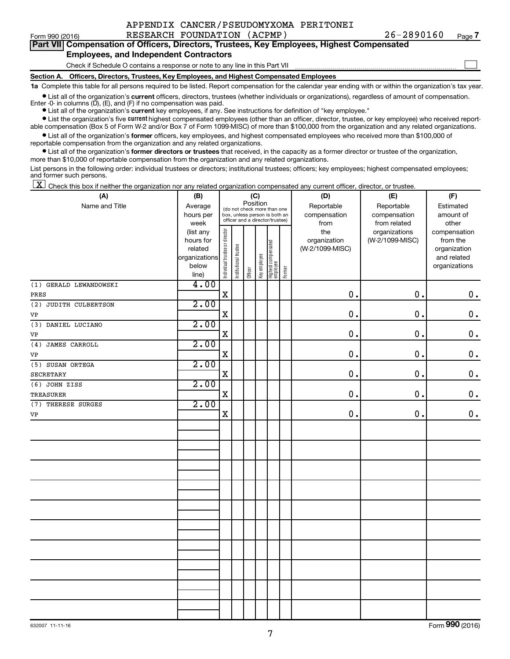|  |  | APPENDIX CANCER/PSEUDOMYXOMA PERITONEI |
|--|--|----------------------------------------|
|  |  |                                        |

 $\Box$ 

|  | Part VII Compensation of Officers, Directors, Trustees, Key Employees, Highest Compensated |
|--|--------------------------------------------------------------------------------------------|
|  | <b>Employees, and Independent Contractors</b>                                              |

#### Check if Schedule O contains a response or note to any line in this Part VII

**Section A. Officers, Directors, Trustees, Key Employees, and Highest Compensated Employees**

**1a**  Complete this table for all persons required to be listed. Report compensation for the calendar year ending with or within the organization's tax year.

**•** List all of the organization's current officers, directors, trustees (whether individuals or organizations), regardless of amount of compensation.

**•** List all of the organization's **current** key employees, if any. See instructions for definition of "key employee." Enter -0- in columns  $(D)$ ,  $(E)$ , and  $(F)$  if no compensation was paid.

**•** List the organization's five current highest compensated employees (other than an officer, director, trustee, or key employee) who received report-

**•** List all of the organization's former officers, key employees, and highest compensated employees who received more than \$100,000 of able compensation (Box 5 of Form W-2 and/or Box 7 of Form 1099-MISC) of more than \$100,000 from the organization and any related organizations. reportable compensation from the organization and any related organizations.

**•** List all of the organization's former directors or trustees that received, in the capacity as a former director or trustee of the organization, more than \$10,000 of reportable compensation from the organization and any related organizations.

List persons in the following order: individual trustees or directors; institutional trustees; officers; key employees; highest compensated employees; and former such persons.

|  |  |  | $\boxed{\mathbf{X}}$ Check this box if neither the organization nor any related organization compensated any current officer, director, or trustee. |  |  |  |  |  |
|--|--|--|-----------------------------------------------------------------------------------------------------------------------------------------------------|--|--|--|--|--|
|--|--|--|-----------------------------------------------------------------------------------------------------------------------------------------------------|--|--|--|--|--|

| (A)                    | (B)           | (C)                            |                                         |         |              |                                 |        | (D)             | (E)             | (F)           |  |
|------------------------|---------------|--------------------------------|-----------------------------------------|---------|--------------|---------------------------------|--------|-----------------|-----------------|---------------|--|
| Name and Title         | Average       |                                | Position<br>(do not check more than one |         |              |                                 |        | Reportable      | Reportable      | Estimated     |  |
|                        | hours per     |                                |                                         |         |              | box, unless person is both an   |        | compensation    | compensation    | amount of     |  |
|                        | week          |                                |                                         |         |              | officer and a director/trustee) |        | from            | from related    | other         |  |
|                        | (list any     |                                |                                         |         |              |                                 |        | the             | organizations   | compensation  |  |
|                        | hours for     |                                |                                         |         |              |                                 |        | organization    | (W-2/1099-MISC) | from the      |  |
|                        | related       |                                |                                         |         |              |                                 |        | (W-2/1099-MISC) |                 | organization  |  |
|                        | organizations |                                |                                         |         |              |                                 |        |                 |                 | and related   |  |
|                        | below         | Individual trustee or director | Institutional trustee                   |         | Key employee | Highest compensated<br>employee |        |                 |                 | organizations |  |
|                        | line)         |                                |                                         | Officer |              |                                 | Former |                 |                 |               |  |
| (1) GERALD LEWANDOWSKI | 4.00          |                                |                                         |         |              |                                 |        |                 |                 |               |  |
| PRES                   |               | $\mathbf X$                    |                                         |         |              |                                 |        | 0.              | 0.              | $\mathbf 0$ . |  |
| (2) JUDITH CULBERTSON  | 2.00          |                                |                                         |         |              |                                 |        |                 |                 |               |  |
| VP                     |               | $\mathbf X$                    |                                         |         |              |                                 |        | 0.              | 0.              | $\mathbf 0$ . |  |
| (3) DANIEL LUCIANO     | 2.00          |                                |                                         |         |              |                                 |        |                 |                 |               |  |
| VP                     |               | $\mathbf X$                    |                                         |         |              |                                 |        | 0.              | 0.              | $\mathbf 0$ . |  |
| JAMES CARROLL<br>(4)   | 2.00          |                                |                                         |         |              |                                 |        |                 |                 |               |  |
| VP                     |               | $\mathbf X$                    |                                         |         |              |                                 |        | 0.              | 0.              | $\mathbf 0$ . |  |
| (5) SUSAN ORTEGA       | 2.00          |                                |                                         |         |              |                                 |        |                 |                 |               |  |
| <b>SECRETARY</b>       |               | $\mathbf X$                    |                                         |         |              |                                 |        | 0.              | 0.              | $\mathbf 0$ . |  |
| (6) JOHN ZISS          | 2.00          |                                |                                         |         |              |                                 |        |                 |                 |               |  |
| <b>TREASURER</b>       |               | $\mathbf X$                    |                                         |         |              |                                 |        | 0.              | 0.              | $\mathbf 0$ . |  |
| (7) THERESE SURGES     | 2.00          |                                |                                         |         |              |                                 |        |                 |                 |               |  |
| VP                     |               | $\mathbf X$                    |                                         |         |              |                                 |        | 0.              | 0.              | $\mathbf 0$ . |  |
|                        |               |                                |                                         |         |              |                                 |        |                 |                 |               |  |
|                        |               |                                |                                         |         |              |                                 |        |                 |                 |               |  |
|                        |               |                                |                                         |         |              |                                 |        |                 |                 |               |  |
|                        |               |                                |                                         |         |              |                                 |        |                 |                 |               |  |
|                        |               |                                |                                         |         |              |                                 |        |                 |                 |               |  |
|                        |               |                                |                                         |         |              |                                 |        |                 |                 |               |  |
|                        |               |                                |                                         |         |              |                                 |        |                 |                 |               |  |
|                        |               |                                |                                         |         |              |                                 |        |                 |                 |               |  |
|                        |               |                                |                                         |         |              |                                 |        |                 |                 |               |  |
|                        |               |                                |                                         |         |              |                                 |        |                 |                 |               |  |
|                        |               |                                |                                         |         |              |                                 |        |                 |                 |               |  |
|                        |               |                                |                                         |         |              |                                 |        |                 |                 |               |  |
|                        |               |                                |                                         |         |              |                                 |        |                 |                 |               |  |
|                        |               |                                |                                         |         |              |                                 |        |                 |                 |               |  |
|                        |               |                                |                                         |         |              |                                 |        |                 |                 |               |  |
|                        |               |                                |                                         |         |              |                                 |        |                 |                 |               |  |
|                        |               |                                |                                         |         |              |                                 |        |                 |                 |               |  |
|                        |               |                                |                                         |         |              |                                 |        |                 |                 |               |  |
|                        |               |                                |                                         |         |              |                                 |        |                 |                 |               |  |
|                        |               |                                |                                         |         |              |                                 |        |                 |                 |               |  |

Form (2016) **990**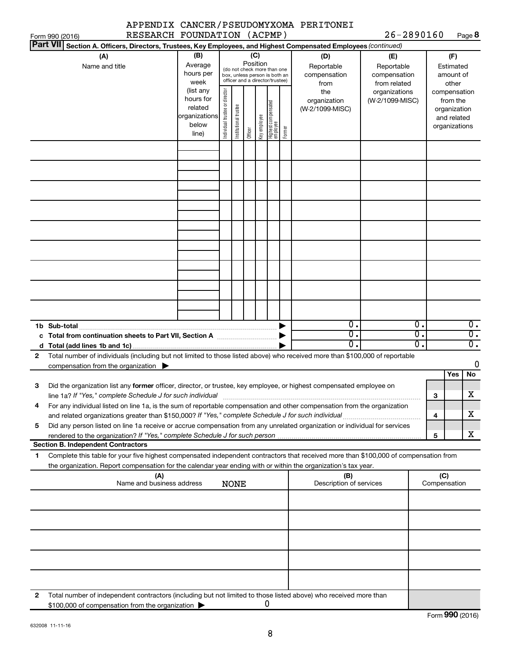|                 |                                                                                                                                                                                                                                                                                                                                                                     |                                                                                                             |                                |                       |                     |                     |                                                                                                                                        |        | APPENDIX CANCER/PSEUDOMYXOMA PERITONEI                                              |                                                                                       |                  |                                           |                                                                       |
|-----------------|---------------------------------------------------------------------------------------------------------------------------------------------------------------------------------------------------------------------------------------------------------------------------------------------------------------------------------------------------------------------|-------------------------------------------------------------------------------------------------------------|--------------------------------|-----------------------|---------------------|---------------------|----------------------------------------------------------------------------------------------------------------------------------------|--------|-------------------------------------------------------------------------------------|---------------------------------------------------------------------------------------|------------------|-------------------------------------------|-----------------------------------------------------------------------|
| Form 990 (2016) | RESEARCH FOUNDATION (ACPMP)                                                                                                                                                                                                                                                                                                                                         |                                                                                                             |                                |                       |                     |                     |                                                                                                                                        |        |                                                                                     | 26-2890160                                                                            |                  |                                           | Page 8                                                                |
| <b>Part VII</b> | Section A. Officers, Directors, Trustees, Key Employees, and Highest Compensated Employees (continued)                                                                                                                                                                                                                                                              |                                                                                                             |                                |                       |                     |                     |                                                                                                                                        |        |                                                                                     |                                                                                       |                  |                                           |                                                                       |
|                 | (A)<br>Name and title                                                                                                                                                                                                                                                                                                                                               | (B)<br>Average<br>hours per<br>week<br>(list any<br>hours for<br>related<br>organizations<br>below<br>line) | Individual trustee or director | Institutional trustee | Position<br>Officer | (C)<br>Key employee | (do not check more than one<br>box, unless person is both an<br>officer and a director/trustee)<br>  Highest compensated<br>  employee | Former | (D)<br>Reportable<br>compensation<br>from<br>the<br>organization<br>(W-2/1099-MISC) | (E)<br>Reportable<br>compensation<br>from related<br>organizations<br>(W-2/1099-MISC) |                  | from the<br>organization<br>organizations | (F)<br>Estimated<br>amount of<br>other<br>compensation<br>and related |
|                 |                                                                                                                                                                                                                                                                                                                                                                     |                                                                                                             |                                |                       |                     |                     |                                                                                                                                        |        |                                                                                     |                                                                                       |                  |                                           |                                                                       |
|                 |                                                                                                                                                                                                                                                                                                                                                                     |                                                                                                             |                                |                       |                     |                     |                                                                                                                                        |        |                                                                                     |                                                                                       |                  |                                           |                                                                       |
|                 | 1b Sub-total                                                                                                                                                                                                                                                                                                                                                        |                                                                                                             |                                |                       |                     |                     |                                                                                                                                        |        | 0.                                                                                  |                                                                                       | $\overline{0}$ . |                                           | $\overline{0}$ .                                                      |
|                 |                                                                                                                                                                                                                                                                                                                                                                     |                                                                                                             |                                |                       |                     |                     |                                                                                                                                        |        | σ.                                                                                  |                                                                                       | $\overline{0}$ . |                                           | $\overline{0}$ .                                                      |
|                 |                                                                                                                                                                                                                                                                                                                                                                     |                                                                                                             |                                |                       |                     |                     |                                                                                                                                        |        | О.                                                                                  |                                                                                       | σ.               |                                           | $\overline{0}$ .                                                      |
| $\mathbf{2}$    | Total number of individuals (including but not limited to those listed above) who received more than \$100,000 of reportable                                                                                                                                                                                                                                        |                                                                                                             |                                |                       |                     |                     |                                                                                                                                        |        |                                                                                     |                                                                                       |                  |                                           | 0                                                                     |
|                 | compensation from the organization $\blacktriangleright$                                                                                                                                                                                                                                                                                                            |                                                                                                             |                                |                       |                     |                     |                                                                                                                                        |        |                                                                                     |                                                                                       |                  |                                           | No<br>Yes                                                             |
| З<br>4          | Did the organization list any former officer, director, or trustee, key employee, or highest compensated employee on<br>line 1a? If "Yes," complete Schedule J for such individual manufactured content content from the content of the<br>For any individual listed on line 1a, is the sum of reportable compensation and other compensation from the organization |                                                                                                             |                                |                       |                     |                     |                                                                                                                                        |        |                                                                                     |                                                                                       |                  | з<br>4                                    | Χ<br>x                                                                |
| 5               | Did any person listed on line 1a receive or accrue compensation from any unrelated organization or individual for services                                                                                                                                                                                                                                          |                                                                                                             |                                |                       |                     |                     |                                                                                                                                        |        |                                                                                     |                                                                                       |                  |                                           |                                                                       |
|                 |                                                                                                                                                                                                                                                                                                                                                                     |                                                                                                             |                                |                       |                     |                     |                                                                                                                                        |        |                                                                                     |                                                                                       |                  | 5                                         | X                                                                     |
| 1               | <b>Section B. Independent Contractors</b><br>Complete this table for your five highest compensated independent contractors that received more than \$100,000 of compensation from                                                                                                                                                                                   |                                                                                                             |                                |                       |                     |                     |                                                                                                                                        |        |                                                                                     |                                                                                       |                  |                                           |                                                                       |
|                 | the organization. Report compensation for the calendar year ending with or within the organization's tax year.                                                                                                                                                                                                                                                      |                                                                                                             |                                |                       |                     |                     |                                                                                                                                        |        |                                                                                     |                                                                                       |                  |                                           |                                                                       |
|                 | (A)<br>Name and business address                                                                                                                                                                                                                                                                                                                                    |                                                                                                             |                                | <b>NONE</b>           |                     |                     |                                                                                                                                        |        | (B)<br>Description of services                                                      |                                                                                       |                  | (C)<br>Compensation                       |                                                                       |
|                 |                                                                                                                                                                                                                                                                                                                                                                     |                                                                                                             |                                |                       |                     |                     |                                                                                                                                        |        |                                                                                     |                                                                                       |                  |                                           |                                                                       |
|                 |                                                                                                                                                                                                                                                                                                                                                                     |                                                                                                             |                                |                       |                     |                     |                                                                                                                                        |        |                                                                                     |                                                                                       |                  |                                           |                                                                       |
|                 |                                                                                                                                                                                                                                                                                                                                                                     |                                                                                                             |                                |                       |                     |                     |                                                                                                                                        |        |                                                                                     |                                                                                       |                  |                                           |                                                                       |
|                 |                                                                                                                                                                                                                                                                                                                                                                     |                                                                                                             |                                |                       |                     |                     |                                                                                                                                        |        |                                                                                     |                                                                                       |                  |                                           |                                                                       |
|                 |                                                                                                                                                                                                                                                                                                                                                                     |                                                                                                             |                                |                       |                     |                     |                                                                                                                                        |        |                                                                                     |                                                                                       |                  |                                           |                                                                       |
|                 |                                                                                                                                                                                                                                                                                                                                                                     |                                                                                                             |                                |                       |                     |                     |                                                                                                                                        |        |                                                                                     |                                                                                       |                  |                                           |                                                                       |
|                 |                                                                                                                                                                                                                                                                                                                                                                     |                                                                                                             |                                |                       |                     |                     |                                                                                                                                        |        |                                                                                     |                                                                                       |                  |                                           |                                                                       |
|                 |                                                                                                                                                                                                                                                                                                                                                                     |                                                                                                             |                                |                       |                     |                     |                                                                                                                                        |        |                                                                                     |                                                                                       |                  |                                           |                                                                       |
| 2               | Total number of independent contractors (including but not limited to those listed above) who received more than<br>\$100,000 of compensation from the organization                                                                                                                                                                                                 |                                                                                                             |                                |                       |                     |                     | 0                                                                                                                                      |        |                                                                                     |                                                                                       |                  |                                           |                                                                       |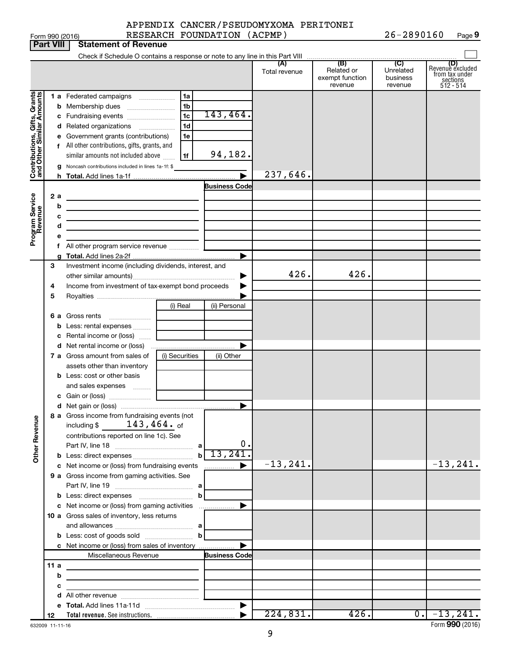|                 | APPENDIX CANCER/PSEUDOMYXOMA PERITONEI |                |      |
|-----------------|----------------------------------------|----------------|------|
| Form 990 (2016) | RESEARCH FOUNDATION (ACPMP)            | $26 - 2890160$ | Page |

|                              |                  | Form 990 (2016)                                                                           |                | RESEARCH FOUNDATION (ACPMP) |                      |                                                 | 26-2890160                              | Page 9                                                             |
|------------------------------|------------------|-------------------------------------------------------------------------------------------|----------------|-----------------------------|----------------------|-------------------------------------------------|-----------------------------------------|--------------------------------------------------------------------|
|                              | <b>Part VIII</b> | <b>Statement of Revenue</b>                                                               |                |                             |                      |                                                 |                                         |                                                                    |
|                              |                  |                                                                                           |                |                             |                      |                                                 |                                         |                                                                    |
|                              |                  |                                                                                           |                |                             | (A)<br>Total revenue | (B)<br>Related or<br>exempt function<br>revenue | (C)<br>Unrelated<br>business<br>revenue | (D)<br>Revenue excluded<br>from tax under<br>sections<br>512 - 514 |
|                              |                  | 1 a Federated campaigns                                                                   | 1a             |                             |                      |                                                 |                                         |                                                                    |
| Contributions, Gifts, Grants |                  | Membership dues<br>b                                                                      | 1 <sub>b</sub> |                             |                      |                                                 |                                         |                                                                    |
|                              |                  | c Fundraising events                                                                      | 1 <sub>c</sub> | 143,464.                    |                      |                                                 |                                         |                                                                    |
|                              |                  | d Related organizations                                                                   | 1 <sub>d</sub> |                             |                      |                                                 |                                         |                                                                    |
|                              |                  | e Government grants (contributions)                                                       | 1e             |                             |                      |                                                 |                                         |                                                                    |
|                              |                  | f All other contributions, gifts, grants, and                                             |                |                             |                      |                                                 |                                         |                                                                    |
|                              |                  | similar amounts not included above                                                        | 1f             | 94,182.                     |                      |                                                 |                                         |                                                                    |
|                              |                  | g Noncash contributions included in lines 1a-1f: \$                                       |                |                             |                      |                                                 |                                         |                                                                    |
|                              |                  |                                                                                           |                |                             | 237,646.             |                                                 |                                         |                                                                    |
|                              |                  |                                                                                           |                | <b>Business Code</b>        |                      |                                                 |                                         |                                                                    |
|                              | 2 a              |                                                                                           |                |                             |                      |                                                 |                                         |                                                                    |
|                              | b                | the control of the control of the control of the control of the control of the control of |                |                             |                      |                                                 |                                         |                                                                    |
|                              |                  | с                                                                                         |                |                             |                      |                                                 |                                         |                                                                    |
|                              |                  | d                                                                                         |                |                             |                      |                                                 |                                         |                                                                    |
| Program Service<br>Revenue   |                  | е                                                                                         |                |                             |                      |                                                 |                                         |                                                                    |
|                              |                  | f All other program service revenue                                                       |                |                             |                      |                                                 |                                         |                                                                    |
|                              |                  |                                                                                           |                |                             |                      |                                                 |                                         |                                                                    |
|                              | 3                | Investment income (including dividends, interest, and                                     |                |                             |                      |                                                 |                                         |                                                                    |
|                              |                  |                                                                                           |                | ▶                           | 426.                 | 426.                                            |                                         |                                                                    |
|                              | 4                | Income from investment of tax-exempt bond proceeds                                        |                |                             |                      |                                                 |                                         |                                                                    |
|                              | 5                |                                                                                           |                |                             |                      |                                                 |                                         |                                                                    |
|                              |                  |                                                                                           | (i) Real       | (ii) Personal               |                      |                                                 |                                         |                                                                    |
|                              | 6а               | Gross rents<br>$\ldots \ldots \ldots \ldots \ldots$                                       |                |                             |                      |                                                 |                                         |                                                                    |
|                              |                  | Less: rental expenses<br>b                                                                |                |                             |                      |                                                 |                                         |                                                                    |
|                              |                  | Rental income or (loss)<br>c                                                              |                |                             |                      |                                                 |                                         |                                                                    |
|                              |                  |                                                                                           |                | ▶                           |                      |                                                 |                                         |                                                                    |
|                              |                  | 7 a Gross amount from sales of                                                            | (i) Securities | (ii) Other                  |                      |                                                 |                                         |                                                                    |
|                              |                  | assets other than inventory                                                               |                |                             |                      |                                                 |                                         |                                                                    |
|                              |                  | <b>b</b> Less: cost or other basis                                                        |                |                             |                      |                                                 |                                         |                                                                    |
|                              |                  | and sales expenses                                                                        |                |                             |                      |                                                 |                                         |                                                                    |
|                              |                  |                                                                                           |                |                             |                      |                                                 |                                         |                                                                    |
|                              |                  |                                                                                           |                |                             |                      |                                                 |                                         |                                                                    |
|                              |                  | 8 a Gross income from fundraising events (not                                             |                |                             |                      |                                                 |                                         |                                                                    |
|                              |                  | $143$ ,464. $_{\rm of}$<br>including \$                                                   |                |                             |                      |                                                 |                                         |                                                                    |
| <b>Other Revenue</b>         |                  | contributions reported on line 1c). See                                                   |                |                             |                      |                                                 |                                         |                                                                    |
|                              |                  |                                                                                           |                | 0.                          |                      |                                                 |                                         |                                                                    |
|                              |                  |                                                                                           |                | 13,241                      |                      |                                                 |                                         |                                                                    |
|                              |                  | c Net income or (loss) from fundraising events                                            |                | ▶<br>.                      | $-13, 241.$          |                                                 |                                         | $-13, 241.$                                                        |
|                              |                  | 9 a Gross income from gaming activities. See                                              |                |                             |                      |                                                 |                                         |                                                                    |
|                              |                  |                                                                                           |                |                             |                      |                                                 |                                         |                                                                    |
|                              |                  |                                                                                           |                |                             |                      |                                                 |                                         |                                                                    |
|                              |                  | c Net income or (loss) from gaming activities                                             |                | ▶                           |                      |                                                 |                                         |                                                                    |
|                              |                  | 10 a Gross sales of inventory, less returns                                               |                |                             |                      |                                                 |                                         |                                                                    |
|                              |                  |                                                                                           |                |                             |                      |                                                 |                                         |                                                                    |
|                              |                  | <b>b</b> Less: cost of goods sold $\ldots$ <b>b</b>                                       |                |                             |                      |                                                 |                                         |                                                                    |
|                              |                  | c Net income or (loss) from sales of inventory                                            |                | ▶                           |                      |                                                 |                                         |                                                                    |
|                              |                  | Miscellaneous Revenue                                                                     |                | <b>Business Code</b>        |                      |                                                 |                                         |                                                                    |
|                              | 11 a             | the control of the control of the control of the control of                               |                |                             |                      |                                                 |                                         |                                                                    |
|                              |                  | b                                                                                         |                |                             |                      |                                                 |                                         |                                                                    |
|                              | с                |                                                                                           |                |                             |                      |                                                 |                                         |                                                                    |
|                              |                  |                                                                                           |                |                             |                      |                                                 |                                         |                                                                    |
|                              |                  |                                                                                           |                |                             |                      | 426.                                            |                                         |                                                                    |
|                              | 12               |                                                                                           |                |                             | 224,831.             |                                                 | $\overline{0}$ .                        | $-13,241.$                                                         |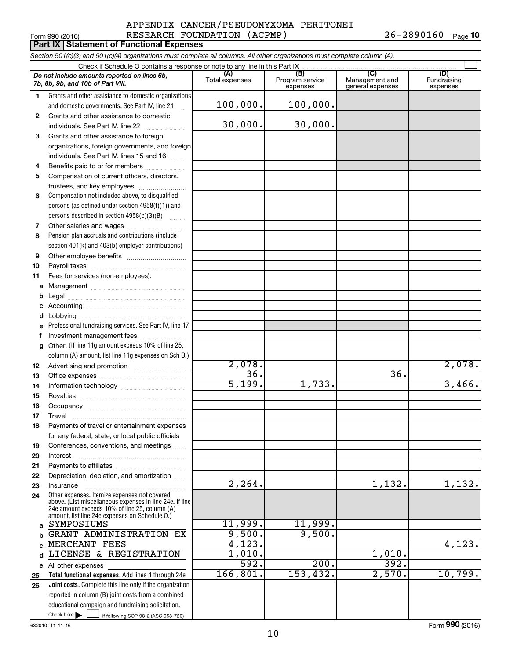#### Form 990 (2016) Page APPENDIX CANCER/PSEUDOMYXOMA PERITONEI RESEARCH FOUNDATION (ACPMP) 26-2890160

26-2890160 Page 10

|        | Part IX   Statement of Functional Expenses                                                                                 |                       |                                    |                                           |                                |
|--------|----------------------------------------------------------------------------------------------------------------------------|-----------------------|------------------------------------|-------------------------------------------|--------------------------------|
|        | Section 501(c)(3) and 501(c)(4) organizations must complete all columns. All other organizations must complete column (A). |                       |                                    |                                           |                                |
|        | Check if Schedule O contains a response or note to any line in this Part IX                                                |                       |                                    |                                           |                                |
|        | Do not include amounts reported on lines 6b,<br>7b, 8b, 9b, and 10b of Part VIII.                                          | (A)<br>Total expenses | (B)<br>Program service<br>expenses | (C)<br>Management and<br>general expenses | (D)<br>Fundraising<br>expenses |
| 1      | Grants and other assistance to domestic organizations                                                                      |                       |                                    |                                           |                                |
|        | and domestic governments. See Part IV, line 21                                                                             | 100,000.              | 100,000.                           |                                           |                                |
| 2      | Grants and other assistance to domestic                                                                                    |                       |                                    |                                           |                                |
|        | individuals. See Part IV, line 22                                                                                          | 30,000.               | 30,000.                            |                                           |                                |
| 3      | Grants and other assistance to foreign                                                                                     |                       |                                    |                                           |                                |
|        | organizations, foreign governments, and foreign                                                                            |                       |                                    |                                           |                                |
|        | individuals. See Part IV, lines 15 and 16                                                                                  |                       |                                    |                                           |                                |
| 4      | Benefits paid to or for members                                                                                            |                       |                                    |                                           |                                |
| 5      | Compensation of current officers, directors,                                                                               |                       |                                    |                                           |                                |
|        | trustees, and key employees                                                                                                |                       |                                    |                                           |                                |
| 6      | Compensation not included above, to disqualified                                                                           |                       |                                    |                                           |                                |
|        | persons (as defined under section 4958(f)(1)) and                                                                          |                       |                                    |                                           |                                |
|        | persons described in section 4958(c)(3)(B)                                                                                 |                       |                                    |                                           |                                |
| 7<br>8 | Other salaries and wages<br>Pension plan accruals and contributions (include                                               |                       |                                    |                                           |                                |
|        | section 401(k) and 403(b) employer contributions)                                                                          |                       |                                    |                                           |                                |
| 9      |                                                                                                                            |                       |                                    |                                           |                                |
| 10     |                                                                                                                            |                       |                                    |                                           |                                |
| 11     | Fees for services (non-employees):                                                                                         |                       |                                    |                                           |                                |
| а      |                                                                                                                            |                       |                                    |                                           |                                |
| b      |                                                                                                                            |                       |                                    |                                           |                                |
|        |                                                                                                                            |                       |                                    |                                           |                                |
| d      |                                                                                                                            |                       |                                    |                                           |                                |
|        | Professional fundraising services. See Part IV, line 17                                                                    |                       |                                    |                                           |                                |
| f      | Investment management fees                                                                                                 |                       |                                    |                                           |                                |
| g      | Other. (If line 11g amount exceeds 10% of line 25,                                                                         |                       |                                    |                                           |                                |
|        | column (A) amount, list line 11g expenses on Sch O.)                                                                       |                       |                                    |                                           |                                |
| 12     |                                                                                                                            | 2,078.                |                                    |                                           | 2,078.                         |
| 13     |                                                                                                                            | 36.                   |                                    | 36.                                       |                                |
| 14     |                                                                                                                            | 5,199.                | 1,733.                             |                                           | 3,466.                         |
| 15     |                                                                                                                            |                       |                                    |                                           |                                |
| 16     |                                                                                                                            |                       |                                    |                                           |                                |
| 17     | Travel                                                                                                                     |                       |                                    |                                           |                                |
| 18     | Payments of travel or entertainment expenses                                                                               |                       |                                    |                                           |                                |
| 19     | for any federal, state, or local public officials<br>Conferences, conventions, and meetings                                |                       |                                    |                                           |                                |
| 20     | Interest                                                                                                                   |                       |                                    |                                           |                                |
| 21     |                                                                                                                            |                       |                                    |                                           |                                |
| 22     | Depreciation, depletion, and amortization                                                                                  |                       |                                    |                                           |                                |
| 23     | Insurance                                                                                                                  | 2, 264.               |                                    | 1,132.                                    | 1,132.                         |
| 24     | Other expenses. Itemize expenses not covered                                                                               |                       |                                    |                                           |                                |
|        | above. (List miscellaneous expenses in line 24e. If line<br>24e amount exceeds 10% of line 25, column (A)                  |                       |                                    |                                           |                                |
|        | amount, list line 24e expenses on Schedule O.)                                                                             |                       |                                    |                                           |                                |
| a      | SYMPOSIUMS                                                                                                                 | 11,999.               | 11,999.                            |                                           |                                |
| b      | <b>GRANT ADMINISTRATION EX</b>                                                                                             | 9,500.                | 9,500.                             |                                           |                                |
| C      | <b>MERCHANT FEES</b>                                                                                                       | 4,123.                |                                    |                                           | 4,123.                         |
| d      | LICENSE & REGISTRATION                                                                                                     | 1,010.                |                                    | 1,010.                                    |                                |
| е      | All other expenses                                                                                                         | 592.                  | 200.                               | 392.                                      |                                |
| 25     | Total functional expenses. Add lines 1 through 24e                                                                         | 166, 801.             | 153,432.                           | 2,570.                                    | 10,799.                        |
| 26     | Joint costs. Complete this line only if the organization                                                                   |                       |                                    |                                           |                                |
|        | reported in column (B) joint costs from a combined                                                                         |                       |                                    |                                           |                                |
|        | educational campaign and fundraising solicitation.<br>Check here $\blacktriangleright$                                     |                       |                                    |                                           |                                |
|        | if following SOP 98-2 (ASC 958-720)                                                                                        |                       |                                    |                                           |                                |

632010 11-11-16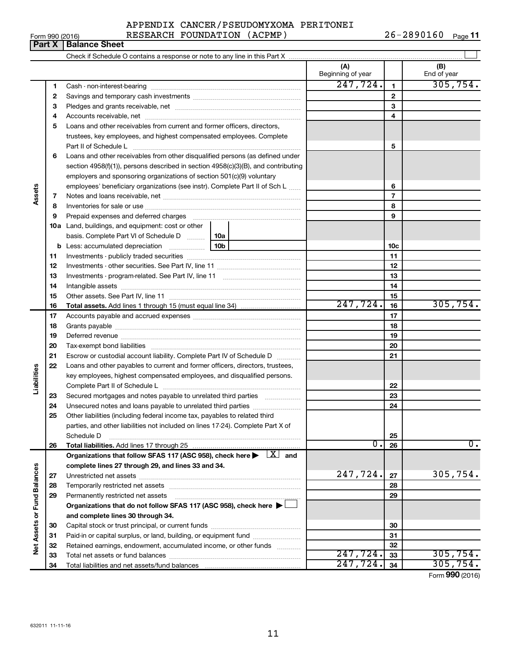**34**

Total liabilities and net assets/fund balances

**Net Assets or Fund Balances**

Net Assets or Fund Balances

**1 2 3**

**Assets**

**Liabilities**

# APPENDIX CANCER/PSEUDOMYXOMA PERITONEI

Cash - non-interest-bearing ~~~~~~~~~~~~~~~~~~~~~~~~~ Savings and temporary cash investments ~~~~~~~~~~~~~~~~~~ Pledges and grants receivable, net ~~~~~~~~~~~~~~~~~~~~~ **(A) (B)**

Beginning of year  $\vert$  | End of year

 $247, 724.$  1 305, 754.

| Form 990 (2016) |                                                                            | RESEARCH FOUNDATION | (ACPMP) | 26-2890160 | Page 11 |
|-----------------|----------------------------------------------------------------------------|---------------------|---------|------------|---------|
|                 | <b>Part X   Balance Sheet</b>                                              |                     |         |            |         |
|                 | Check if Schedule O contains a response or note to any line in this Part X |                     |         |            |         |

| 4  |                                                                                                                                                                                                                                |          |          |          | 4               |          |
|----|--------------------------------------------------------------------------------------------------------------------------------------------------------------------------------------------------------------------------------|----------|----------|----------|-----------------|----------|
| 5  | Loans and other receivables from current and former officers, directors,                                                                                                                                                       |          |          |          |                 |          |
|    | trustees, key employees, and highest compensated employees. Complete                                                                                                                                                           |          |          |          |                 |          |
|    | Part II of Schedule L                                                                                                                                                                                                          |          |          |          | 5               |          |
| 6  | Loans and other receivables from other disqualified persons (as defined under                                                                                                                                                  |          |          |          |                 |          |
|    | section 4958(f)(1)), persons described in section 4958(c)(3)(B), and contributing                                                                                                                                              |          |          |          |                 |          |
|    | employers and sponsoring organizations of section 501(c)(9) voluntary                                                                                                                                                          |          |          |          |                 |          |
|    | employees' beneficiary organizations (see instr). Complete Part II of Sch L                                                                                                                                                    |          |          |          | 6               |          |
| 7  |                                                                                                                                                                                                                                |          |          |          | $\overline{7}$  |          |
| 8  |                                                                                                                                                                                                                                |          |          |          | 8               |          |
| 9  | Prepaid expenses and deferred charges [11] [11] prepaid expenses and deferred charges [11] [11] minimum and the Prepaid expenses and deferred charges [11] minimum and the Prepaid experiment of Prepaid experiment and the Pr |          |          |          | 9               |          |
|    | <b>10a</b> Land, buildings, and equipment: cost or other                                                                                                                                                                       |          |          |          |                 |          |
|    | basis. Complete Part VI of Schedule D                                                                                                                                                                                          | 10a      |          |          |                 |          |
|    | b Less: accumulated depreciation [11,11,11,11,11,11]                                                                                                                                                                           | 10b      |          |          | 10 <sub>c</sub> |          |
| 11 |                                                                                                                                                                                                                                |          |          | 11       |                 |          |
| 12 |                                                                                                                                                                                                                                |          | 12       |          |                 |          |
| 13 |                                                                                                                                                                                                                                |          | 13       |          |                 |          |
| 14 |                                                                                                                                                                                                                                |          | 14       |          |                 |          |
| 15 |                                                                                                                                                                                                                                |          | 15       |          |                 |          |
| 16 |                                                                                                                                                                                                                                | 247,724. | 16       | 305,754. |                 |          |
| 17 |                                                                                                                                                                                                                                |          | 17       |          |                 |          |
| 18 |                                                                                                                                                                                                                                |          |          | 18       |                 |          |
| 19 |                                                                                                                                                                                                                                |          |          |          | 19              |          |
| 20 |                                                                                                                                                                                                                                |          |          |          | 20              |          |
| 21 | Escrow or custodial account liability. Complete Part IV of Schedule D                                                                                                                                                          |          |          |          | 21              |          |
| 22 | Loans and other payables to current and former officers, directors, trustees,                                                                                                                                                  |          |          |          |                 |          |
|    | key employees, highest compensated employees, and disqualified persons.                                                                                                                                                        |          |          |          |                 |          |
|    |                                                                                                                                                                                                                                |          |          |          | 22              |          |
| 23 | Secured mortgages and notes payable to unrelated third parties                                                                                                                                                                 |          |          |          | 23              |          |
| 24 | Unsecured notes and loans payable to unrelated third parties                                                                                                                                                                   |          |          |          | 24              |          |
| 25 | Other liabilities (including federal income tax, payables to related third                                                                                                                                                     |          |          |          |                 |          |
|    | parties, and other liabilities not included on lines 17-24). Complete Part X of                                                                                                                                                |          |          |          |                 |          |
|    | Schedule D                                                                                                                                                                                                                     |          |          |          | 25              |          |
| 26 |                                                                                                                                                                                                                                |          |          | Ο.       | 26              | 0.       |
|    | Organizations that follow SFAS 117 (ASC 958), check here $\blacktriangleright \lfloor X \rfloor$ and                                                                                                                           |          |          |          |                 |          |
|    | complete lines 27 through 29, and lines 33 and 34.                                                                                                                                                                             |          |          |          |                 |          |
| 27 |                                                                                                                                                                                                                                |          | 247,724. | 27       | 305,754.        |          |
| 28 |                                                                                                                                                                                                                                |          |          |          | 28              |          |
| 29 | Permanently restricted net assets                                                                                                                                                                                              |          |          |          | 29              |          |
|    | Organizations that do not follow SFAS 117 (ASC 958), check here $\blacktriangleright$                                                                                                                                          |          |          |          |                 |          |
|    | and complete lines 30 through 34.                                                                                                                                                                                              |          |          |          |                 |          |
| 30 |                                                                                                                                                                                                                                |          |          |          | 30              |          |
| 31 | Paid-in or capital surplus, or land, building, or equipment fund                                                                                                                                                               |          |          |          | 31              |          |
| 32 | Retained earnings, endowment, accumulated income, or other funds                                                                                                                                                               |          |          |          | 32              |          |
| 33 | Total net assets or fund balances                                                                                                                                                                                              |          |          | 247,724. | 33              | 305,754. |

**34** 247,724. 305,754.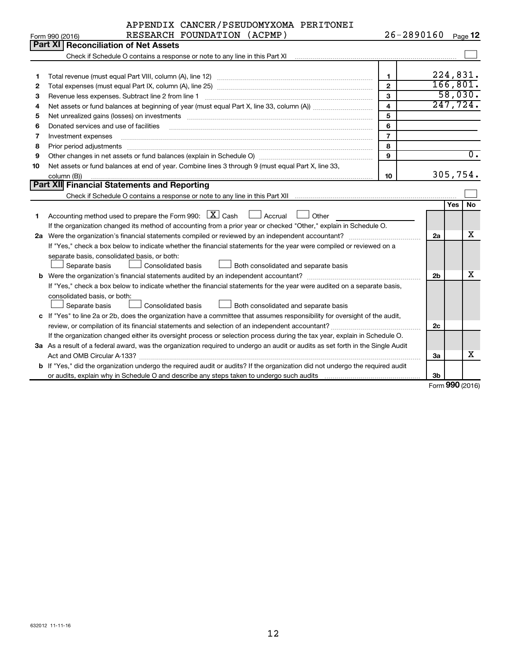|                 | APPENDIX CANCER/PSEUDOMYXOMA PERITONEI |  |                |                |
|-----------------|----------------------------------------|--|----------------|----------------|
| Form 990 (2016) | RESEARCH FOUNDATION (ACPMP)            |  | $26 - 2890160$ | Page $\sf{12}$ |

|    | Part XI   Reconciliation of Net Assets                                                                                                          |                         |                |           |                  |
|----|-------------------------------------------------------------------------------------------------------------------------------------------------|-------------------------|----------------|-----------|------------------|
|    |                                                                                                                                                 |                         |                |           |                  |
|    |                                                                                                                                                 |                         |                |           |                  |
| 1  |                                                                                                                                                 | $\mathbf{1}$            |                | 224,831.  |                  |
| 2  |                                                                                                                                                 | $\mathfrak{p}$          |                | 166, 801. |                  |
| 3  |                                                                                                                                                 | $\mathbf{3}$            |                | 58,030.   |                  |
| 4  |                                                                                                                                                 | $\overline{\mathbf{4}}$ |                | 247,724.  |                  |
| 5  |                                                                                                                                                 | 5                       |                |           |                  |
| 6  | Donated services and use of facilities                                                                                                          | 6                       |                |           |                  |
| 7  | Investment expenses                                                                                                                             | $\overline{7}$          |                |           |                  |
| 8  | Prior period adjustments                                                                                                                        | 8                       |                |           |                  |
| 9  | Other changes in net assets or fund balances (explain in Schedule O) manufacture changes in net assets or fund balances (explain in Schedule O) | $\mathbf{9}$            |                |           | $\overline{0}$ . |
| 10 | Net assets or fund balances at end of year. Combine lines 3 through 9 (must equal Part X, line 33,                                              |                         |                |           |                  |
|    | column (B))                                                                                                                                     | 10                      |                | 305,754.  |                  |
|    | Part XII Financial Statements and Reporting                                                                                                     |                         |                |           |                  |
|    | Check if Schedule O contains a response or note to any line in this Part XII                                                                    |                         |                |           |                  |
|    |                                                                                                                                                 |                         |                | Yes       | No               |
| 1  | Accounting method used to prepare the Form 990: $X$ Cash<br>$\Box$ Accrual<br>Other                                                             |                         |                |           |                  |
|    | If the organization changed its method of accounting from a prior year or checked "Other," explain in Schedule O.                               |                         |                |           |                  |
|    | 2a Were the organization's financial statements compiled or reviewed by an independent accountant?                                              |                         | 2a             |           | х                |
|    | If "Yes," check a box below to indicate whether the financial statements for the year were compiled or reviewed on a                            |                         |                |           |                  |
|    | separate basis, consolidated basis, or both:                                                                                                    |                         |                |           |                  |
|    | Separate basis<br>Consolidated basis<br>$\perp$ Both consolidated and separate basis                                                            |                         |                |           |                  |
|    | <b>b</b> Were the organization's financial statements audited by an independent accountant?                                                     |                         | 2 <sub>b</sub> |           | х                |
|    | If "Yes," check a box below to indicate whether the financial statements for the year were audited on a separate basis,                         |                         |                |           |                  |
|    | consolidated basis, or both:                                                                                                                    |                         |                |           |                  |
|    | Consolidated basis<br>Both consolidated and separate basis<br>Separate basis                                                                    |                         |                |           |                  |
|    | c If "Yes" to line 2a or 2b, does the organization have a committee that assumes responsibility for oversight of the audit,                     |                         |                |           |                  |
|    |                                                                                                                                                 |                         | 2c             |           |                  |
|    | If the organization changed either its oversight process or selection process during the tax year, explain in Schedule O.                       |                         |                |           |                  |
|    | 3a As a result of a federal award, was the organization required to undergo an audit or audits as set forth in the Single Audit                 |                         |                |           |                  |
|    | Act and OMB Circular A-133?                                                                                                                     |                         | За             |           | x                |
|    | b If "Yes," did the organization undergo the required audit or audits? If the organization did not undergo the required audit                   |                         |                |           |                  |
|    |                                                                                                                                                 |                         | 3b             |           |                  |
|    |                                                                                                                                                 |                         |                | $\sim$    |                  |

Form (2016) **990**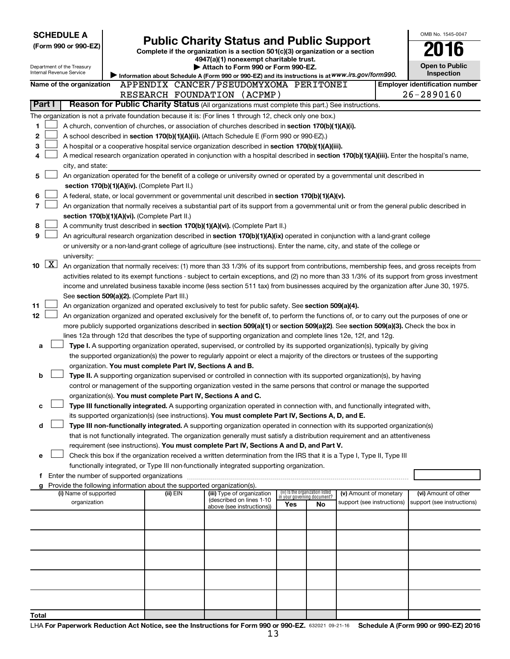|       |                                                                                                                                                                                                                                                                                            | <b>SCHEDULE A</b>                                      |                                               |  |          |                                                                                                                                                                                                                                                           |  |  |                                                                |                        |  | OMB No. 1545-0047                                                                                                                          |
|-------|--------------------------------------------------------------------------------------------------------------------------------------------------------------------------------------------------------------------------------------------------------------------------------------------|--------------------------------------------------------|-----------------------------------------------|--|----------|-----------------------------------------------------------------------------------------------------------------------------------------------------------------------------------------------------------------------------------------------------------|--|--|----------------------------------------------------------------|------------------------|--|--------------------------------------------------------------------------------------------------------------------------------------------|
|       |                                                                                                                                                                                                                                                                                            | (Form 990 or 990-EZ)                                   |                                               |  |          | <b>Public Charity Status and Public Support</b><br>Complete if the organization is a section 501(c)(3) organization or a section                                                                                                                          |  |  |                                                                |                        |  |                                                                                                                                            |
|       |                                                                                                                                                                                                                                                                                            |                                                        |                                               |  |          | 4947(a)(1) nonexempt charitable trust.                                                                                                                                                                                                                    |  |  |                                                                |                        |  |                                                                                                                                            |
|       |                                                                                                                                                                                                                                                                                            | Department of the Treasury<br>Internal Revenue Service |                                               |  |          | Attach to Form 990 or Form 990-EZ.                                                                                                                                                                                                                        |  |  |                                                                |                        |  | <b>Open to Public</b><br>Inspection                                                                                                        |
|       |                                                                                                                                                                                                                                                                                            |                                                        |                                               |  |          | Information about Schedule A (Form 990 or 990-EZ) and its instructions is at WWW.irs.gov/form990.                                                                                                                                                         |  |  |                                                                |                        |  |                                                                                                                                            |
|       |                                                                                                                                                                                                                                                                                            | Name of the organization                               |                                               |  |          | APPENDIX CANCER/PSEUDOMYXOMA PERITONEI<br>RESEARCH FOUNDATION (ACPMP)                                                                                                                                                                                     |  |  |                                                                |                        |  | <b>Employer identification number</b><br>26-2890160                                                                                        |
|       | Part I                                                                                                                                                                                                                                                                                     |                                                        |                                               |  |          | Reason for Public Charity Status (All organizations must complete this part.) See instructions.                                                                                                                                                           |  |  |                                                                |                        |  |                                                                                                                                            |
|       |                                                                                                                                                                                                                                                                                            |                                                        |                                               |  |          | The organization is not a private foundation because it is: (For lines 1 through 12, check only one box.)                                                                                                                                                 |  |  |                                                                |                        |  |                                                                                                                                            |
| 1     |                                                                                                                                                                                                                                                                                            |                                                        |                                               |  |          | A church, convention of churches, or association of churches described in section 170(b)(1)(A)(i).                                                                                                                                                        |  |  |                                                                |                        |  |                                                                                                                                            |
| 2     |                                                                                                                                                                                                                                                                                            |                                                        |                                               |  |          | A school described in section 170(b)(1)(A)(ii). (Attach Schedule E (Form 990 or 990-EZ).)                                                                                                                                                                 |  |  |                                                                |                        |  |                                                                                                                                            |
| 3     |                                                                                                                                                                                                                                                                                            |                                                        |                                               |  |          | A hospital or a cooperative hospital service organization described in section 170(b)(1)(A)(iii).                                                                                                                                                         |  |  |                                                                |                        |  |                                                                                                                                            |
| 4     |                                                                                                                                                                                                                                                                                            |                                                        |                                               |  |          |                                                                                                                                                                                                                                                           |  |  |                                                                |                        |  | A medical research organization operated in conjunction with a hospital described in section 170(b)(1)(A)(iii). Enter the hospital's name, |
|       |                                                                                                                                                                                                                                                                                            | city, and state:                                       |                                               |  |          |                                                                                                                                                                                                                                                           |  |  |                                                                |                        |  |                                                                                                                                            |
| 5     |                                                                                                                                                                                                                                                                                            |                                                        |                                               |  |          | An organization operated for the benefit of a college or university owned or operated by a governmental unit described in                                                                                                                                 |  |  |                                                                |                        |  |                                                                                                                                            |
|       |                                                                                                                                                                                                                                                                                            |                                                        | section 170(b)(1)(A)(iv). (Complete Part II.) |  |          |                                                                                                                                                                                                                                                           |  |  |                                                                |                        |  |                                                                                                                                            |
| 6     | A federal, state, or local government or governmental unit described in section 170(b)(1)(A)(v).                                                                                                                                                                                           |                                                        |                                               |  |          |                                                                                                                                                                                                                                                           |  |  |                                                                |                        |  |                                                                                                                                            |
| 7     | An organization that normally receives a substantial part of its support from a governmental unit or from the general public described in                                                                                                                                                  |                                                        |                                               |  |          |                                                                                                                                                                                                                                                           |  |  |                                                                |                        |  |                                                                                                                                            |
| 8     | section 170(b)(1)(A)(vi). (Complete Part II.)<br>A community trust described in section 170(b)(1)(A)(vi). (Complete Part II.)                                                                                                                                                              |                                                        |                                               |  |          |                                                                                                                                                                                                                                                           |  |  |                                                                |                        |  |                                                                                                                                            |
| 9     |                                                                                                                                                                                                                                                                                            |                                                        |                                               |  |          |                                                                                                                                                                                                                                                           |  |  |                                                                |                        |  |                                                                                                                                            |
|       | An agricultural research organization described in section 170(b)(1)(A)(ix) operated in conjunction with a land-grant college<br>or university or a non-land-grant college of agriculture (see instructions). Enter the name, city, and state of the college or                            |                                                        |                                               |  |          |                                                                                                                                                                                                                                                           |  |  |                                                                |                        |  |                                                                                                                                            |
|       | university:                                                                                                                                                                                                                                                                                |                                                        |                                               |  |          |                                                                                                                                                                                                                                                           |  |  |                                                                |                        |  |                                                                                                                                            |
| 10    | $\boxed{\text{X}}$                                                                                                                                                                                                                                                                         |                                                        |                                               |  |          |                                                                                                                                                                                                                                                           |  |  |                                                                |                        |  |                                                                                                                                            |
|       | An organization that normally receives: (1) more than 33 1/3% of its support from contributions, membership fees, and gross receipts from<br>activities related to its exempt functions - subject to certain exceptions, and (2) no more than 33 1/3% of its support from gross investment |                                                        |                                               |  |          |                                                                                                                                                                                                                                                           |  |  |                                                                |                        |  |                                                                                                                                            |
|       |                                                                                                                                                                                                                                                                                            |                                                        |                                               |  |          |                                                                                                                                                                                                                                                           |  |  |                                                                |                        |  | income and unrelated business taxable income (less section 511 tax) from businesses acquired by the organization after June 30, 1975.      |
|       |                                                                                                                                                                                                                                                                                            |                                                        | See section 509(a)(2). (Complete Part III.)   |  |          |                                                                                                                                                                                                                                                           |  |  |                                                                |                        |  |                                                                                                                                            |
| 11    |                                                                                                                                                                                                                                                                                            |                                                        |                                               |  |          | An organization organized and operated exclusively to test for public safety. See section 509(a)(4).                                                                                                                                                      |  |  |                                                                |                        |  |                                                                                                                                            |
| 12    |                                                                                                                                                                                                                                                                                            |                                                        |                                               |  |          |                                                                                                                                                                                                                                                           |  |  |                                                                |                        |  | An organization organized and operated exclusively for the benefit of, to perform the functions of, or to carry out the purposes of one or |
|       |                                                                                                                                                                                                                                                                                            |                                                        |                                               |  |          | more publicly supported organizations described in section 509(a)(1) or section 509(a)(2). See section 509(a)(3). Check the box in<br>lines 12a through 12d that describes the type of supporting organization and complete lines 12e, 12f, and 12g.      |  |  |                                                                |                        |  |                                                                                                                                            |
| a     |                                                                                                                                                                                                                                                                                            |                                                        |                                               |  |          | Type I. A supporting organization operated, supervised, or controlled by its supported organization(s), typically by giving                                                                                                                               |  |  |                                                                |                        |  |                                                                                                                                            |
|       |                                                                                                                                                                                                                                                                                            |                                                        |                                               |  |          | the supported organization(s) the power to regularly appoint or elect a majority of the directors or trustees of the supporting                                                                                                                           |  |  |                                                                |                        |  |                                                                                                                                            |
|       |                                                                                                                                                                                                                                                                                            |                                                        |                                               |  |          | organization. You must complete Part IV, Sections A and B.                                                                                                                                                                                                |  |  |                                                                |                        |  |                                                                                                                                            |
| b     |                                                                                                                                                                                                                                                                                            |                                                        |                                               |  |          | Type II. A supporting organization supervised or controlled in connection with its supported organization(s), by having                                                                                                                                   |  |  |                                                                |                        |  |                                                                                                                                            |
|       |                                                                                                                                                                                                                                                                                            |                                                        |                                               |  |          | control or management of the supporting organization vested in the same persons that control or manage the supported                                                                                                                                      |  |  |                                                                |                        |  |                                                                                                                                            |
|       |                                                                                                                                                                                                                                                                                            |                                                        |                                               |  |          | organization(s). You must complete Part IV, Sections A and C.                                                                                                                                                                                             |  |  |                                                                |                        |  |                                                                                                                                            |
| с     |                                                                                                                                                                                                                                                                                            |                                                        |                                               |  |          | Type III functionally integrated. A supporting organization operated in connection with, and functionally integrated with,                                                                                                                                |  |  |                                                                |                        |  |                                                                                                                                            |
|       |                                                                                                                                                                                                                                                                                            |                                                        |                                               |  |          | its supported organization(s) (see instructions). You must complete Part IV, Sections A, D, and E.                                                                                                                                                        |  |  |                                                                |                        |  |                                                                                                                                            |
| d     |                                                                                                                                                                                                                                                                                            |                                                        |                                               |  |          | Type III non-functionally integrated. A supporting organization operated in connection with its supported organization(s)<br>that is not functionally integrated. The organization generally must satisfy a distribution requirement and an attentiveness |  |  |                                                                |                        |  |                                                                                                                                            |
|       |                                                                                                                                                                                                                                                                                            |                                                        |                                               |  |          | requirement (see instructions). You must complete Part IV, Sections A and D, and Part V.                                                                                                                                                                  |  |  |                                                                |                        |  |                                                                                                                                            |
| е     |                                                                                                                                                                                                                                                                                            |                                                        |                                               |  |          | Check this box if the organization received a written determination from the IRS that it is a Type I, Type II, Type III                                                                                                                                   |  |  |                                                                |                        |  |                                                                                                                                            |
|       |                                                                                                                                                                                                                                                                                            |                                                        |                                               |  |          | functionally integrated, or Type III non-functionally integrated supporting organization.                                                                                                                                                                 |  |  |                                                                |                        |  |                                                                                                                                            |
|       |                                                                                                                                                                                                                                                                                            |                                                        |                                               |  |          |                                                                                                                                                                                                                                                           |  |  |                                                                |                        |  |                                                                                                                                            |
|       | g                                                                                                                                                                                                                                                                                          |                                                        |                                               |  |          | Provide the following information about the supported organization(s).                                                                                                                                                                                    |  |  |                                                                |                        |  |                                                                                                                                            |
|       |                                                                                                                                                                                                                                                                                            | (i) Name of supported                                  |                                               |  | (ii) EIN | (iii) Type of organization<br>(described on lines 1-10                                                                                                                                                                                                    |  |  | (iv) Is the organization listed<br>in your governing document? | (v) Amount of monetary |  | (vi) Amount of other<br>support (see instructions)                                                                                         |
|       | organization<br>support (see instructions)<br>Yes<br>No<br>above (see instructions))                                                                                                                                                                                                       |                                                        |                                               |  |          |                                                                                                                                                                                                                                                           |  |  |                                                                |                        |  |                                                                                                                                            |
|       |                                                                                                                                                                                                                                                                                            |                                                        |                                               |  |          |                                                                                                                                                                                                                                                           |  |  |                                                                |                        |  |                                                                                                                                            |
|       |                                                                                                                                                                                                                                                                                            |                                                        |                                               |  |          |                                                                                                                                                                                                                                                           |  |  |                                                                |                        |  |                                                                                                                                            |
|       |                                                                                                                                                                                                                                                                                            |                                                        |                                               |  |          |                                                                                                                                                                                                                                                           |  |  |                                                                |                        |  |                                                                                                                                            |
|       |                                                                                                                                                                                                                                                                                            |                                                        |                                               |  |          |                                                                                                                                                                                                                                                           |  |  |                                                                |                        |  |                                                                                                                                            |
|       |                                                                                                                                                                                                                                                                                            |                                                        |                                               |  |          |                                                                                                                                                                                                                                                           |  |  |                                                                |                        |  |                                                                                                                                            |
|       |                                                                                                                                                                                                                                                                                            |                                                        |                                               |  |          |                                                                                                                                                                                                                                                           |  |  |                                                                |                        |  |                                                                                                                                            |
|       |                                                                                                                                                                                                                                                                                            |                                                        |                                               |  |          |                                                                                                                                                                                                                                                           |  |  |                                                                |                        |  |                                                                                                                                            |
|       |                                                                                                                                                                                                                                                                                            |                                                        |                                               |  |          |                                                                                                                                                                                                                                                           |  |  |                                                                |                        |  |                                                                                                                                            |
|       |                                                                                                                                                                                                                                                                                            |                                                        |                                               |  |          |                                                                                                                                                                                                                                                           |  |  |                                                                |                        |  |                                                                                                                                            |
| Total |                                                                                                                                                                                                                                                                                            |                                                        |                                               |  |          |                                                                                                                                                                                                                                                           |  |  |                                                                |                        |  |                                                                                                                                            |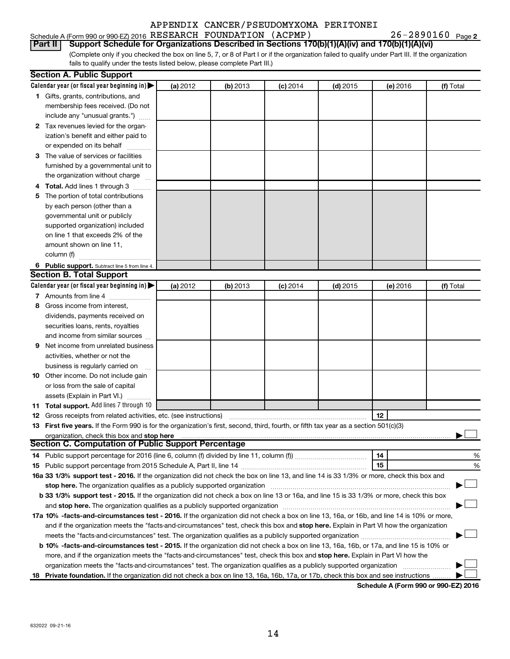## Schedule A (Form 990 or 990-EZ) 2016 Page RESEARCH FOUNDATION (ACPMP) 26-2890160

26-2890160 Page 2

(Complete only if you checked the box on line 5, 7, or 8 of Part I or if the organization failed to qualify under Part III. If the organization **Part II Support Schedule for Organizations Described in Sections 170(b)(1)(A)(iv) and 170(b)(1)(A)(vi)**

fails to qualify under the tests listed below, please complete Part III.)

|    | <b>Section A. Public Support</b>                                                                                                                                                                                               |          |          |            |            |          |           |
|----|--------------------------------------------------------------------------------------------------------------------------------------------------------------------------------------------------------------------------------|----------|----------|------------|------------|----------|-----------|
|    | Calendar year (or fiscal year beginning in) $\blacktriangleright$                                                                                                                                                              | (a) 2012 | (b) 2013 | $(c)$ 2014 | $(d)$ 2015 | (e) 2016 | (f) Total |
|    | 1 Gifts, grants, contributions, and                                                                                                                                                                                            |          |          |            |            |          |           |
|    | membership fees received. (Do not                                                                                                                                                                                              |          |          |            |            |          |           |
|    | include any "unusual grants.")                                                                                                                                                                                                 |          |          |            |            |          |           |
|    | 2 Tax revenues levied for the organ-                                                                                                                                                                                           |          |          |            |            |          |           |
|    | ization's benefit and either paid to                                                                                                                                                                                           |          |          |            |            |          |           |
|    | or expended on its behalf                                                                                                                                                                                                      |          |          |            |            |          |           |
|    | 3 The value of services or facilities                                                                                                                                                                                          |          |          |            |            |          |           |
|    | furnished by a governmental unit to                                                                                                                                                                                            |          |          |            |            |          |           |
|    | the organization without charge                                                                                                                                                                                                |          |          |            |            |          |           |
|    | 4 Total. Add lines 1 through 3                                                                                                                                                                                                 |          |          |            |            |          |           |
| 5. | The portion of total contributions                                                                                                                                                                                             |          |          |            |            |          |           |
|    | by each person (other than a                                                                                                                                                                                                   |          |          |            |            |          |           |
|    | governmental unit or publicly                                                                                                                                                                                                  |          |          |            |            |          |           |
|    | supported organization) included                                                                                                                                                                                               |          |          |            |            |          |           |
|    | on line 1 that exceeds 2% of the                                                                                                                                                                                               |          |          |            |            |          |           |
|    | amount shown on line 11,                                                                                                                                                                                                       |          |          |            |            |          |           |
|    | column (f)                                                                                                                                                                                                                     |          |          |            |            |          |           |
|    | 6 Public support. Subtract line 5 from line 4.                                                                                                                                                                                 |          |          |            |            |          |           |
|    | <b>Section B. Total Support</b>                                                                                                                                                                                                |          |          |            |            |          |           |
|    | Calendar year (or fiscal year beginning in)                                                                                                                                                                                    | (a) 2012 | (b) 2013 | (c) 2014   | $(d)$ 2015 | (e) 2016 | (f) Total |
|    | 7 Amounts from line 4                                                                                                                                                                                                          |          |          |            |            |          |           |
| 8  | Gross income from interest,                                                                                                                                                                                                    |          |          |            |            |          |           |
|    | dividends, payments received on                                                                                                                                                                                                |          |          |            |            |          |           |
|    | securities loans, rents, royalties                                                                                                                                                                                             |          |          |            |            |          |           |
|    | and income from similar sources                                                                                                                                                                                                |          |          |            |            |          |           |
| 9. | Net income from unrelated business                                                                                                                                                                                             |          |          |            |            |          |           |
|    | activities, whether or not the                                                                                                                                                                                                 |          |          |            |            |          |           |
|    | business is regularly carried on                                                                                                                                                                                               |          |          |            |            |          |           |
|    | 10 Other income. Do not include gain                                                                                                                                                                                           |          |          |            |            |          |           |
|    | or loss from the sale of capital                                                                                                                                                                                               |          |          |            |            |          |           |
|    | assets (Explain in Part VI.).                                                                                                                                                                                                  |          |          |            |            |          |           |
|    | 11 Total support. Add lines 7 through 10                                                                                                                                                                                       |          |          |            |            |          |           |
|    | <b>12</b> Gross receipts from related activities, etc. (see instructions)                                                                                                                                                      |          |          |            |            | 12       |           |
|    | 13 First five years. If the Form 990 is for the organization's first, second, third, fourth, or fifth tax year as a section 501(c)(3)                                                                                          |          |          |            |            |          |           |
|    | organization, check this box and stop here                                                                                                                                                                                     |          |          |            |            |          |           |
|    | <b>Section C. Computation of Public Support Percentage</b>                                                                                                                                                                     |          |          |            |            |          |           |
|    |                                                                                                                                                                                                                                |          |          |            |            | 14       | %         |
|    |                                                                                                                                                                                                                                |          |          |            |            | 15       | %         |
|    | 16a 33 1/3% support test - 2016. If the organization did not check the box on line 13, and line 14 is 33 1/3% or more, check this box and                                                                                      |          |          |            |            |          |           |
|    | stop here. The organization qualifies as a publicly supported organization manufactured content and the support of the state of the state of the state of the state of the state of the state of the state of the state of the |          |          |            |            |          |           |
|    | b 33 1/3% support test - 2015. If the organization did not check a box on line 13 or 16a, and line 15 is 33 1/3% or more, check this box                                                                                       |          |          |            |            |          |           |
|    |                                                                                                                                                                                                                                |          |          |            |            |          |           |
|    | 17a 10% -facts-and-circumstances test - 2016. If the organization did not check a box on line 13, 16a, or 16b, and line 14 is 10% or more,                                                                                     |          |          |            |            |          |           |
|    | and if the organization meets the "facts-and-circumstances" test, check this box and stop here. Explain in Part VI how the organization                                                                                        |          |          |            |            |          |           |
|    |                                                                                                                                                                                                                                |          |          |            |            |          |           |
|    | b 10% -facts-and-circumstances test - 2015. If the organization did not check a box on line 13, 16a, 16b, or 17a, and line 15 is 10% or                                                                                        |          |          |            |            |          |           |
|    | more, and if the organization meets the "facts-and-circumstances" test, check this box and stop here. Explain in Part VI how the                                                                                               |          |          |            |            |          |           |
|    | organization meets the "facts-and-circumstances" test. The organization qualifies as a publicly supported organization                                                                                                         |          |          |            |            |          |           |
|    | 18 Private foundation. If the organization did not check a box on line 13, 16a, 16b, 17a, or 17b, check this box and see instructions                                                                                          |          |          |            |            |          |           |
|    |                                                                                                                                                                                                                                |          |          |            |            |          |           |

**Schedule A (Form 990 or 990-EZ) 2016**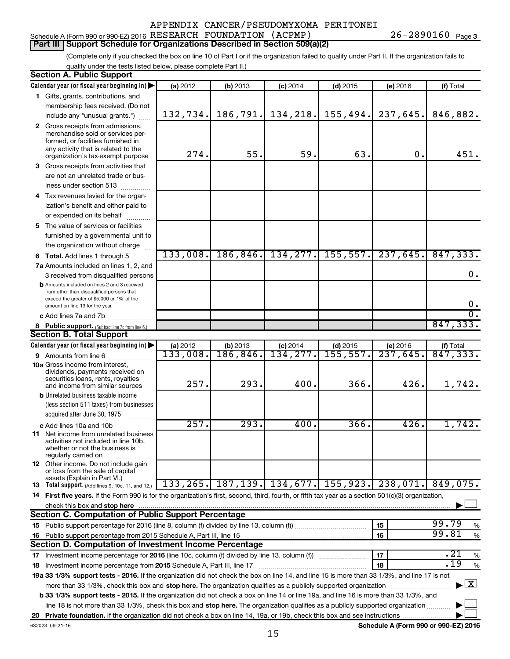# Schedule A (Form 990 or 990-EZ) 2016 Page RESEARCH FOUNDATION (ACPMP) 26-2890160

**Part III Support Schedule for Organizations Described in Section 509(a)(2)** 

(Complete only if you checked the box on line 10 of Part I or if the organization failed to qualify under Part II. If the organization fails to qualify under the tests listed below, please complete Part II.)

| <b>Section A. Public Support</b>                                                                                                                    |                      |                       |                        |                                         |                      |                                     |  |  |  |
|-----------------------------------------------------------------------------------------------------------------------------------------------------|----------------------|-----------------------|------------------------|-----------------------------------------|----------------------|-------------------------------------|--|--|--|
| Calendar year (or fiscal year beginning in)                                                                                                         | (a) 2012             | (b) 2013              | $(c)$ 2014             | $(d)$ 2015                              | (e) 2016             | (f) Total                           |  |  |  |
| 1 Gifts, grants, contributions, and                                                                                                                 |                      |                       |                        |                                         |                      |                                     |  |  |  |
| membership fees received. (Do not                                                                                                                   |                      |                       |                        |                                         |                      |                                     |  |  |  |
| include any "unusual grants.")                                                                                                                      | 132,734.             | 186,791.              | 134,218.               | 155, 494.                               | 237,645.             | 846,882.                            |  |  |  |
| 2 Gross receipts from admissions,                                                                                                                   |                      |                       |                        |                                         |                      |                                     |  |  |  |
| merchandise sold or services per-                                                                                                                   |                      |                       |                        |                                         |                      |                                     |  |  |  |
| formed, or facilities furnished in                                                                                                                  |                      |                       |                        |                                         |                      |                                     |  |  |  |
| any activity that is related to the<br>organization's tax-exempt purpose                                                                            | 274.                 | 55.                   | 59.                    | 63.                                     | $\mathbf 0$ .        | 451.                                |  |  |  |
| 3 Gross receipts from activities that                                                                                                               |                      |                       |                        |                                         |                      |                                     |  |  |  |
| are not an unrelated trade or bus-                                                                                                                  |                      |                       |                        |                                         |                      |                                     |  |  |  |
| iness under section 513                                                                                                                             |                      |                       |                        |                                         |                      |                                     |  |  |  |
| 4 Tax revenues levied for the organ-                                                                                                                |                      |                       |                        |                                         |                      |                                     |  |  |  |
| ization's benefit and either paid to                                                                                                                |                      |                       |                        |                                         |                      |                                     |  |  |  |
| or expended on its behalf                                                                                                                           |                      |                       |                        |                                         |                      |                                     |  |  |  |
| .<br>5 The value of services or facilities                                                                                                          |                      |                       |                        |                                         |                      |                                     |  |  |  |
| furnished by a governmental unit to                                                                                                                 |                      |                       |                        |                                         |                      |                                     |  |  |  |
| the organization without charge                                                                                                                     |                      |                       |                        |                                         |                      |                                     |  |  |  |
|                                                                                                                                                     | 133,008.             | 186,846.              | 134, 277.              | 155, 557.                               | 237,645.             | 847, 333.                           |  |  |  |
| 6 Total. Add lines 1 through 5                                                                                                                      |                      |                       |                        |                                         |                      |                                     |  |  |  |
| 7a Amounts included on lines 1, 2, and                                                                                                              |                      |                       |                        |                                         |                      | 0.                                  |  |  |  |
| 3 received from disqualified persons<br><b>b</b> Amounts included on lines 2 and 3 received                                                         |                      |                       |                        |                                         |                      |                                     |  |  |  |
| from other than disqualified persons that                                                                                                           |                      |                       |                        |                                         |                      |                                     |  |  |  |
| exceed the greater of \$5,000 or 1% of the                                                                                                          |                      |                       |                        |                                         |                      |                                     |  |  |  |
| amount on line 13 for the year                                                                                                                      |                      |                       |                        |                                         |                      | 0.<br>$\overline{0}$ .              |  |  |  |
| c Add lines 7a and 7b                                                                                                                               |                      |                       |                        |                                         |                      | 847,333.                            |  |  |  |
| 8 Public support. (Subtract line 7c from line 6.)                                                                                                   |                      |                       |                        |                                         |                      |                                     |  |  |  |
| <b>Section B. Total Support</b>                                                                                                                     |                      |                       |                        |                                         |                      |                                     |  |  |  |
| Calendar year (or fiscal year beginning in)                                                                                                         | (a) 2012<br>133,008. | (b) 2013<br>186, 846. | $(c)$ 2014<br>134,277. | $(d)$ 2015<br>155, 557.                 | (e) 2016<br>237,645. | (f) Total<br>$\overline{847,333}$ . |  |  |  |
| <b>9</b> Amounts from line 6                                                                                                                        |                      |                       |                        |                                         |                      |                                     |  |  |  |
| <b>10a</b> Gross income from interest,<br>dividends, payments received on                                                                           |                      |                       |                        |                                         |                      |                                     |  |  |  |
| securities loans, rents, royalties                                                                                                                  |                      |                       |                        |                                         |                      |                                     |  |  |  |
| and income from similar sources                                                                                                                     | 257.                 | 293.                  | 400.                   | 366.                                    | 426.                 | 1,742.                              |  |  |  |
| <b>b</b> Unrelated business taxable income                                                                                                          |                      |                       |                        |                                         |                      |                                     |  |  |  |
| (less section 511 taxes) from businesses                                                                                                            |                      |                       |                        |                                         |                      |                                     |  |  |  |
| acquired after June 30, 1975                                                                                                                        |                      |                       |                        |                                         |                      |                                     |  |  |  |
| c Add lines 10a and 10b                                                                                                                             | 257.                 | 293.                  | 400.                   | 366.                                    | 426.                 | 1,742.                              |  |  |  |
| 11 Net income from unrelated business<br>activities not included in line 10b.                                                                       |                      |                       |                        |                                         |                      |                                     |  |  |  |
| whether or not the business is                                                                                                                      |                      |                       |                        |                                         |                      |                                     |  |  |  |
| regularly carried on                                                                                                                                |                      |                       |                        |                                         |                      |                                     |  |  |  |
| 12 Other income. Do not include gain<br>or loss from the sale of capital                                                                            |                      |                       |                        |                                         |                      |                                     |  |  |  |
| assets (Explain in Part VI.)                                                                                                                        |                      |                       |                        |                                         |                      |                                     |  |  |  |
| <b>13</b> Total support. (Add lines 9, 10c, 11, and 12.)                                                                                            |                      |                       |                        | 133, 265, 187, 139, 134, 677, 155, 923, | 238,071.             | 849,075.                            |  |  |  |
| 14 First five years. If the Form 990 is for the organization's first, second, third, fourth, or fifth tax year as a section 501(c)(3) organization, |                      |                       |                        |                                         |                      |                                     |  |  |  |
| check this box and stop here                                                                                                                        |                      |                       |                        |                                         |                      |                                     |  |  |  |
| <b>Section C. Computation of Public Support Percentage</b>                                                                                          |                      |                       |                        |                                         |                      |                                     |  |  |  |
|                                                                                                                                                     |                      |                       |                        |                                         | 15                   | 99.79<br>%                          |  |  |  |
| 16 Public support percentage from 2015 Schedule A, Part III, line 15                                                                                |                      |                       |                        |                                         | 16                   | 99.81<br>$\%$                       |  |  |  |
| Section D. Computation of Investment Income Percentage                                                                                              |                      |                       |                        |                                         |                      |                                     |  |  |  |
| 17 Investment income percentage for 2016 (line 10c, column (f) divided by line 13, column (f))                                                      |                      |                       |                        |                                         | 17                   | .21<br>%                            |  |  |  |
| 18 Investment income percentage from 2015 Schedule A, Part III, line 17                                                                             |                      |                       |                        |                                         | 18                   | .19<br>%                            |  |  |  |
| 19a 33 1/3% support tests - 2016. If the organization did not check the box on line 14, and line 15 is more than 33 1/3%, and line 17 is not        |                      |                       |                        |                                         |                      |                                     |  |  |  |
| more than 33 1/3%, check this box and stop here. The organization qualifies as a publicly supported organization                                    |                      |                       |                        |                                         |                      | $\blacktriangleright$ $\mathbf{X}$  |  |  |  |
| <b>b 33 1/3% support tests - 2015.</b> If the organization did not check a box on line 14 or line 19a, and line 16 is more than 33 1/3%, and        |                      |                       |                        |                                         |                      |                                     |  |  |  |
| line 18 is not more than 33 1/3%, check this box and stop here. The organization qualifies as a publicly supported organization                     |                      |                       |                        |                                         |                      |                                     |  |  |  |
|                                                                                                                                                     |                      |                       |                        |                                         |                      |                                     |  |  |  |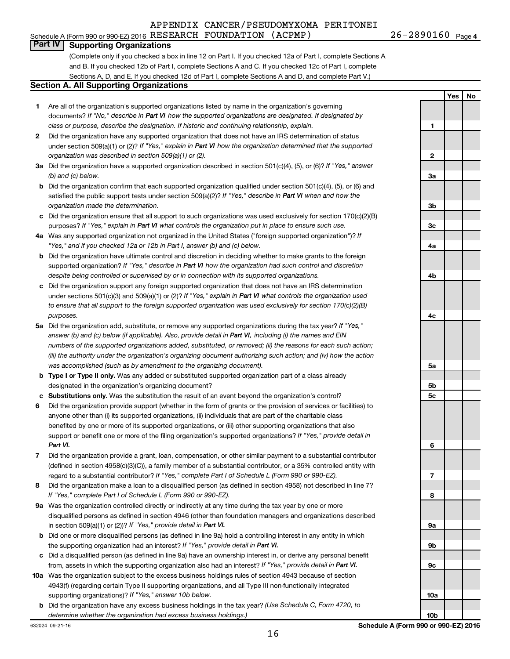Schedule A (Form 990 or 990-EZ) 2016 Page RESEARCH FOUNDATION (ACPMP) 26-2890160

26-2890160 Page 4

**Yes No**

### **Part IV Supporting Organizations**

(Complete only if you checked a box in line 12 on Part I. If you checked 12a of Part I, complete Sections A and B. If you checked 12b of Part I, complete Sections A and C. If you checked 12c of Part I, complete Sections A, D, and E. If you checked 12d of Part I, complete Sections A and D, and complete Part V.)

#### **Section A. All Supporting Organizations**

- **1** Are all of the organization's supported organizations listed by name in the organization's governing documents? If "No," describe in Part VI how the supported organizations are designated. If designated by *class or purpose, describe the designation. If historic and continuing relationship, explain.*
- **2** Did the organization have any supported organization that does not have an IRS determination of status under section 509(a)(1) or (2)? If "Yes," explain in Part VI how the organization determined that the supported *organization was described in section 509(a)(1) or (2).*
- **3a** Did the organization have a supported organization described in section 501(c)(4), (5), or (6)? If "Yes," answer *(b) and (c) below.*
- **b** Did the organization confirm that each supported organization qualified under section 501(c)(4), (5), or (6) and satisfied the public support tests under section 509(a)(2)? If "Yes," describe in Part VI when and how the *organization made the determination.*
- **c** Did the organization ensure that all support to such organizations was used exclusively for section 170(c)(2)(B) purposes? If "Yes," explain in Part VI what controls the organization put in place to ensure such use.
- **4 a** *If* Was any supported organization not organized in the United States ("foreign supported organization")? *"Yes," and if you checked 12a or 12b in Part I, answer (b) and (c) below.*
- **b** Did the organization have ultimate control and discretion in deciding whether to make grants to the foreign supported organization? If "Yes," describe in Part VI how the organization had such control and discretion *despite being controlled or supervised by or in connection with its supported organizations.*
- **c** Did the organization support any foreign supported organization that does not have an IRS determination under sections 501(c)(3) and 509(a)(1) or (2)? If "Yes," explain in Part VI what controls the organization used *to ensure that all support to the foreign supported organization was used exclusively for section 170(c)(2)(B) purposes.*
- **5a** Did the organization add, substitute, or remove any supported organizations during the tax year? If "Yes," answer (b) and (c) below (if applicable). Also, provide detail in Part VI, including (i) the names and EIN *numbers of the supported organizations added, substituted, or removed; (ii) the reasons for each such action; (iii) the authority under the organization's organizing document authorizing such action; and (iv) how the action was accomplished (such as by amendment to the organizing document).*
- **b** Type I or Type II only. Was any added or substituted supported organization part of a class already designated in the organization's organizing document?
- **c Substitutions only.**  Was the substitution the result of an event beyond the organization's control?
- **6** Did the organization provide support (whether in the form of grants or the provision of services or facilities) to support or benefit one or more of the filing organization's supported organizations? If "Yes," provide detail in anyone other than (i) its supported organizations, (ii) individuals that are part of the charitable class benefited by one or more of its supported organizations, or (iii) other supporting organizations that also *Part VI.*
- **7** Did the organization provide a grant, loan, compensation, or other similar payment to a substantial contributor regard to a substantial contributor? If "Yes," complete Part I of Schedule L (Form 990 or 990-EZ). (defined in section 4958(c)(3)(C)), a family member of a substantial contributor, or a 35% controlled entity with
- **8** Did the organization make a loan to a disqualified person (as defined in section 4958) not described in line 7? *If "Yes," complete Part I of Schedule L (Form 990 or 990-EZ).*
- **9 a** Was the organization controlled directly or indirectly at any time during the tax year by one or more in section 509(a)(1) or (2))? If "Yes," provide detail in Part VI. disqualified persons as defined in section 4946 (other than foundation managers and organizations described
- **b** Did one or more disqualified persons (as defined in line 9a) hold a controlling interest in any entity in which the supporting organization had an interest? If "Yes," provide detail in Part VI.
- **c** Did a disqualified person (as defined in line 9a) have an ownership interest in, or derive any personal benefit from, assets in which the supporting organization also had an interest? If "Yes," provide detail in Part VI.
- **10 a** Was the organization subject to the excess business holdings rules of section 4943 because of section supporting organizations)? If "Yes," answer 10b below. 4943(f) (regarding certain Type II supporting organizations, and all Type III non-functionally integrated
- **b** Did the organization have any excess business holdings in the tax year? (Use Schedule C, Form 4720, to *determine whether the organization had excess business holdings.)*

**1 2 3a 3b 3c 4a 4b 4c 5a 5b 5c 6 7 8 9a 9b 9c 10a**

**10b**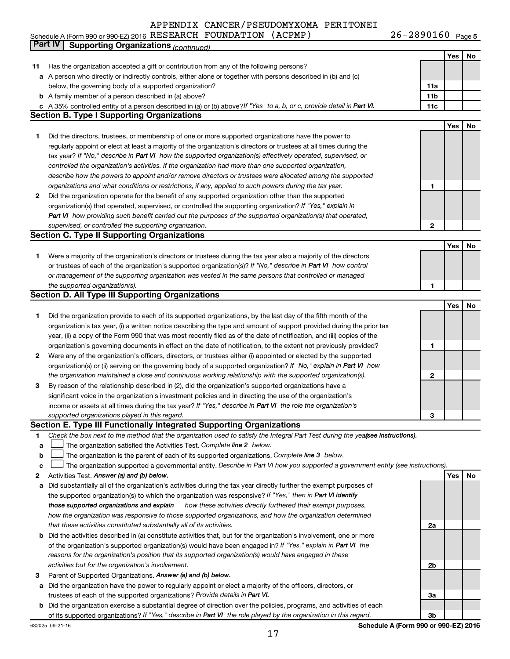Schedule A (Form 990 or 990-EZ) 2016 RESEARCH FOUNDATION (ACPMP) Z6-Z89UI6U Page RESEARCH FOUNDATION (ACPMP) 26-2890160

26-2890160 Page 5

|    | Part IV<br><b>Supporting Organizations (continued)</b>                                                                          |                 |     |    |
|----|---------------------------------------------------------------------------------------------------------------------------------|-----------------|-----|----|
|    |                                                                                                                                 |                 | Yes | No |
| 11 | Has the organization accepted a gift or contribution from any of the following persons?                                         |                 |     |    |
|    | a A person who directly or indirectly controls, either alone or together with persons described in (b) and (c)                  |                 |     |    |
|    | below, the governing body of a supported organization?                                                                          | 11a             |     |    |
|    | <b>b</b> A family member of a person described in (a) above?                                                                    | 11 <sub>b</sub> |     |    |
|    | c A 35% controlled entity of a person described in (a) or (b) above? If "Yes" to a, b, or c, provide detail in Part VI.         | 11c             |     |    |
|    | <b>Section B. Type I Supporting Organizations</b>                                                                               |                 |     |    |
|    |                                                                                                                                 |                 | Yes | No |
| 1  | Did the directors, trustees, or membership of one or more supported organizations have the power to                             |                 |     |    |
|    | regularly appoint or elect at least a majority of the organization's directors or trustees at all times during the              |                 |     |    |
|    | tax year? If "No," describe in Part VI how the supported organization(s) effectively operated, supervised, or                   |                 |     |    |
|    | controlled the organization's activities. If the organization had more than one supported organization,                         |                 |     |    |
|    | describe how the powers to appoint and/or remove directors or trustees were allocated among the supported                       |                 |     |    |
|    | organizations and what conditions or restrictions, if any, applied to such powers during the tax year.                          | 1               |     |    |
| 2  | Did the organization operate for the benefit of any supported organization other than the supported                             |                 |     |    |
|    | organization(s) that operated, supervised, or controlled the supporting organization? If "Yes," explain in                      |                 |     |    |
|    | Part VI how providing such benefit carried out the purposes of the supported organization(s) that operated,                     |                 |     |    |
|    | supervised, or controlled the supporting organization.                                                                          | $\mathbf{2}$    |     |    |
|    | <b>Section C. Type II Supporting Organizations</b>                                                                              |                 |     |    |
|    |                                                                                                                                 |                 | Yes | No |
| 1  | Were a majority of the organization's directors or trustees during the tax year also a majority of the directors                |                 |     |    |
|    | or trustees of each of the organization's supported organization(s)? If "No," describe in Part VI how control                   |                 |     |    |
|    | or management of the supporting organization was vested in the same persons that controlled or managed                          |                 |     |    |
|    | the supported organization(s).                                                                                                  | 1               |     |    |
|    | <b>Section D. All Type III Supporting Organizations</b>                                                                         |                 |     |    |
|    |                                                                                                                                 |                 | Yes | No |
| 1  | Did the organization provide to each of its supported organizations, by the last day of the fifth month of the                  |                 |     |    |
|    | organization's tax year, (i) a written notice describing the type and amount of support provided during the prior tax           |                 |     |    |
|    | year, (ii) a copy of the Form 990 that was most recently filed as of the date of notification, and (iii) copies of the          |                 |     |    |
|    | organization's governing documents in effect on the date of notification, to the extent not previously provided?                | 1               |     |    |
| 2  | Were any of the organization's officers, directors, or trustees either (i) appointed or elected by the supported                |                 |     |    |
|    | organization(s) or (ii) serving on the governing body of a supported organization? If "No," explain in Part VI how              |                 |     |    |
|    | the organization maintained a close and continuous working relationship with the supported organization(s).                     | 2               |     |    |
| 3  | By reason of the relationship described in (2), did the organization's supported organizations have a                           |                 |     |    |
|    | significant voice in the organization's investment policies and in directing the use of the organization's                      |                 |     |    |
|    | income or assets at all times during the tax year? If "Yes," describe in Part VI the role the organization's                    |                 |     |    |
|    | supported organizations played in this regard.                                                                                  | 3               |     |    |
|    | Section E. Type III Functionally Integrated Supporting Organizations                                                            |                 |     |    |
| 1  | Check the box next to the method that the organization used to satisfy the Integral Part Test during the yeafsee instructions). |                 |     |    |
| a  | The organization satisfied the Activities Test. Complete line 2 below.                                                          |                 |     |    |
| b  | The organization is the parent of each of its supported organizations. Complete line 3 below.                                   |                 |     |    |
| c  | The organization supported a governmental entity. Describe in Part VI how you supported a government entity (see instructions). |                 |     |    |
| 2  | Activities Test. Answer (a) and (b) below.                                                                                      |                 | Yes | No |
| а  | Did substantially all of the organization's activities during the tax year directly further the exempt purposes of              |                 |     |    |
|    | the supported organization(s) to which the organization was responsive? If "Yes," then in Part VI identify                      |                 |     |    |
|    | those supported organizations and explain<br>how these activities directly furthered their exempt purposes,                     |                 |     |    |
|    | how the organization was responsive to those supported organizations, and how the organization determined                       |                 |     |    |
|    | that these activities constituted substantially all of its activities.                                                          | 2a              |     |    |
| b  | Did the activities described in (a) constitute activities that, but for the organization's involvement, one or more             |                 |     |    |
|    | of the organization's supported organization(s) would have been engaged in? If "Yes," explain in Part VI the                    |                 |     |    |
|    | reasons for the organization's position that its supported organization(s) would have engaged in these                          |                 |     |    |
|    | activities but for the organization's involvement.                                                                              | 2b              |     |    |
| З  | Parent of Supported Organizations. Answer (a) and (b) below.                                                                    |                 |     |    |
| а  | Did the organization have the power to regularly appoint or elect a majority of the officers, directors, or                     |                 |     |    |
|    | trustees of each of the supported organizations? Provide details in Part VI.                                                    | За              |     |    |
| b  | Did the organization exercise a substantial degree of direction over the policies, programs, and activities of each             |                 |     |    |
|    | of its supported organizations? If "Yes," describe in Part VI the role played by the organization in this regard.               | 3b              |     |    |

**Schedule A (Form 990 or 990-EZ) 2016**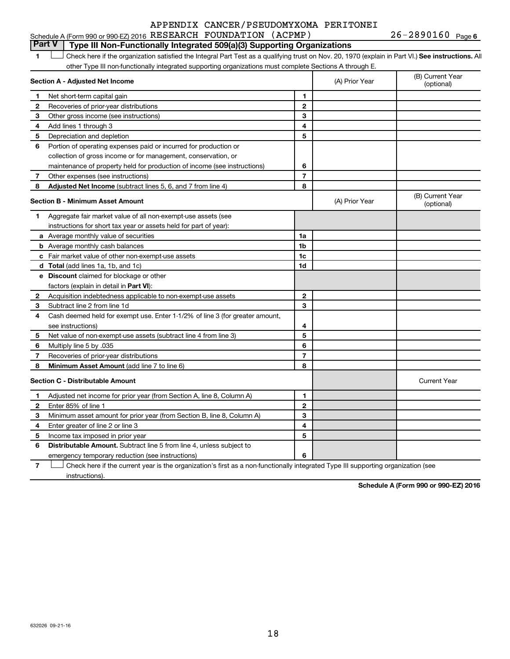|  |  | Schedule A (Form 990 or 990-EZ) 2016 RESEARCH FOUNDATION (ACPMP) |  |  | $26 - 2890160$ Page 6 |  |
|--|--|------------------------------------------------------------------|--|--|-----------------------|--|
|--|--|------------------------------------------------------------------|--|--|-----------------------|--|

## **Part V Type III Non-Functionally Integrated 509(a)(3) Supporting Organizations**

**1 Letter or if the organization satisfied the Integral Part Test as a qualifying trust on Nov. 20, 1970 (explain in Part VI.) See instructions. All** other Type III non-functionally integrated supporting organizations must complete Sections A through E.  $\Box$ 

|                                         | Section A - Adjusted Net Income                                              |                | (A) Prior Year | (B) Current Year<br>(optional) |
|-----------------------------------------|------------------------------------------------------------------------------|----------------|----------------|--------------------------------|
| 1                                       | Net short-term capital gain                                                  | 1              |                |                                |
| 2                                       | Recoveries of prior-year distributions                                       | $\overline{2}$ |                |                                |
| 3                                       | Other gross income (see instructions)                                        | 3              |                |                                |
| 4                                       | Add lines 1 through 3                                                        | 4              |                |                                |
| 5                                       | Depreciation and depletion                                                   | 5              |                |                                |
| 6                                       | Portion of operating expenses paid or incurred for production or             |                |                |                                |
|                                         | collection of gross income or for management, conservation, or               |                |                |                                |
|                                         | maintenance of property held for production of income (see instructions)     | 6              |                |                                |
| 7                                       | Other expenses (see instructions)                                            | $\overline{7}$ |                |                                |
| 8                                       | Adjusted Net Income (subtract lines 5, 6, and 7 from line 4)                 | 8              |                |                                |
| <b>Section B - Minimum Asset Amount</b> |                                                                              |                | (A) Prior Year | (B) Current Year<br>(optional) |
| 1.                                      | Aggregate fair market value of all non-exempt-use assets (see                |                |                |                                |
|                                         | instructions for short tax year or assets held for part of year):            |                |                |                                |
|                                         | <b>a</b> Average monthly value of securities                                 | 1a             |                |                                |
|                                         | <b>b</b> Average monthly cash balances                                       | 1b             |                |                                |
|                                         | <b>c</b> Fair market value of other non-exempt-use assets                    | 1c             |                |                                |
|                                         | d Total (add lines 1a, 1b, and 1c)                                           | 1d             |                |                                |
|                                         | e Discount claimed for blockage or other                                     |                |                |                                |
|                                         | factors (explain in detail in <b>Part VI</b> ):                              |                |                |                                |
| 2                                       | Acquisition indebtedness applicable to non-exempt-use assets                 | $\mathbf{2}$   |                |                                |
| З                                       | Subtract line 2 from line 1d                                                 | 3              |                |                                |
| 4                                       | Cash deemed held for exempt use. Enter 1-1/2% of line 3 (for greater amount, |                |                |                                |
|                                         | see instructions)                                                            | 4              |                |                                |
| 5                                       | Net value of non-exempt-use assets (subtract line 4 from line 3)             | 5              |                |                                |
| 6                                       | Multiply line 5 by .035                                                      | 6              |                |                                |
| 7                                       | Recoveries of prior-year distributions                                       | 7              |                |                                |
| 8                                       | Minimum Asset Amount (add line 7 to line 6)                                  | 8              |                |                                |
|                                         | <b>Section C - Distributable Amount</b>                                      |                |                | <b>Current Year</b>            |
| 1                                       | Adjusted net income for prior year (from Section A, line 8, Column A)        | 1              |                |                                |
| $\mathbf{2}$                            | Enter 85% of line 1                                                          | $\overline{2}$ |                |                                |
| з                                       | Minimum asset amount for prior year (from Section B, line 8, Column A)       | 3              |                |                                |
| 4                                       | Enter greater of line 2 or line 3                                            | 4              |                |                                |
| 5                                       | Income tax imposed in prior year                                             | 5              |                |                                |
| 6                                       | Distributable Amount. Subtract line 5 from line 4, unless subject to         |                |                |                                |
|                                         | emergency temporary reduction (see instructions)                             | 6              |                |                                |
|                                         |                                                                              |                |                |                                |

**7** Let Check here if the current year is the organization's first as a non-functionally integrated Type III supporting organization (see instructions).

**Schedule A (Form 990 or 990-EZ) 2016**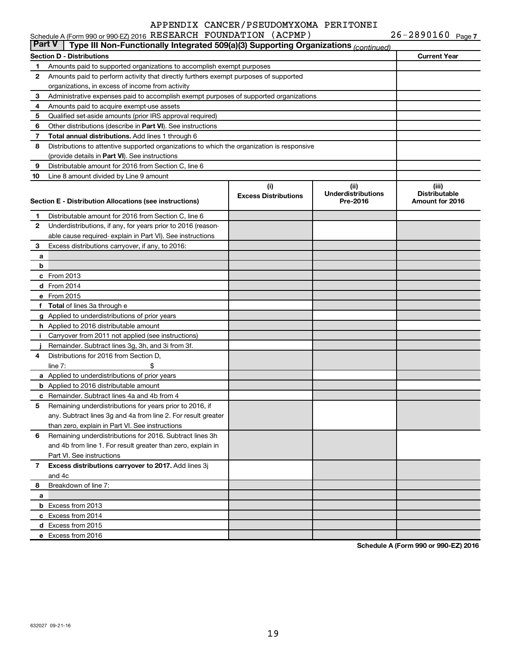|               | Schedule A (Form 990 or 990-EZ) 2016 RESEARCH FOUNDATION (ACPMP)                           |                                    |                                               | $26 - 2890160$ Page 7                            |
|---------------|--------------------------------------------------------------------------------------------|------------------------------------|-----------------------------------------------|--------------------------------------------------|
| <b>Part V</b> | Type III Non-Functionally Integrated 509(a)(3) Supporting Organizations (continued)        |                                    |                                               |                                                  |
|               | Section D - Distributions                                                                  |                                    |                                               | <b>Current Year</b>                              |
| 1             | Amounts paid to supported organizations to accomplish exempt purposes                      |                                    |                                               |                                                  |
| 2             | Amounts paid to perform activity that directly furthers exempt purposes of supported       |                                    |                                               |                                                  |
|               | organizations, in excess of income from activity                                           |                                    |                                               |                                                  |
| 3             | Administrative expenses paid to accomplish exempt purposes of supported organizations      |                                    |                                               |                                                  |
| 4             | Amounts paid to acquire exempt-use assets                                                  |                                    |                                               |                                                  |
| 5             | Qualified set-aside amounts (prior IRS approval required)                                  |                                    |                                               |                                                  |
| 6             | Other distributions (describe in Part VI). See instructions                                |                                    |                                               |                                                  |
| 7             | Total annual distributions. Add lines 1 through 6                                          |                                    |                                               |                                                  |
| 8             | Distributions to attentive supported organizations to which the organization is responsive |                                    |                                               |                                                  |
|               | (provide details in Part VI). See instructions                                             |                                    |                                               |                                                  |
| 9             | Distributable amount for 2016 from Section C, line 6                                       |                                    |                                               |                                                  |
| 10            | Line 8 amount divided by Line 9 amount                                                     |                                    |                                               |                                                  |
|               | Section E - Distribution Allocations (see instructions)                                    | (i)<br><b>Excess Distributions</b> | (ii)<br><b>Underdistributions</b><br>Pre-2016 | (iii)<br><b>Distributable</b><br>Amount for 2016 |
| 1             | Distributable amount for 2016 from Section C, line 6                                       |                                    |                                               |                                                  |
| 2             | Underdistributions, if any, for years prior to 2016 (reason-                               |                                    |                                               |                                                  |
|               | able cause required-explain in Part VI). See instructions                                  |                                    |                                               |                                                  |
| 3             | Excess distributions carryover, if any, to 2016:                                           |                                    |                                               |                                                  |
| а             |                                                                                            |                                    |                                               |                                                  |
| b             |                                                                                            |                                    |                                               |                                                  |
|               | c From 2013                                                                                |                                    |                                               |                                                  |
|               | <b>d</b> From 2014                                                                         |                                    |                                               |                                                  |
|               | e From 2015                                                                                |                                    |                                               |                                                  |
|               | f Total of lines 3a through e                                                              |                                    |                                               |                                                  |
|               | g Applied to underdistributions of prior years                                             |                                    |                                               |                                                  |
|               | h Applied to 2016 distributable amount                                                     |                                    |                                               |                                                  |
| Ť.            | Carryover from 2011 not applied (see instructions)                                         |                                    |                                               |                                                  |
|               | Remainder. Subtract lines 3g, 3h, and 3i from 3f.                                          |                                    |                                               |                                                  |
| 4             | Distributions for 2016 from Section D,                                                     |                                    |                                               |                                                  |
|               | line $7:$                                                                                  |                                    |                                               |                                                  |
|               | a Applied to underdistributions of prior years                                             |                                    |                                               |                                                  |
|               | <b>b</b> Applied to 2016 distributable amount                                              |                                    |                                               |                                                  |
|               | c Remainder. Subtract lines 4a and 4b from 4                                               |                                    |                                               |                                                  |
|               | 5 Remaining underdistributions for years prior to 2016, if                                 |                                    |                                               |                                                  |
|               | any. Subtract lines 3g and 4a from line 2. For result greater                              |                                    |                                               |                                                  |
|               | than zero, explain in Part VI. See instructions                                            |                                    |                                               |                                                  |
| 6             | Remaining underdistributions for 2016. Subtract lines 3h                                   |                                    |                                               |                                                  |
|               | and 4b from line 1. For result greater than zero, explain in                               |                                    |                                               |                                                  |
|               | Part VI. See instructions                                                                  |                                    |                                               |                                                  |
| 7             | Excess distributions carryover to 2017. Add lines 3j                                       |                                    |                                               |                                                  |
|               | and 4c                                                                                     |                                    |                                               |                                                  |
| 8             | Breakdown of line 7:                                                                       |                                    |                                               |                                                  |
| a             |                                                                                            |                                    |                                               |                                                  |
|               | <b>b</b> Excess from 2013                                                                  |                                    |                                               |                                                  |
|               | c Excess from 2014                                                                         |                                    |                                               |                                                  |
|               | d Excess from 2015                                                                         |                                    |                                               |                                                  |

**Schedule A (Form 990 or 990-EZ) 2016**

**e** Excess from 2016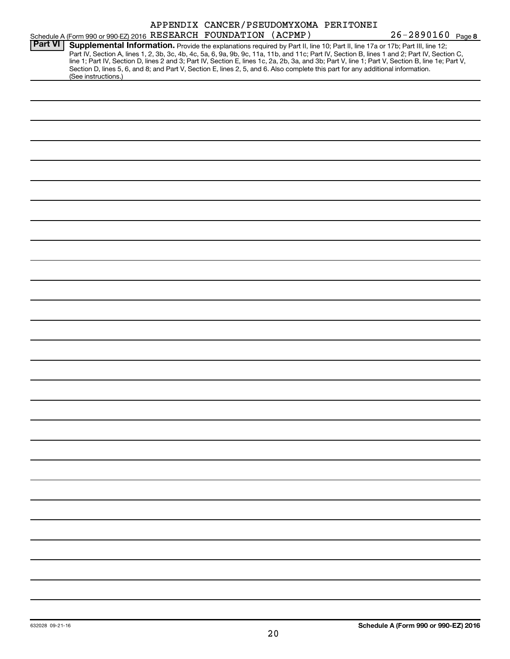|                |                                                                                                                                                                                                                                                                                                                                                                                                                                                                                                                                                                                             | APPENDIX CANCER/PSEUDOMYXOMA PERITONEI |  |                   |  |
|----------------|---------------------------------------------------------------------------------------------------------------------------------------------------------------------------------------------------------------------------------------------------------------------------------------------------------------------------------------------------------------------------------------------------------------------------------------------------------------------------------------------------------------------------------------------------------------------------------------------|----------------------------------------|--|-------------------|--|
|                | Schedule A (Form 990 or 990-EZ) 2016 RESEARCH FOUNDATION (ACPMP)                                                                                                                                                                                                                                                                                                                                                                                                                                                                                                                            |                                        |  | 26-2890160 Page 8 |  |
| <b>Part VI</b> | Supplemental Information. Provide the explanations required by Part II, line 10; Part II, line 17a or 17b; Part III, line 12;<br>Part IV, Section A, lines 1, 2, 3b, 3c, 4b, 4c, 5a, 6, 9a, 9b, 9c, 11a, 11b, and 11c; Part IV, Section B, lines 1 and 2; Part IV, Section C,<br>line 1; Part IV, Section D, lines 2 and 3; Part IV, Section E, lines 1c, 2a, 2b, 3a, and 3b; Part V, line 1; Part V, Section B, line 1e; Part V,<br>Section D, lines 5, 6, and 8; and Part V, Section E, lines 2, 5, and 6. Also complete this part for any additional information.<br>(See instructions.) |                                        |  |                   |  |
|                |                                                                                                                                                                                                                                                                                                                                                                                                                                                                                                                                                                                             |                                        |  |                   |  |
|                |                                                                                                                                                                                                                                                                                                                                                                                                                                                                                                                                                                                             |                                        |  |                   |  |
|                |                                                                                                                                                                                                                                                                                                                                                                                                                                                                                                                                                                                             |                                        |  |                   |  |
|                |                                                                                                                                                                                                                                                                                                                                                                                                                                                                                                                                                                                             |                                        |  |                   |  |
|                |                                                                                                                                                                                                                                                                                                                                                                                                                                                                                                                                                                                             |                                        |  |                   |  |
|                |                                                                                                                                                                                                                                                                                                                                                                                                                                                                                                                                                                                             |                                        |  |                   |  |
|                |                                                                                                                                                                                                                                                                                                                                                                                                                                                                                                                                                                                             |                                        |  |                   |  |
|                |                                                                                                                                                                                                                                                                                                                                                                                                                                                                                                                                                                                             |                                        |  |                   |  |
|                |                                                                                                                                                                                                                                                                                                                                                                                                                                                                                                                                                                                             |                                        |  |                   |  |
|                |                                                                                                                                                                                                                                                                                                                                                                                                                                                                                                                                                                                             |                                        |  |                   |  |
|                |                                                                                                                                                                                                                                                                                                                                                                                                                                                                                                                                                                                             |                                        |  |                   |  |
|                |                                                                                                                                                                                                                                                                                                                                                                                                                                                                                                                                                                                             |                                        |  |                   |  |
|                |                                                                                                                                                                                                                                                                                                                                                                                                                                                                                                                                                                                             |                                        |  |                   |  |
|                |                                                                                                                                                                                                                                                                                                                                                                                                                                                                                                                                                                                             |                                        |  |                   |  |
|                |                                                                                                                                                                                                                                                                                                                                                                                                                                                                                                                                                                                             |                                        |  |                   |  |
|                |                                                                                                                                                                                                                                                                                                                                                                                                                                                                                                                                                                                             |                                        |  |                   |  |
|                |                                                                                                                                                                                                                                                                                                                                                                                                                                                                                                                                                                                             |                                        |  |                   |  |
|                |                                                                                                                                                                                                                                                                                                                                                                                                                                                                                                                                                                                             |                                        |  |                   |  |
|                |                                                                                                                                                                                                                                                                                                                                                                                                                                                                                                                                                                                             |                                        |  |                   |  |
|                |                                                                                                                                                                                                                                                                                                                                                                                                                                                                                                                                                                                             |                                        |  |                   |  |
|                |                                                                                                                                                                                                                                                                                                                                                                                                                                                                                                                                                                                             |                                        |  |                   |  |
|                |                                                                                                                                                                                                                                                                                                                                                                                                                                                                                                                                                                                             |                                        |  |                   |  |
|                |                                                                                                                                                                                                                                                                                                                                                                                                                                                                                                                                                                                             |                                        |  |                   |  |
|                |                                                                                                                                                                                                                                                                                                                                                                                                                                                                                                                                                                                             |                                        |  |                   |  |
|                |                                                                                                                                                                                                                                                                                                                                                                                                                                                                                                                                                                                             |                                        |  |                   |  |
|                |                                                                                                                                                                                                                                                                                                                                                                                                                                                                                                                                                                                             |                                        |  |                   |  |
|                |                                                                                                                                                                                                                                                                                                                                                                                                                                                                                                                                                                                             |                                        |  |                   |  |
|                |                                                                                                                                                                                                                                                                                                                                                                                                                                                                                                                                                                                             |                                        |  |                   |  |
|                |                                                                                                                                                                                                                                                                                                                                                                                                                                                                                                                                                                                             |                                        |  |                   |  |
|                |                                                                                                                                                                                                                                                                                                                                                                                                                                                                                                                                                                                             |                                        |  |                   |  |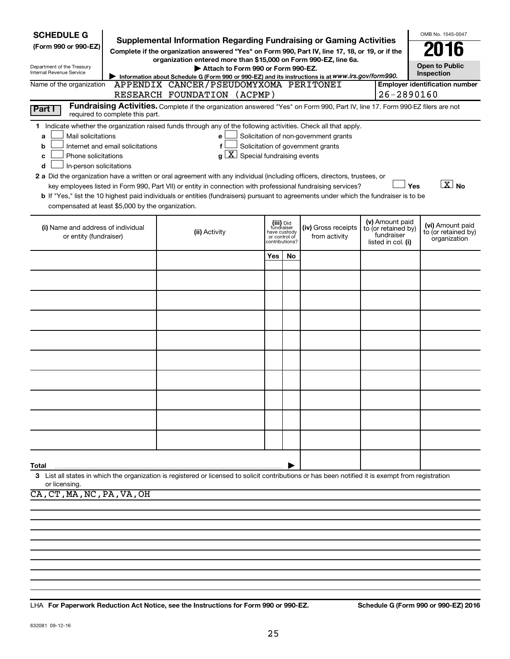| <b>SCHEDULE G</b>                                 |                                  |                                                                                                                                                                               |                |                               |                                       |                                        | OMB No. 1545-0047                                   |
|---------------------------------------------------|----------------------------------|-------------------------------------------------------------------------------------------------------------------------------------------------------------------------------|----------------|-------------------------------|---------------------------------------|----------------------------------------|-----------------------------------------------------|
| (Form 990 or 990-EZ)                              |                                  | <b>Supplemental Information Regarding Fundraising or Gaming Activities</b><br>Complete if the organization answered "Yes" on Form 990, Part IV, line 17, 18, or 19, or if the |                |                               |                                       |                                        |                                                     |
| Department of the Treasury                        |                                  | organization entered more than \$15,000 on Form 990-EZ, line 6a.<br>Attach to Form 990 or Form 990-EZ.                                                                        |                |                               |                                       |                                        | <b>Open to Public</b>                               |
| Internal Revenue Service                          |                                  | Information about Schedule G (Form 990 or 990-EZ) and its instructions is at WWW.irs.gov/form990.                                                                             |                |                               |                                       |                                        | Inspection                                          |
| Name of the organization                          |                                  | APPENDIX CANCER/PSEUDOMYXOMA PERITONEI<br>RESEARCH FOUNDATION (ACPMP)                                                                                                         |                |                               |                                       |                                        | <b>Employer identification number</b><br>26-2890160 |
| Part I                                            |                                  | Fundraising Activities. Complete if the organization answered "Yes" on Form 990, Part IV, line 17. Form 990-EZ filers are not                                                 |                |                               |                                       |                                        |                                                     |
|                                                   | required to complete this part.  |                                                                                                                                                                               |                |                               |                                       |                                        |                                                     |
| Mail solicitations<br>a                           |                                  | 1 Indicate whether the organization raised funds through any of the following activities. Check all that apply.<br>е                                                          |                |                               | Solicitation of non-government grants |                                        |                                                     |
| b                                                 | Internet and email solicitations | f                                                                                                                                                                             |                |                               | Solicitation of government grants     |                                        |                                                     |
| Phone solicitations<br>c                          |                                  | X  <br>Special fundraising events<br>a                                                                                                                                        |                |                               |                                       |                                        |                                                     |
| In-person solicitations<br>d                      |                                  | 2 a Did the organization have a written or oral agreement with any individual (including officers, directors, trustees, or                                                    |                |                               |                                       |                                        |                                                     |
|                                                   |                                  | key employees listed in Form 990, Part VII) or entity in connection with professional fundraising services?                                                                   |                |                               |                                       |                                        | $\boxed{\text{X}}$ No<br>Yes                        |
|                                                   |                                  | b If "Yes," list the 10 highest paid individuals or entities (fundraisers) pursuant to agreements under which the fundraiser is to be                                         |                |                               |                                       |                                        |                                                     |
| compensated at least \$5,000 by the organization. |                                  |                                                                                                                                                                               |                |                               |                                       |                                        |                                                     |
| (i) Name and address of individual                |                                  | (ii) Activity                                                                                                                                                                 |                | (iii) Did<br>fundraiser       | (iv) Gross receipts                   | (v) Amount paid<br>to (or retained by) | (vi) Amount paid<br>to (or retained by)             |
| or entity (fundraiser)                            |                                  |                                                                                                                                                                               | contributions? | have custody<br>or control of | from activity                         | fundraiser<br>listed in col. (i)       | organization                                        |
|                                                   |                                  |                                                                                                                                                                               | Yes            | No                            |                                       |                                        |                                                     |
|                                                   |                                  |                                                                                                                                                                               |                |                               |                                       |                                        |                                                     |
|                                                   |                                  |                                                                                                                                                                               |                |                               |                                       |                                        |                                                     |
|                                                   |                                  |                                                                                                                                                                               |                |                               |                                       |                                        |                                                     |
|                                                   |                                  |                                                                                                                                                                               |                |                               |                                       |                                        |                                                     |
|                                                   |                                  |                                                                                                                                                                               |                |                               |                                       |                                        |                                                     |
|                                                   |                                  |                                                                                                                                                                               |                |                               |                                       |                                        |                                                     |
|                                                   |                                  |                                                                                                                                                                               |                |                               |                                       |                                        |                                                     |
|                                                   |                                  |                                                                                                                                                                               |                |                               |                                       |                                        |                                                     |
|                                                   |                                  |                                                                                                                                                                               |                |                               |                                       |                                        |                                                     |
|                                                   |                                  |                                                                                                                                                                               |                |                               |                                       |                                        |                                                     |
|                                                   |                                  |                                                                                                                                                                               |                |                               |                                       |                                        |                                                     |
|                                                   |                                  |                                                                                                                                                                               |                |                               |                                       |                                        |                                                     |
|                                                   |                                  |                                                                                                                                                                               |                |                               |                                       |                                        |                                                     |
|                                                   |                                  |                                                                                                                                                                               |                |                               |                                       |                                        |                                                     |
| Total                                             |                                  |                                                                                                                                                                               |                |                               |                                       |                                        |                                                     |
| or licensing.                                     |                                  | 3 List all states in which the organization is registered or licensed to solicit contributions or has been notified it is exempt from registration                            |                |                               |                                       |                                        |                                                     |
| CA, CT, MA, NC, PA, VA, OH                        |                                  |                                                                                                                                                                               |                |                               |                                       |                                        |                                                     |
|                                                   |                                  |                                                                                                                                                                               |                |                               |                                       |                                        |                                                     |

**For Paperwork Reduction Act Notice, see the Instructions for Form 990 or 990-EZ. Schedule G (Form 990 or 990-EZ) 2016** LHA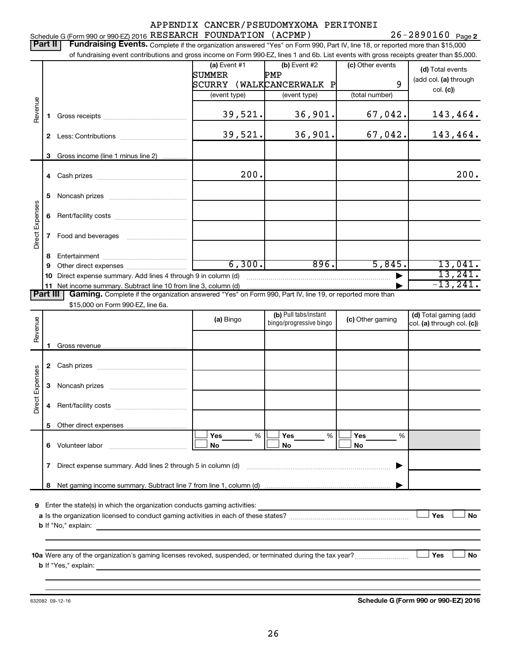|                 |                                                                                           |                                                                                                                                                                             |                                          | APPENDIX CANCER/PSEUDOMYXOMA PERITONEI |                  |                            |  |  |  |  |
|-----------------|-------------------------------------------------------------------------------------------|-----------------------------------------------------------------------------------------------------------------------------------------------------------------------------|------------------------------------------|----------------------------------------|------------------|----------------------------|--|--|--|--|
|                 | Schedule G (Form 990 or 990-EZ) 2016 RESEARCH FOUNDATION (ACPMP)<br>$26 - 2890160$ Page 2 |                                                                                                                                                                             |                                          |                                        |                  |                            |  |  |  |  |
|                 | Part II                                                                                   | Fundraising Events. Complete if the organization answered "Yes" on Form 990, Part IV, line 18, or reported more than \$15,000                                               |                                          |                                        |                  |                            |  |  |  |  |
|                 |                                                                                           | of fundraising event contributions and gross income on Form 990-EZ, lines 1 and 6b. List events with gross receipts greater than \$5,000.                                   |                                          |                                        |                  |                            |  |  |  |  |
|                 |                                                                                           |                                                                                                                                                                             | (a) Event $#1$                           | (b) Event #2                           | (c) Other events | (d) Total events           |  |  |  |  |
|                 |                                                                                           |                                                                                                                                                                             | SUMMER                                   | ${\tt PMP}$                            | 9                | (add col. (a) through      |  |  |  |  |
|                 |                                                                                           |                                                                                                                                                                             | SCURRY (WALKCANCERWALK P<br>(event type) | (event type)                           | (total number)   | col. (c)                   |  |  |  |  |
|                 |                                                                                           |                                                                                                                                                                             |                                          |                                        |                  |                            |  |  |  |  |
| Revenue         | 1.                                                                                        |                                                                                                                                                                             | 39,521.                                  | 36,901.                                | 67,042.          | 143,464.                   |  |  |  |  |
|                 |                                                                                           |                                                                                                                                                                             |                                          |                                        |                  |                            |  |  |  |  |
|                 |                                                                                           |                                                                                                                                                                             | 39,521.                                  | 36,901.                                | 67,042.          | 143,464.                   |  |  |  |  |
|                 |                                                                                           |                                                                                                                                                                             |                                          |                                        |                  |                            |  |  |  |  |
|                 | 3                                                                                         | Gross income (line 1 minus line 2)                                                                                                                                          |                                          |                                        |                  |                            |  |  |  |  |
|                 |                                                                                           |                                                                                                                                                                             |                                          |                                        |                  |                            |  |  |  |  |
|                 |                                                                                           |                                                                                                                                                                             | 200.                                     |                                        |                  | 200.                       |  |  |  |  |
|                 |                                                                                           |                                                                                                                                                                             |                                          |                                        |                  |                            |  |  |  |  |
|                 | 5                                                                                         |                                                                                                                                                                             |                                          |                                        |                  |                            |  |  |  |  |
|                 | 6                                                                                         |                                                                                                                                                                             |                                          |                                        |                  |                            |  |  |  |  |
|                 |                                                                                           |                                                                                                                                                                             |                                          |                                        |                  |                            |  |  |  |  |
| Direct Expenses | 7                                                                                         |                                                                                                                                                                             |                                          |                                        |                  |                            |  |  |  |  |
|                 |                                                                                           |                                                                                                                                                                             |                                          |                                        |                  |                            |  |  |  |  |
|                 | 8                                                                                         |                                                                                                                                                                             |                                          |                                        |                  |                            |  |  |  |  |
|                 | 9                                                                                         |                                                                                                                                                                             | 6,300.                                   | 896.                                   | 5,845.           | 13,041.                    |  |  |  |  |
|                 | 10                                                                                        | Direct expense summary. Add lines 4 through 9 in column (d)                                                                                                                 |                                          |                                        |                  | 13,241.                    |  |  |  |  |
|                 | Part III I                                                                                | 11 Net income summary. Subtract line 10 from line 3, column (d)<br>Gaming. Complete if the organization answered "Yes" on Form 990, Part IV, line 19, or reported more than |                                          |                                        |                  | $-13, 241.$                |  |  |  |  |
|                 |                                                                                           | \$15,000 on Form 990-EZ, line 6a.                                                                                                                                           |                                          |                                        |                  |                            |  |  |  |  |
|                 |                                                                                           |                                                                                                                                                                             |                                          | (b) Pull tabs/instant                  |                  | (d) Total gaming (add      |  |  |  |  |
| Revenue         |                                                                                           |                                                                                                                                                                             | (a) Bingo<br>bingo/progressive bingo     |                                        | (c) Other gaming | col. (a) through col. (c)) |  |  |  |  |
|                 |                                                                                           |                                                                                                                                                                             |                                          |                                        |                  |                            |  |  |  |  |
|                 | 1                                                                                         |                                                                                                                                                                             |                                          |                                        |                  |                            |  |  |  |  |
|                 |                                                                                           |                                                                                                                                                                             |                                          |                                        |                  |                            |  |  |  |  |
|                 |                                                                                           |                                                                                                                                                                             |                                          |                                        |                  |                            |  |  |  |  |
| Expenses        |                                                                                           |                                                                                                                                                                             |                                          |                                        |                  |                            |  |  |  |  |
|                 |                                                                                           |                                                                                                                                                                             |                                          |                                        |                  |                            |  |  |  |  |
| Direct          | 4                                                                                         |                                                                                                                                                                             |                                          |                                        |                  |                            |  |  |  |  |
|                 |                                                                                           |                                                                                                                                                                             |                                          |                                        |                  |                            |  |  |  |  |
|                 | 5                                                                                         |                                                                                                                                                                             |                                          |                                        |                  |                            |  |  |  |  |
|                 |                                                                                           |                                                                                                                                                                             | Yes<br>%                                 | Yes<br>%                               | Yes<br>%         |                            |  |  |  |  |
|                 | 6                                                                                         | Volunteer labor                                                                                                                                                             | No                                       | No                                     | No               |                            |  |  |  |  |
|                 |                                                                                           |                                                                                                                                                                             |                                          |                                        |                  |                            |  |  |  |  |
|                 |                                                                                           | 7 Direct expense summary. Add lines 2 through 5 in column (d)                                                                                                               |                                          |                                        |                  |                            |  |  |  |  |
|                 | 8                                                                                         |                                                                                                                                                                             |                                          |                                        |                  |                            |  |  |  |  |
|                 |                                                                                           |                                                                                                                                                                             |                                          |                                        |                  |                            |  |  |  |  |
|                 |                                                                                           | 9 Enter the state(s) in which the organization conducts gaming activities:                                                                                                  |                                          |                                        |                  |                            |  |  |  |  |
|                 |                                                                                           |                                                                                                                                                                             |                                          |                                        |                  | Yes<br>No                  |  |  |  |  |
|                 |                                                                                           | <b>b</b> If "No," explain:<br>the control of the control of the control of the control of the control of the control of                                                     |                                          |                                        |                  |                            |  |  |  |  |
|                 |                                                                                           |                                                                                                                                                                             |                                          |                                        |                  |                            |  |  |  |  |
|                 |                                                                                           |                                                                                                                                                                             |                                          |                                        |                  |                            |  |  |  |  |
|                 |                                                                                           | <b>b</b> If "Yes," explain:                                                                                                                                                 |                                          |                                        |                  | Yes<br>No                  |  |  |  |  |
|                 |                                                                                           | and the control of the control of the control of the control of the control of the control of the control of the                                                            |                                          |                                        |                  |                            |  |  |  |  |
|                 |                                                                                           |                                                                                                                                                                             |                                          |                                        |                  |                            |  |  |  |  |

632082 09-12-16

**Schedule G (Form 990 or 990-EZ) 2016**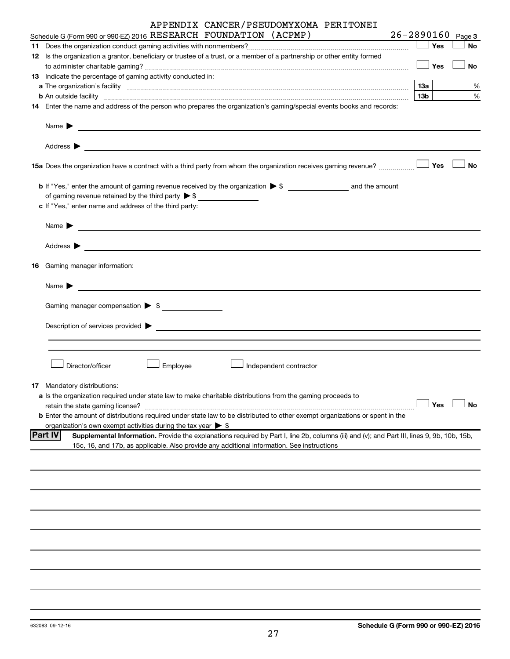|    | APPENDIX CANCER/PSEUDOMYXOMA PERITONEI                                                                                                                                                                                               |                       |           |
|----|--------------------------------------------------------------------------------------------------------------------------------------------------------------------------------------------------------------------------------------|-----------------------|-----------|
|    | Schedule G (Form 990 or 990-EZ) 2016 RESEARCH FOUNDATION (ACPMP)                                                                                                                                                                     | $26 - 2890160$ Page 3 |           |
|    |                                                                                                                                                                                                                                      | $\Box$ Yes            | No        |
|    | 12 Is the organization a grantor, beneficiary or trustee of a trust, or a member of a partnership or other entity formed                                                                                                             | $\Box$ Yes            | No        |
|    | 13 Indicate the percentage of gaming activity conducted in:                                                                                                                                                                          |                       |           |
|    | a The organization's facility <b>contract to the contract of the contract of the contract of the contract of the contract of the contract of the contract of the contract of the contract of the contract of the contract of the</b> |                       | %         |
|    | b An outside facility www.communications.com/news/communications.com/news/communications.com/news/communicatio                                                                                                                       | 13 <sub>b</sub>       | $\%$      |
|    | 14 Enter the name and address of the person who prepares the organization's gaming/special events books and records:                                                                                                                 |                       |           |
|    | Name $\blacktriangleright$<br><u> 1989 - Johann Barn, fransk politik amerikansk politik (d. 1989)</u>                                                                                                                                |                       |           |
|    | Address $\blacktriangleright$<br>and the control of the control of the control of the control of the control of the control of the control of the                                                                                    |                       |           |
|    |                                                                                                                                                                                                                                      |                       | <b>No</b> |
|    |                                                                                                                                                                                                                                      |                       |           |
|    | of gaming revenue retained by the third party $\triangleright$ \$                                                                                                                                                                    |                       |           |
|    | c If "Yes," enter name and address of the third party:                                                                                                                                                                               |                       |           |
|    | Name $\blacktriangleright$<br><u> 1989 - John Harry Harry Harry Harry Harry Harry Harry Harry Harry Harry Harry Harry Harry Harry Harry Harry H</u>                                                                                  |                       |           |
|    | Address $\blacktriangleright$                                                                                                                                                                                                        |                       |           |
| 16 | Gaming manager information:                                                                                                                                                                                                          |                       |           |
|    | Name $\blacktriangleright$<br><u> 1980 - John Stein, Amerikaansk politiker (* 1918)</u>                                                                                                                                              |                       |           |
|    | Gaming manager compensation > \$                                                                                                                                                                                                     |                       |           |
|    | Description of services provided > example and the contract of the contract of the contract of the contract of                                                                                                                       |                       |           |
|    |                                                                                                                                                                                                                                      |                       |           |
|    |                                                                                                                                                                                                                                      |                       |           |
|    | Director/officer<br>Employee<br>Independent contractor                                                                                                                                                                               |                       |           |
|    | 17 Mandatory distributions:                                                                                                                                                                                                          |                       |           |
|    | a Is the organization required under state law to make charitable distributions from the gaming proceeds to                                                                                                                          | Yes                   | No        |
|    | retain the state gaming license?<br><b>b</b> Enter the amount of distributions required under state law to be distributed to other exempt organizations or spent in the                                                              |                       |           |
|    | organization's own exempt activities during the tax year $\triangleright$ \$                                                                                                                                                         |                       |           |
|    | <b>Part IV</b><br>Supplemental Information. Provide the explanations required by Part I, line 2b, columns (iii) and (v); and Part III, lines 9, 9b, 10b, 15b,                                                                        |                       |           |
|    | 15c, 16, and 17b, as applicable. Also provide any additional information. See instructions                                                                                                                                           |                       |           |
|    |                                                                                                                                                                                                                                      |                       |           |
|    |                                                                                                                                                                                                                                      |                       |           |
|    |                                                                                                                                                                                                                                      |                       |           |
|    |                                                                                                                                                                                                                                      |                       |           |
|    |                                                                                                                                                                                                                                      |                       |           |
|    |                                                                                                                                                                                                                                      |                       |           |
|    |                                                                                                                                                                                                                                      |                       |           |
|    |                                                                                                                                                                                                                                      |                       |           |
|    |                                                                                                                                                                                                                                      |                       |           |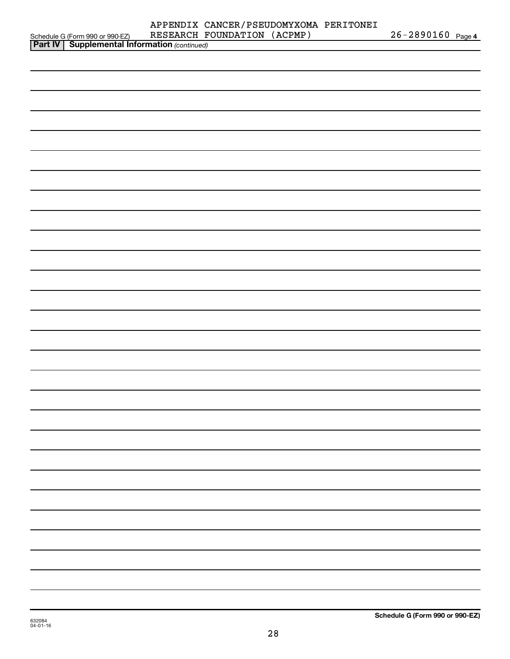|                                                                                                   | RESEARCH FOUNDATION (ACPMP) | 26-2890160 Page 4 |  |
|---------------------------------------------------------------------------------------------------|-----------------------------|-------------------|--|
| Schedule G (Form 990 or 990-EZ) RESEARCH F<br><b>Part IV</b> Supplemental Information (continued) |                             |                   |  |
|                                                                                                   |                             |                   |  |
|                                                                                                   |                             |                   |  |
|                                                                                                   |                             |                   |  |
|                                                                                                   |                             |                   |  |
|                                                                                                   |                             |                   |  |
|                                                                                                   |                             |                   |  |
|                                                                                                   |                             |                   |  |
|                                                                                                   |                             |                   |  |
|                                                                                                   |                             |                   |  |
|                                                                                                   |                             |                   |  |
|                                                                                                   |                             |                   |  |
|                                                                                                   |                             |                   |  |
|                                                                                                   |                             |                   |  |
|                                                                                                   |                             |                   |  |
|                                                                                                   |                             |                   |  |
|                                                                                                   |                             |                   |  |
|                                                                                                   |                             |                   |  |
|                                                                                                   |                             |                   |  |
|                                                                                                   |                             |                   |  |
|                                                                                                   |                             |                   |  |
|                                                                                                   |                             |                   |  |
|                                                                                                   |                             |                   |  |
|                                                                                                   |                             |                   |  |
|                                                                                                   |                             |                   |  |
|                                                                                                   |                             |                   |  |
|                                                                                                   |                             |                   |  |
|                                                                                                   |                             |                   |  |
|                                                                                                   |                             |                   |  |
|                                                                                                   |                             |                   |  |
|                                                                                                   |                             |                   |  |
|                                                                                                   |                             |                   |  |
|                                                                                                   |                             |                   |  |
|                                                                                                   |                             |                   |  |
|                                                                                                   |                             |                   |  |
|                                                                                                   |                             |                   |  |
|                                                                                                   |                             |                   |  |
|                                                                                                   |                             |                   |  |
|                                                                                                   |                             |                   |  |
|                                                                                                   |                             |                   |  |
|                                                                                                   |                             |                   |  |
|                                                                                                   |                             |                   |  |
|                                                                                                   |                             |                   |  |
|                                                                                                   |                             |                   |  |
|                                                                                                   |                             |                   |  |
|                                                                                                   |                             |                   |  |
|                                                                                                   |                             |                   |  |
|                                                                                                   |                             |                   |  |
|                                                                                                   |                             |                   |  |
|                                                                                                   |                             |                   |  |
|                                                                                                   |                             |                   |  |
|                                                                                                   |                             |                   |  |
|                                                                                                   |                             |                   |  |
|                                                                                                   |                             |                   |  |
|                                                                                                   |                             |                   |  |
|                                                                                                   |                             |                   |  |
|                                                                                                   |                             |                   |  |
|                                                                                                   |                             |                   |  |
|                                                                                                   |                             |                   |  |
|                                                                                                   |                             |                   |  |
|                                                                                                   |                             |                   |  |
|                                                                                                   |                             |                   |  |
|                                                                                                   |                             |                   |  |

28

APPENDIX CANCER/PSEUDOMYXOMA PERITONEI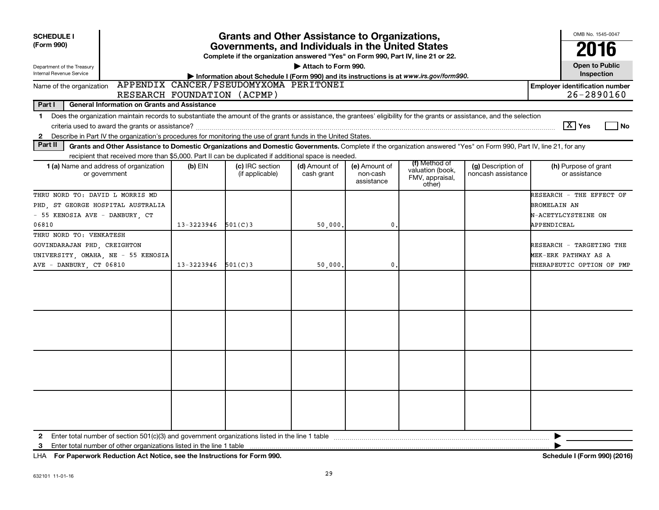| <b>SCHEDULE I</b><br><b>Grants and Other Assistance to Organizations,</b><br>(Form 990)<br>Governments, and Individuals in the United States<br>Complete if the organization answered "Yes" on Form 990, Part IV, line 21 or 22.<br>Attach to Form 990.<br>Department of the Treasury<br>Internal Revenue Service<br>Information about Schedule I (Form 990) and its instructions is at www.irs.gov/form990. |            |                                        |                             |                                         |                                                                |                                          |                                                                                       |  |  |  |  |
|--------------------------------------------------------------------------------------------------------------------------------------------------------------------------------------------------------------------------------------------------------------------------------------------------------------------------------------------------------------------------------------------------------------|------------|----------------------------------------|-----------------------------|-----------------------------------------|----------------------------------------------------------------|------------------------------------------|---------------------------------------------------------------------------------------|--|--|--|--|
| Name of the organization                                                                                                                                                                                                                                                                                                                                                                                     |            | APPENDIX CANCER/PSEUDOMYXOMA PERITONEI |                             |                                         |                                                                |                                          | <b>Employer identification number</b><br>$26 - 2890160$                               |  |  |  |  |
| RESEARCH FOUNDATION (ACPMP)<br>Part I<br>General Information on Grants and Assistance                                                                                                                                                                                                                                                                                                                        |            |                                        |                             |                                         |                                                                |                                          |                                                                                       |  |  |  |  |
| Does the organization maintain records to substantiate the amount of the grants or assistance, the grantees' eligibility for the grants or assistance, and the selection<br>$\mathbf 1$<br>$\boxed{\text{X}}$ Yes<br>l No<br>Describe in Part IV the organization's procedures for monitoring the use of grant funds in the United States.<br>2                                                              |            |                                        |                             |                                         |                                                                |                                          |                                                                                       |  |  |  |  |
| Part II<br>Grants and Other Assistance to Domestic Organizations and Domestic Governments. Complete if the organization answered "Yes" on Form 990, Part IV, line 21, for any                                                                                                                                                                                                                                |            |                                        |                             |                                         |                                                                |                                          |                                                                                       |  |  |  |  |
| recipient that received more than \$5,000. Part II can be duplicated if additional space is needed.<br>1 (a) Name and address of organization<br>or government                                                                                                                                                                                                                                               | (b) EIN    | (c) IRC section<br>(if applicable)     | (d) Amount of<br>cash grant | (e) Amount of<br>non-cash<br>assistance | (f) Method of<br>valuation (book,<br>FMV, appraisal,<br>other) | (g) Description of<br>noncash assistance | (h) Purpose of grant<br>or assistance                                                 |  |  |  |  |
| THRU NORD TO: DAVID L MORRIS MD<br>PHD ST GEORGE HOSPITAL AUSTRALIA<br>- 55 KENOSIA AVE - DANBURY, CT<br>06810                                                                                                                                                                                                                                                                                               | 13-3223946 | 501(C)3                                | 50,000.                     | 0                                       |                                                                |                                          | RESEARCH - THE EFFECT OF<br><b>BROMELAIN AN</b><br>N-ACETYLCYSTEINE ON<br>APPENDICEAL |  |  |  |  |
| THRU NORD TO: VENKATESH<br>GOVINDARAJAN PHD, CREIGHTON<br>UNIVERSITY, OMAHA, NE - 55 KENOSIA<br>AVE - DANBURY, CT 06810                                                                                                                                                                                                                                                                                      | 13-3223946 | 501(C)3                                | 50,000.                     | $\mathbf{0}$                            |                                                                |                                          | RESEARCH - TARGETING THE<br><b>MEK-ERK PATHWAY AS A</b><br>THERAPEUTIC OPTION OF PMP  |  |  |  |  |
|                                                                                                                                                                                                                                                                                                                                                                                                              |            |                                        |                             |                                         |                                                                |                                          |                                                                                       |  |  |  |  |
|                                                                                                                                                                                                                                                                                                                                                                                                              |            |                                        |                             |                                         |                                                                |                                          |                                                                                       |  |  |  |  |
|                                                                                                                                                                                                                                                                                                                                                                                                              |            |                                        |                             |                                         |                                                                |                                          |                                                                                       |  |  |  |  |
|                                                                                                                                                                                                                                                                                                                                                                                                              |            |                                        |                             |                                         |                                                                |                                          |                                                                                       |  |  |  |  |
| Enter total number of section 501(c)(3) and government organizations listed in the line 1 table manufacture incommunity content and number of section 501(c)(3) and government organizations listed in the line 1 table manufa<br>$\mathbf{2}$<br>Enter total number of other organizations listed in the line 1 table<br>3                                                                                  |            |                                        |                             |                                         |                                                                |                                          | ▶                                                                                     |  |  |  |  |

**For Paperwork Reduction Act Notice, see the Instructions for Form 990. Schedule I (Form 990) (2016)** LHA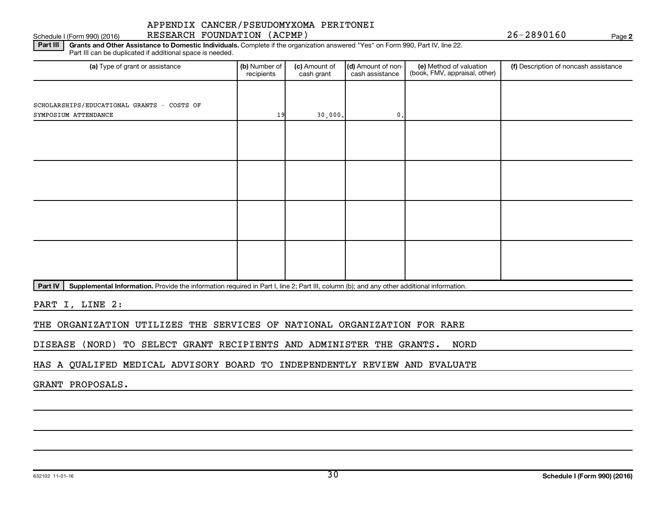### Schedule I (Form 990) (2016) RESEARCH FOUNDATION (ACPMP) Page APPENDIX CANCER/PSEUDOMYXOMA PERITONEI

**2**

Part III | Grants and Other Assistance to Domestic Individuals. Complete if the organization answered "Yes" on Form 990, Part IV, line 22. Part III can be duplicated if additional space is needed.

| (a) Type of grant or assistance            | (b) Number of<br>recipients | (c) Amount of<br>cash grant | (d) Amount of non-<br>cash assistance | (e) Method of valuation<br>(book, FMV, appraisal, other) | (f) Description of noncash assistance |
|--------------------------------------------|-----------------------------|-----------------------------|---------------------------------------|----------------------------------------------------------|---------------------------------------|
|                                            |                             |                             |                                       |                                                          |                                       |
| SCHOLARSHIPS/EDUCATIONAL GRANTS - COSTS OF |                             |                             |                                       |                                                          |                                       |
| SYMPOSIUM ATTENDANCE                       | 19                          | 30,000.                     | $\mathbf{0}$ .                        |                                                          |                                       |
|                                            |                             |                             |                                       |                                                          |                                       |
|                                            |                             |                             |                                       |                                                          |                                       |
|                                            |                             |                             |                                       |                                                          |                                       |
|                                            |                             |                             |                                       |                                                          |                                       |
|                                            |                             |                             |                                       |                                                          |                                       |
|                                            |                             |                             |                                       |                                                          |                                       |
|                                            |                             |                             |                                       |                                                          |                                       |
|                                            |                             |                             |                                       |                                                          |                                       |
|                                            |                             |                             |                                       |                                                          |                                       |
|                                            |                             |                             |                                       |                                                          |                                       |
|                                            |                             |                             |                                       |                                                          |                                       |
|                                            |                             |                             |                                       |                                                          |                                       |
|                                            |                             |                             |                                       |                                                          |                                       |
|                                            |                             |                             |                                       |                                                          |                                       |

Part IV | Supplemental Information. Provide the information required in Part I, line 2; Part III, column (b); and any other additional information.

PART I, LINE 2:

THE ORGANIZATION UTILIZES THE SERVICES OF NATIONAL ORGANIZATION FOR RARE

DISEASE (NORD) TO SELECT GRANT RECIPIENTS AND ADMINISTER THE GRANTS. NORD

HAS A QUALIFED MEDICAL ADVISORY BOARD TO INDEPENDENTLY REVIEW AND EVALUATE

GRANT PROPOSALS.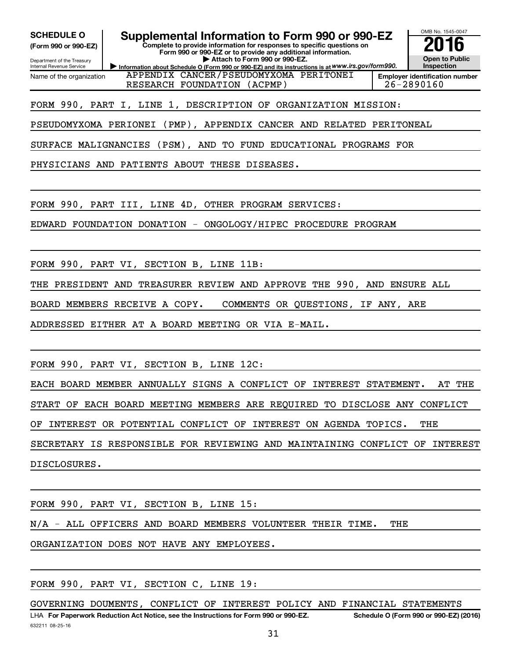**(Form 990 or 990-EZ)**

Department of the Treasury Internal Revenue Service Name of the organization

**SCHEDULE O Supplemental Information to Form 990 or 990-EZ 2016**

**Complete to provide information for responses to specific questions on Form 990 or 990-EZ or to provide any additional information. | Attach to Form 990 or 990-EZ.**

**Information about Schedule O (Form 990 or 990-EZ) and its instructions is at WWW.irs.gov/form990.** APPENDIX CANCER/PSEUDOMYXOMA PERITONEI RESEARCH FOUNDATION (ACPMP) | 26-2890160



## FORM 990, PART I, LINE 1, DESCRIPTION OF ORGANIZATION MISSION:

PSEUDOMYXOMA PERIONEI (PMP), APPENDIX CANCER AND RELATED PERITONEAL

SURFACE MALIGNANCIES (PSM), AND TO FUND EDUCATIONAL PROGRAMS FOR

PHYSICIANS AND PATIENTS ABOUT THESE DISEASES.

FORM 990, PART III, LINE 4D, OTHER PROGRAM SERVICES:

EDWARD FOUNDATION DONATION - ONGOLOGY/HIPEC PROCEDURE PROGRAM

FORM 990, PART VI, SECTION B, LINE 11B:

THE PRESIDENT AND TREASURER REVIEW AND APPROVE THE 990, AND ENSURE ALL

BOARD MEMBERS RECEIVE A COPY. COMMENTS OR QUESTIONS, IF ANY, ARE

ADDRESSED EITHER AT A BOARD MEETING OR VIA E-MAIL.

FORM 990, PART VI, SECTION B, LINE 12C:

EACH BOARD MEMBER ANNUALLY SIGNS A CONFLICT OF INTEREST STATEMENT. AT THE START OF EACH BOARD MEETING MEMBERS ARE REQUIRED TO DISCLOSE ANY CONFLICT OF INTEREST OR POTENTIAL CONFLICT OF INTEREST ON AGENDA TOPICS. THE SECRETARY IS RESPONSIBLE FOR REVIEWING AND MAINTAINING CONFLICT OF INTEREST DISCLOSURES.

FORM 990, PART VI, SECTION B, LINE 15:

N/A - ALL OFFICERS AND BOARD MEMBERS VOLUNTEER THEIR TIME. THE

ORGANIZATION DOES NOT HAVE ANY EMPLOYEES.

FORM 990, PART VI, SECTION C, LINE 19:

632211 08-25-16 LHA For Paperwork Reduction Act Notice, see the Instructions for Form 990 or 990-EZ. Schedule O (Form 990 or 990-EZ) (2016) GOVERNING DOUMENTS, CONFLICT OF INTEREST POLICY AND FINANCIAL STATEMENTS